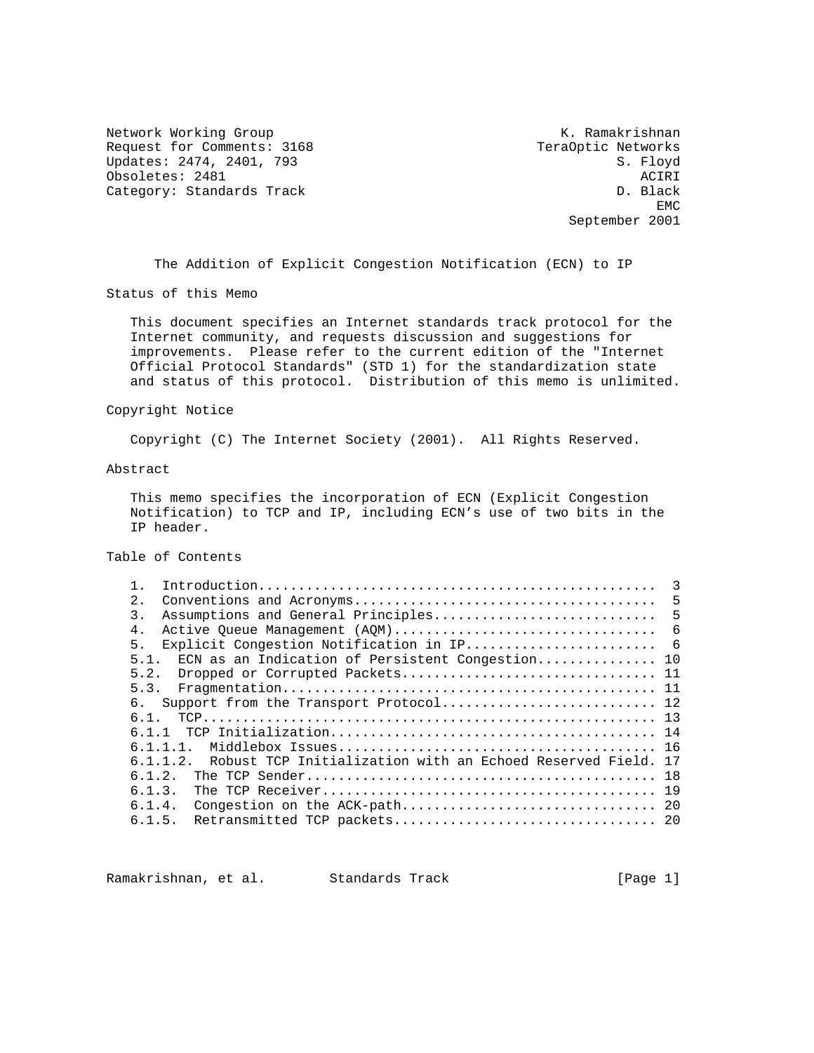Network Working Group Network Working Group Network K. Ramakrishnan Request for Comments: 3168 TeraOptic Networks<br>
Updates: 2474, 2401, 793 S. Floyd Updates: 2474, 2401, 793 Obsoletes: 2481 <br>Category: Standards Track Category: Standards Track Category: Standards Track

**EMC** EXPERIMENT AND RESERVE EMC September 2001

The Addition of Explicit Congestion Notification (ECN) to IP

Status of this Memo

 This document specifies an Internet standards track protocol for the Internet community, and requests discussion and suggestions for improvements. Please refer to the current edition of the "Internet Official Protocol Standards" (STD 1) for the standardization state and status of this protocol. Distribution of this memo is unlimited.

#### Copyright Notice

Copyright (C) The Internet Society (2001). All Rights Reserved.

#### Abstract

 This memo specifies the incorporation of ECN (Explicit Congestion Notification) to TCP and IP, including ECN's use of two bits in the IP header.

Table of Contents

|                                                                        | 3  |
|------------------------------------------------------------------------|----|
| 2.                                                                     | 5  |
| Assumptions and General Principles<br>$\mathcal{E}$                    | 5  |
| $4 \cdot$<br>Active Queue Management (AQM)                             | -6 |
| 5.                                                                     |    |
| ECN as an Indication of Persistent Congestion 10<br>5.1.               |    |
| 5.2.                                                                   |    |
| 5.3.                                                                   |    |
| б.<br>Support from the Transport Protocol 12                           |    |
| 61                                                                     |    |
| 611                                                                    |    |
| 6 1 1 1                                                                |    |
| Robust TCP Initialization with an Echoed Reserved Field, 17<br>6 1 1 2 |    |
| 6.1.2.                                                                 | 18 |
| 6.1.3.                                                                 |    |
| 6.1.4.                                                                 |    |
| 6.1.5.                                                                 |    |
|                                                                        |    |

Ramakrishnan, et al. Standards Track (Page 1)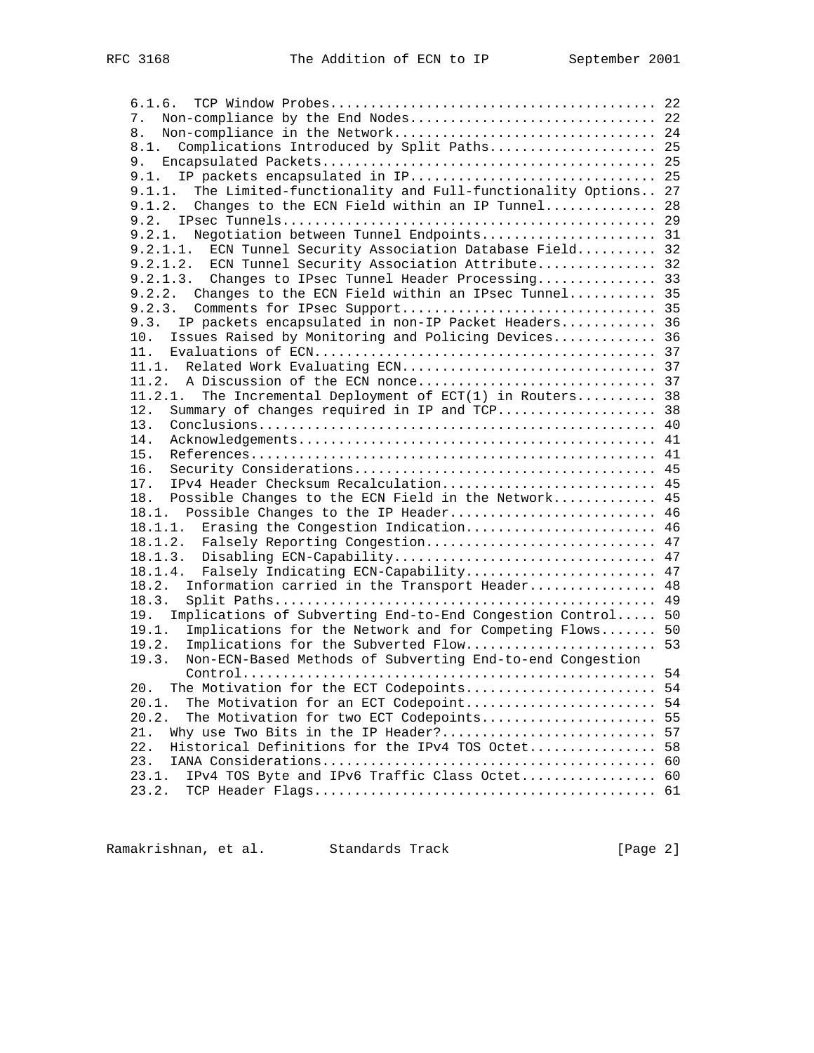| 7.                                                                 |    |
|--------------------------------------------------------------------|----|
| 8.                                                                 |    |
| Complications Introduced by Split Paths 25<br>8.1.                 |    |
|                                                                    |    |
| 9.1.                                                               |    |
| 9.1.1. The Limited-functionality and Full-functionality Options 27 |    |
| 9.1.2. Changes to the ECN Field within an IP Tunnel 28             |    |
|                                                                    |    |
| 9.2.1. Negotiation between Tunnel Endpoints 31                     |    |
| ECN Tunnel Security Association Database Field 32<br>9.2.1.1.      |    |
| 9.2.1.2. ECN Tunnel Security Association Attribute 32              |    |
| 9.2.1.3. Changes to IPsec Tunnel Header Processing 33              |    |
| 9.2.2. Changes to the ECN Field within an IPsec Tunnel 35          |    |
| 9.2.3.                                                             |    |
| IP packets encapsulated in non-IP Packet Headers 36<br>9.3.        |    |
|                                                                    |    |
| Issues Raised by Monitoring and Policing Devices 36<br>10.         |    |
| 11.                                                                |    |
| 11.1. Related Work Evaluating ECN 37                               |    |
|                                                                    |    |
| The Incremental Deployment of ECT(1) in Routers 38<br>11.2.1.      |    |
| Summary of changes required in IP and TCP 38<br>12.                |    |
| 13.                                                                |    |
| 14.                                                                |    |
| 15.                                                                |    |
| 16.                                                                |    |
| IPv4 Header Checksum Recalculation 45<br>17.                       |    |
| 18.<br>Possible Changes to the ECN Field in the Network            | 45 |
| 18.1. Possible Changes to the IP Header 46                         |    |
| Erasing the Congestion Indication 46<br>18.1.1.                    |    |
| 18.1.2. Falsely Reporting Congestion 47                            |    |
|                                                                    |    |
| Falsely Indicating ECN-Capability 47<br>18.1.4.                    |    |
| Information carried in the Transport Header<br>18.2.               | 48 |
| 18.3.                                                              |    |
| 19. Implications of Subverting End-to-End Congestion Control 50    |    |
| 19.1.<br>Implications for the Network and for Competing Flows 50   |    |
| 19.2.                                                              |    |
| 19.3.<br>Non-ECN-Based Methods of Subverting End-to-end Congestion |    |
|                                                                    |    |
| The Motivation for the ECT Codepoints 54<br>$20$ .                 |    |
| 20.1.<br>The Motivation for an ECT Codepoint                       | 54 |
| 20.2.<br>The Motivation for two ECT Codepoints                     | 55 |
| Why use Two Bits in the IP Header?<br>21.                          | 57 |
| Historical Definitions for the IPv4 TOS Octet<br>22.               | 58 |
| 23.                                                                | 60 |
| IPv4 TOS Byte and IPv6 Traffic Class Octet 60<br>23.1.             |    |
| 23.2.                                                              |    |
|                                                                    |    |

Ramakrishnan, et al. Standards Track (Page 2)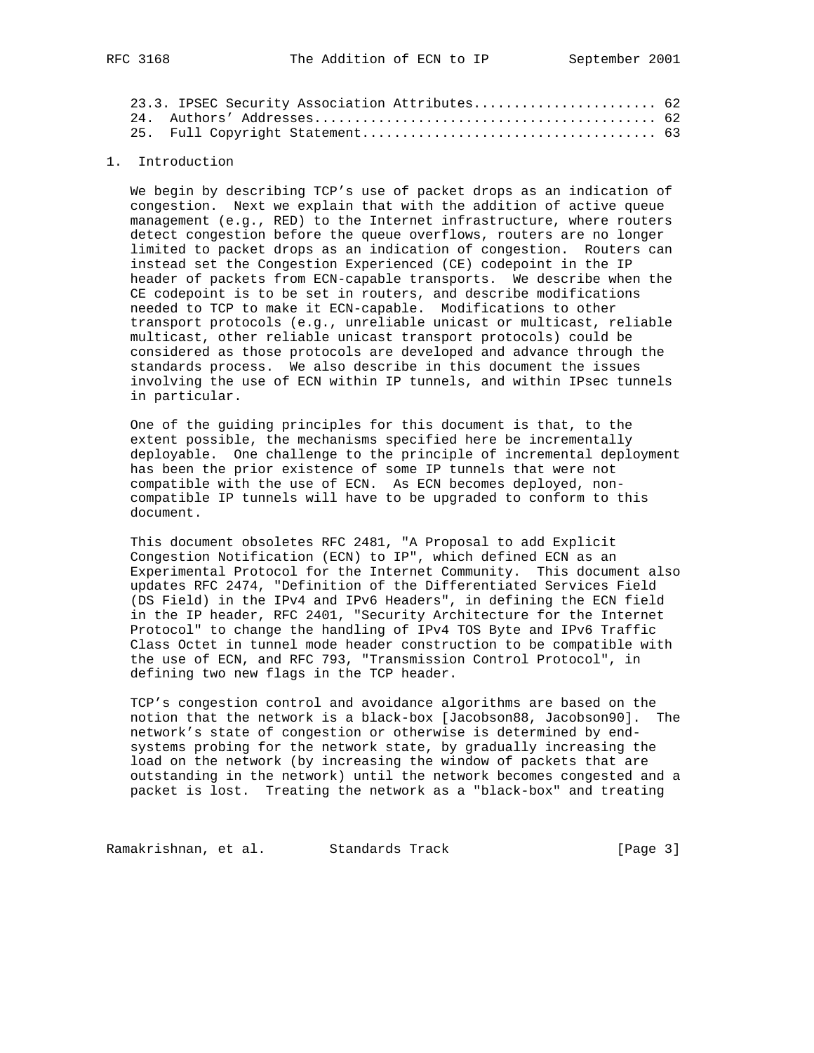|  | 23.3. IPSEC Security Association Attributes 62 |  |
|--|------------------------------------------------|--|
|  |                                                |  |
|  |                                                |  |

## 1. Introduction

 We begin by describing TCP's use of packet drops as an indication of congestion. Next we explain that with the addition of active queue management (e.g., RED) to the Internet infrastructure, where routers detect congestion before the queue overflows, routers are no longer limited to packet drops as an indication of congestion. Routers can instead set the Congestion Experienced (CE) codepoint in the IP header of packets from ECN-capable transports. We describe when the CE codepoint is to be set in routers, and describe modifications needed to TCP to make it ECN-capable. Modifications to other transport protocols (e.g., unreliable unicast or multicast, reliable multicast, other reliable unicast transport protocols) could be considered as those protocols are developed and advance through the standards process. We also describe in this document the issues involving the use of ECN within IP tunnels, and within IPsec tunnels in particular.

 One of the guiding principles for this document is that, to the extent possible, the mechanisms specified here be incrementally deployable. One challenge to the principle of incremental deployment has been the prior existence of some IP tunnels that were not compatible with the use of ECN. As ECN becomes deployed, non compatible IP tunnels will have to be upgraded to conform to this document.

 This document obsoletes RFC 2481, "A Proposal to add Explicit Congestion Notification (ECN) to IP", which defined ECN as an Experimental Protocol for the Internet Community. This document also updates RFC 2474, "Definition of the Differentiated Services Field (DS Field) in the IPv4 and IPv6 Headers", in defining the ECN field in the IP header, RFC 2401, "Security Architecture for the Internet Protocol" to change the handling of IPv4 TOS Byte and IPv6 Traffic Class Octet in tunnel mode header construction to be compatible with the use of ECN, and RFC 793, "Transmission Control Protocol", in defining two new flags in the TCP header.

 TCP's congestion control and avoidance algorithms are based on the notion that the network is a black-box [Jacobson88, Jacobson90]. The network's state of congestion or otherwise is determined by end systems probing for the network state, by gradually increasing the load on the network (by increasing the window of packets that are outstanding in the network) until the network becomes congested and a packet is lost. Treating the network as a "black-box" and treating

Ramakrishnan, et al. Standards Track [Page 3]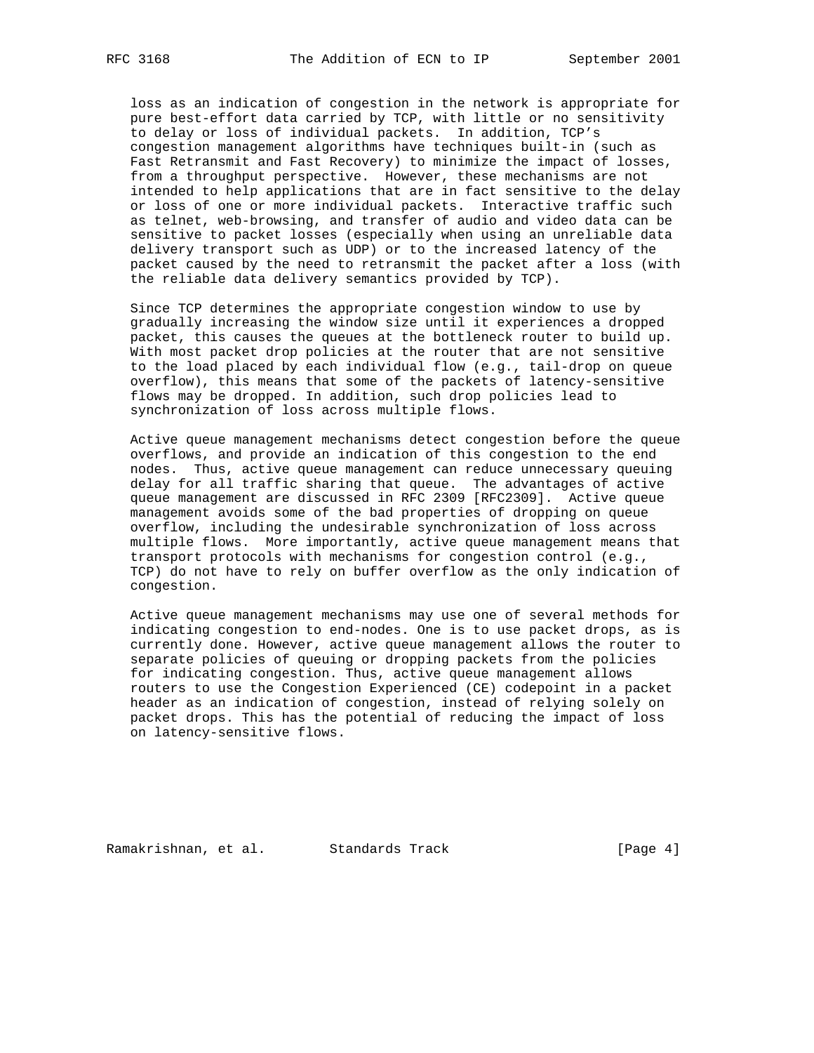loss as an indication of congestion in the network is appropriate for pure best-effort data carried by TCP, with little or no sensitivity to delay or loss of individual packets. In addition, TCP's congestion management algorithms have techniques built-in (such as Fast Retransmit and Fast Recovery) to minimize the impact of losses, from a throughput perspective. However, these mechanisms are not intended to help applications that are in fact sensitive to the delay or loss of one or more individual packets. Interactive traffic such as telnet, web-browsing, and transfer of audio and video data can be sensitive to packet losses (especially when using an unreliable data delivery transport such as UDP) or to the increased latency of the packet caused by the need to retransmit the packet after a loss (with the reliable data delivery semantics provided by TCP).

 Since TCP determines the appropriate congestion window to use by gradually increasing the window size until it experiences a dropped packet, this causes the queues at the bottleneck router to build up. With most packet drop policies at the router that are not sensitive to the load placed by each individual flow (e.g., tail-drop on queue overflow), this means that some of the packets of latency-sensitive flows may be dropped. In addition, such drop policies lead to synchronization of loss across multiple flows.

 Active queue management mechanisms detect congestion before the queue overflows, and provide an indication of this congestion to the end nodes. Thus, active queue management can reduce unnecessary queuing delay for all traffic sharing that queue. The advantages of active queue management are discussed in RFC 2309 [RFC2309]. Active queue management avoids some of the bad properties of dropping on queue overflow, including the undesirable synchronization of loss across multiple flows. More importantly, active queue management means that transport protocols with mechanisms for congestion control (e.g., TCP) do not have to rely on buffer overflow as the only indication of congestion.

 Active queue management mechanisms may use one of several methods for indicating congestion to end-nodes. One is to use packet drops, as is currently done. However, active queue management allows the router to separate policies of queuing or dropping packets from the policies for indicating congestion. Thus, active queue management allows routers to use the Congestion Experienced (CE) codepoint in a packet header as an indication of congestion, instead of relying solely on packet drops. This has the potential of reducing the impact of loss on latency-sensitive flows.

Ramakrishnan, et al. Standards Track [Page 4]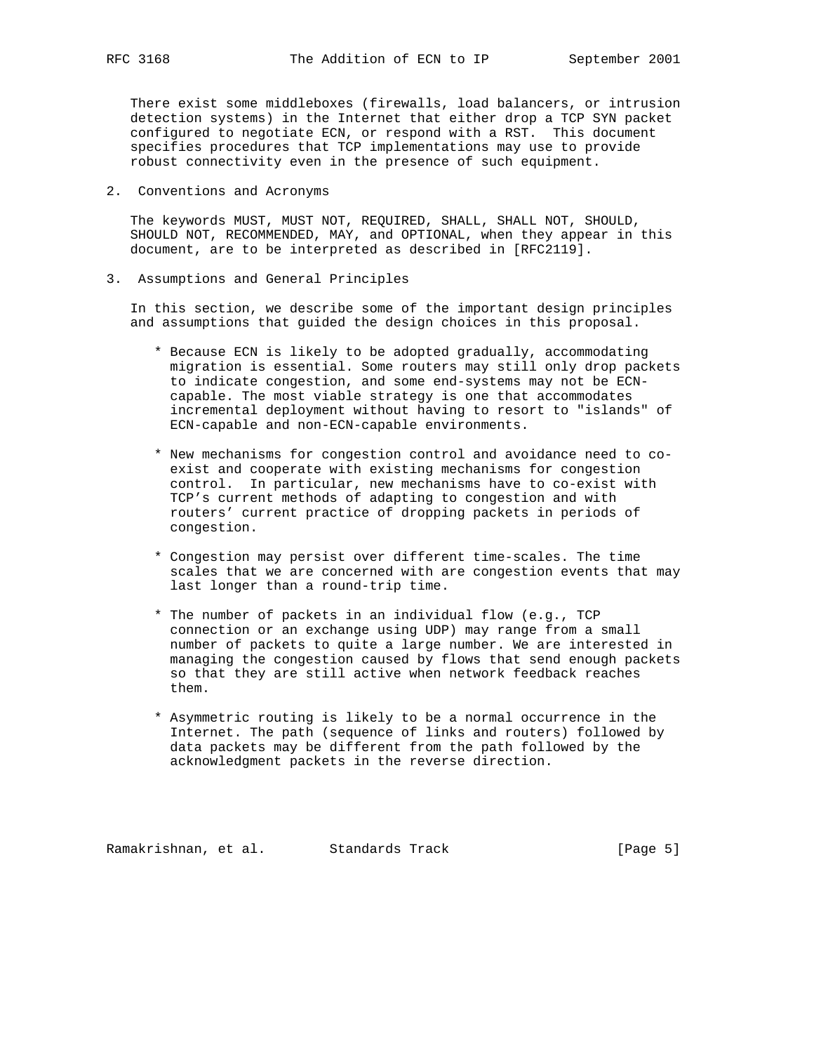There exist some middleboxes (firewalls, load balancers, or intrusion detection systems) in the Internet that either drop a TCP SYN packet configured to negotiate ECN, or respond with a RST. This document specifies procedures that TCP implementations may use to provide robust connectivity even in the presence of such equipment.

2. Conventions and Acronyms

 The keywords MUST, MUST NOT, REQUIRED, SHALL, SHALL NOT, SHOULD, SHOULD NOT, RECOMMENDED, MAY, and OPTIONAL, when they appear in this document, are to be interpreted as described in [RFC2119].

3. Assumptions and General Principles

 In this section, we describe some of the important design principles and assumptions that guided the design choices in this proposal.

- \* Because ECN is likely to be adopted gradually, accommodating migration is essential. Some routers may still only drop packets to indicate congestion, and some end-systems may not be ECN capable. The most viable strategy is one that accommodates incremental deployment without having to resort to "islands" of ECN-capable and non-ECN-capable environments.
- \* New mechanisms for congestion control and avoidance need to co exist and cooperate with existing mechanisms for congestion control. In particular, new mechanisms have to co-exist with TCP's current methods of adapting to congestion and with routers' current practice of dropping packets in periods of congestion.
- \* Congestion may persist over different time-scales. The time scales that we are concerned with are congestion events that may last longer than a round-trip time.
- \* The number of packets in an individual flow (e.g., TCP connection or an exchange using UDP) may range from a small number of packets to quite a large number. We are interested in managing the congestion caused by flows that send enough packets so that they are still active when network feedback reaches them.
- \* Asymmetric routing is likely to be a normal occurrence in the Internet. The path (sequence of links and routers) followed by data packets may be different from the path followed by the acknowledgment packets in the reverse direction.

Ramakrishnan, et al. Standards Track [Page 5]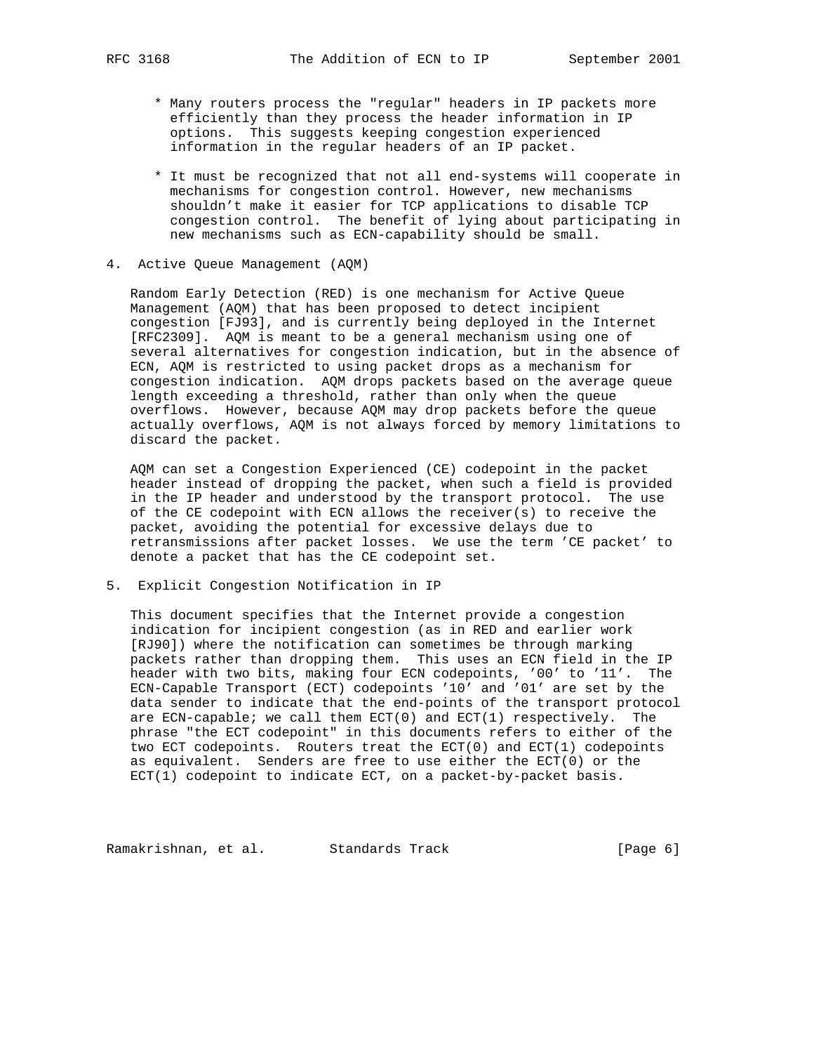- \* Many routers process the "regular" headers in IP packets more efficiently than they process the header information in IP options. This suggests keeping congestion experienced information in the regular headers of an IP packet.
- \* It must be recognized that not all end-systems will cooperate in mechanisms for congestion control. However, new mechanisms shouldn't make it easier for TCP applications to disable TCP congestion control. The benefit of lying about participating in new mechanisms such as ECN-capability should be small.
- 4. Active Queue Management (AQM)

 Random Early Detection (RED) is one mechanism for Active Queue Management (AQM) that has been proposed to detect incipient congestion [FJ93], and is currently being deployed in the Internet [RFC2309]. AQM is meant to be a general mechanism using one of several alternatives for congestion indication, but in the absence of ECN, AQM is restricted to using packet drops as a mechanism for congestion indication. AQM drops packets based on the average queue length exceeding a threshold, rather than only when the queue overflows. However, because AQM may drop packets before the queue actually overflows, AQM is not always forced by memory limitations to discard the packet.

 AQM can set a Congestion Experienced (CE) codepoint in the packet header instead of dropping the packet, when such a field is provided in the IP header and understood by the transport protocol. The use of the CE codepoint with ECN allows the receiver(s) to receive the packet, avoiding the potential for excessive delays due to retransmissions after packet losses. We use the term 'CE packet' to denote a packet that has the CE codepoint set.

5. Explicit Congestion Notification in IP

 This document specifies that the Internet provide a congestion indication for incipient congestion (as in RED and earlier work [RJ90]) where the notification can sometimes be through marking packets rather than dropping them. This uses an ECN field in the IP header with two bits, making four ECN codepoints, '00' to '11'. The ECN-Capable Transport (ECT) codepoints '10' and '01' are set by the data sender to indicate that the end-points of the transport protocol are ECN-capable; we call them  $ECT(0)$  and  $ECT(1)$  respectively. The phrase "the ECT codepoint" in this documents refers to either of the two ECT codepoints. Routers treat the ECT(0) and ECT(1) codepoints as equivalent. Senders are free to use either the ECT(0) or the ECT(1) codepoint to indicate ECT, on a packet-by-packet basis.

Ramakrishnan, et al. Standards Track (Page 6)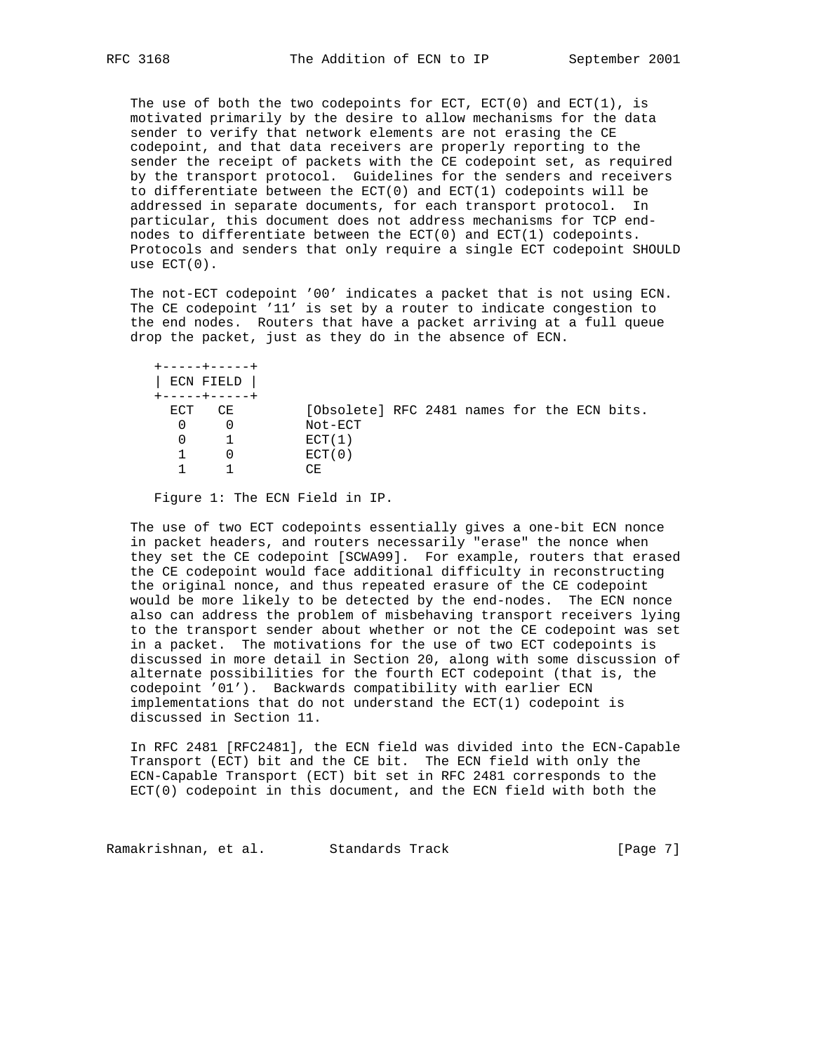The use of both the two codepoints for ECT, ECT(0) and ECT(1), is motivated primarily by the desire to allow mechanisms for the data sender to verify that network elements are not erasing the CE codepoint, and that data receivers are properly reporting to the sender the receipt of packets with the CE codepoint set, as required by the transport protocol. Guidelines for the senders and receivers to differentiate between the ECT(0) and ECT(1) codepoints will be addressed in separate documents, for each transport protocol. In particular, this document does not address mechanisms for TCP end nodes to differentiate between the ECT(0) and ECT(1) codepoints. Protocols and senders that only require a single ECT codepoint SHOULD use ECT(0).

 The not-ECT codepoint '00' indicates a packet that is not using ECN. The CE codepoint '11' is set by a router to indicate congestion to the end nodes. Routers that have a packet arriving at a full queue drop the packet, just as they do in the absence of ECN.

|     | +-----+-----+<br>ECN FIELD<br>+-----+-----+ |                                             |  |  |  |  |
|-----|---------------------------------------------|---------------------------------------------|--|--|--|--|
| ECT | CE                                          | [Obsolete] RFC 2481 names for the ECN bits. |  |  |  |  |
|     |                                             | Not-ECT                                     |  |  |  |  |
|     |                                             | ECT(1)                                      |  |  |  |  |
|     |                                             | ECT(0)                                      |  |  |  |  |
|     |                                             | CΈ.                                         |  |  |  |  |

Figure 1: The ECN Field in IP.

 The use of two ECT codepoints essentially gives a one-bit ECN nonce in packet headers, and routers necessarily "erase" the nonce when they set the CE codepoint [SCWA99]. For example, routers that erased the CE codepoint would face additional difficulty in reconstructing the original nonce, and thus repeated erasure of the CE codepoint would be more likely to be detected by the end-nodes. The ECN nonce also can address the problem of misbehaving transport receivers lying to the transport sender about whether or not the CE codepoint was set in a packet. The motivations for the use of two ECT codepoints is discussed in more detail in Section 20, along with some discussion of alternate possibilities for the fourth ECT codepoint (that is, the codepoint '01'). Backwards compatibility with earlier ECN implementations that do not understand the ECT(1) codepoint is discussed in Section 11.

 In RFC 2481 [RFC2481], the ECN field was divided into the ECN-Capable Transport (ECT) bit and the CE bit. The ECN field with only the ECN-Capable Transport (ECT) bit set in RFC 2481 corresponds to the ECT(0) codepoint in this document, and the ECN field with both the

Ramakrishnan, et al. Standards Track [Page 7]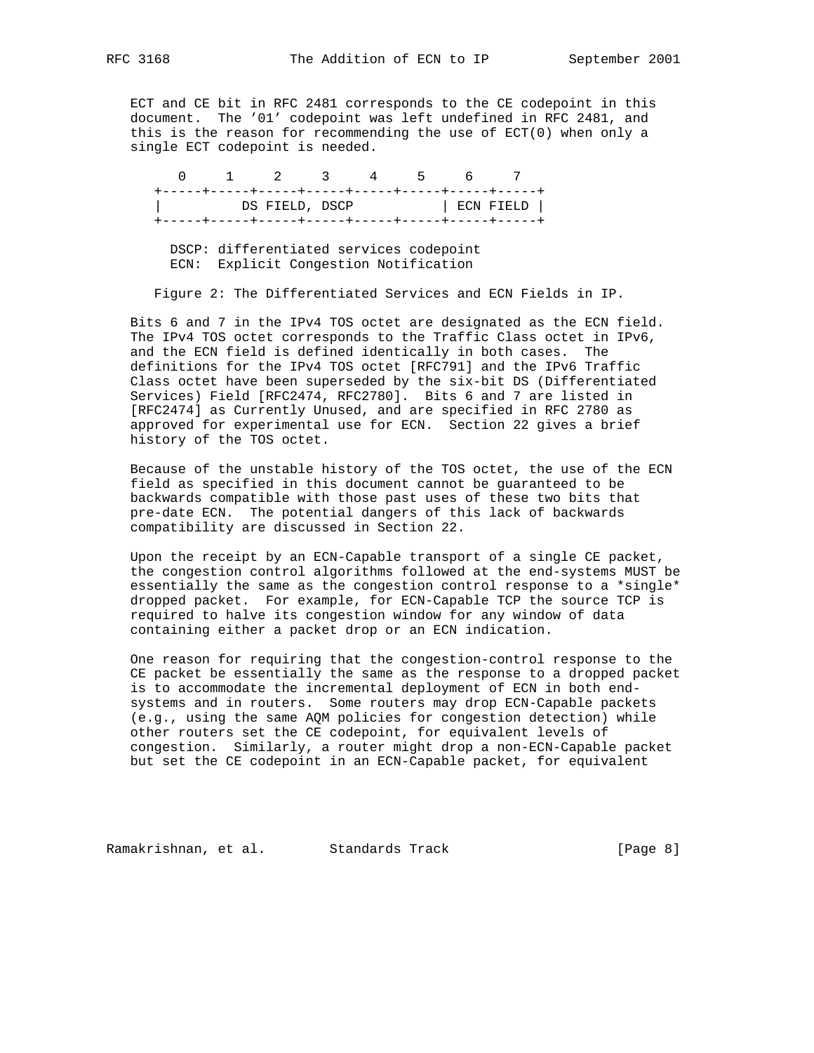ECT and CE bit in RFC 2481 corresponds to the CE codepoint in this document. The '01' codepoint was left undefined in RFC 2481, and this is the reason for recommending the use of  $ECT(0)$  when only a single ECT codepoint is needed.

 0 1 2 3 4 5 6 7 +-----+-----+-----+-----+-----+-----+-----+-----+ | DS FIELD, DSCP | ECN FIELD | +-----+-----+-----+-----+-----+-----+-----+-----+

 DSCP: differentiated services codepoint ECN: Explicit Congestion Notification

Figure 2: The Differentiated Services and ECN Fields in IP.

 Bits 6 and 7 in the IPv4 TOS octet are designated as the ECN field. The IPv4 TOS octet corresponds to the Traffic Class octet in IPv6, and the ECN field is defined identically in both cases. The definitions for the IPv4 TOS octet [RFC791] and the IPv6 Traffic Class octet have been superseded by the six-bit DS (Differentiated Services) Field [RFC2474, RFC2780]. Bits 6 and 7 are listed in [RFC2474] as Currently Unused, and are specified in RFC 2780 as approved for experimental use for ECN. Section 22 gives a brief history of the TOS octet.

 Because of the unstable history of the TOS octet, the use of the ECN field as specified in this document cannot be guaranteed to be backwards compatible with those past uses of these two bits that pre-date ECN. The potential dangers of this lack of backwards compatibility are discussed in Section 22.

 Upon the receipt by an ECN-Capable transport of a single CE packet, the congestion control algorithms followed at the end-systems MUST be essentially the same as the congestion control response to a \*single\* dropped packet. For example, for ECN-Capable TCP the source TCP is required to halve its congestion window for any window of data containing either a packet drop or an ECN indication.

 One reason for requiring that the congestion-control response to the CE packet be essentially the same as the response to a dropped packet is to accommodate the incremental deployment of ECN in both end systems and in routers. Some routers may drop ECN-Capable packets (e.g., using the same AQM policies for congestion detection) while other routers set the CE codepoint, for equivalent levels of congestion. Similarly, a router might drop a non-ECN-Capable packet but set the CE codepoint in an ECN-Capable packet, for equivalent

Ramakrishnan, et al. Standards Track [Page 8]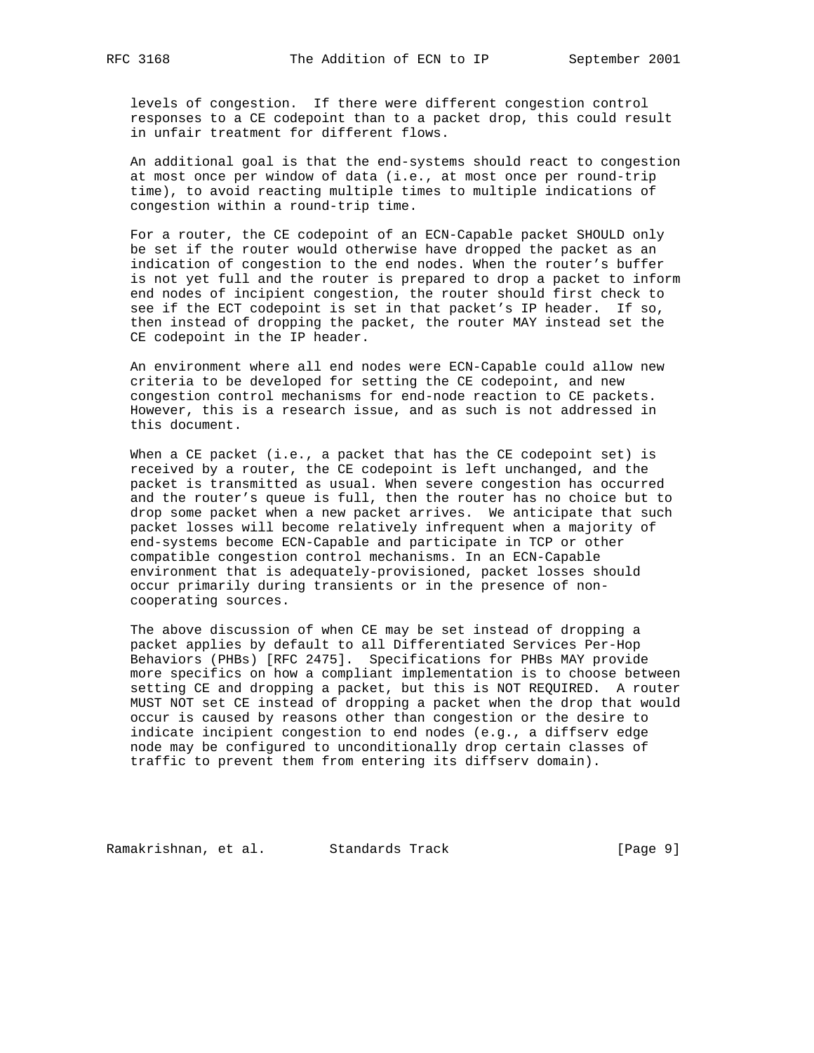levels of congestion. If there were different congestion control responses to a CE codepoint than to a packet drop, this could result in unfair treatment for different flows.

 An additional goal is that the end-systems should react to congestion at most once per window of data (i.e., at most once per round-trip time), to avoid reacting multiple times to multiple indications of congestion within a round-trip time.

 For a router, the CE codepoint of an ECN-Capable packet SHOULD only be set if the router would otherwise have dropped the packet as an indication of congestion to the end nodes. When the router's buffer is not yet full and the router is prepared to drop a packet to inform end nodes of incipient congestion, the router should first check to see if the ECT codepoint is set in that packet's IP header. If so, then instead of dropping the packet, the router MAY instead set the CE codepoint in the IP header.

 An environment where all end nodes were ECN-Capable could allow new criteria to be developed for setting the CE codepoint, and new congestion control mechanisms for end-node reaction to CE packets. However, this is a research issue, and as such is not addressed in this document.

When a CE packet (i.e., a packet that has the CE codepoint set) is received by a router, the CE codepoint is left unchanged, and the packet is transmitted as usual. When severe congestion has occurred and the router's queue is full, then the router has no choice but to drop some packet when a new packet arrives. We anticipate that such packet losses will become relatively infrequent when a majority of end-systems become ECN-Capable and participate in TCP or other compatible congestion control mechanisms. In an ECN-Capable environment that is adequately-provisioned, packet losses should occur primarily during transients or in the presence of non cooperating sources.

 The above discussion of when CE may be set instead of dropping a packet applies by default to all Differentiated Services Per-Hop Behaviors (PHBs) [RFC 2475]. Specifications for PHBs MAY provide more specifics on how a compliant implementation is to choose between setting CE and dropping a packet, but this is NOT REQUIRED. A router MUST NOT set CE instead of dropping a packet when the drop that would occur is caused by reasons other than congestion or the desire to indicate incipient congestion to end nodes (e.g., a diffserv edge node may be configured to unconditionally drop certain classes of traffic to prevent them from entering its diffserv domain).

Ramakrishnan, et al. Standards Track [Page 9]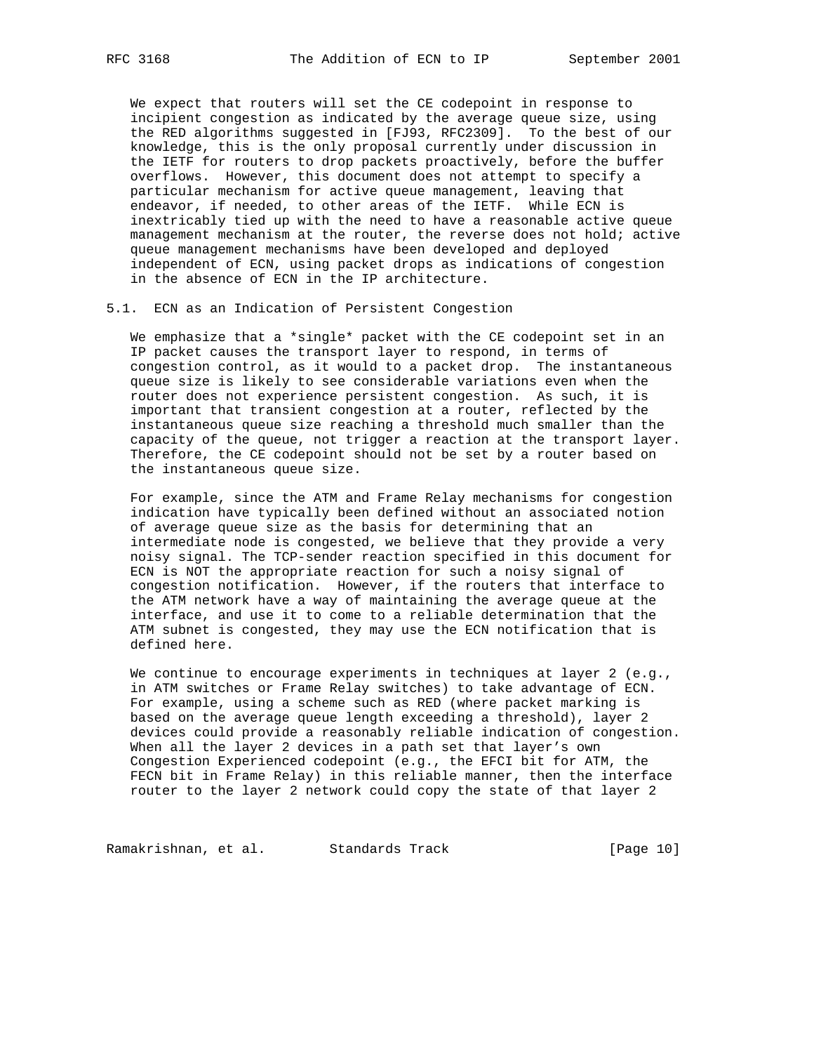We expect that routers will set the CE codepoint in response to incipient congestion as indicated by the average queue size, using the RED algorithms suggested in [FJ93, RFC2309]. To the best of our knowledge, this is the only proposal currently under discussion in the IETF for routers to drop packets proactively, before the buffer overflows. However, this document does not attempt to specify a particular mechanism for active queue management, leaving that endeavor, if needed, to other areas of the IETF. While ECN is inextricably tied up with the need to have a reasonable active queue management mechanism at the router, the reverse does not hold; active queue management mechanisms have been developed and deployed independent of ECN, using packet drops as indications of congestion in the absence of ECN in the IP architecture.

5.1. ECN as an Indication of Persistent Congestion

 We emphasize that a \*single\* packet with the CE codepoint set in an IP packet causes the transport layer to respond, in terms of congestion control, as it would to a packet drop. The instantaneous queue size is likely to see considerable variations even when the router does not experience persistent congestion. As such, it is important that transient congestion at a router, reflected by the instantaneous queue size reaching a threshold much smaller than the capacity of the queue, not trigger a reaction at the transport layer. Therefore, the CE codepoint should not be set by a router based on the instantaneous queue size.

 For example, since the ATM and Frame Relay mechanisms for congestion indication have typically been defined without an associated notion of average queue size as the basis for determining that an intermediate node is congested, we believe that they provide a very noisy signal. The TCP-sender reaction specified in this document for ECN is NOT the appropriate reaction for such a noisy signal of congestion notification. However, if the routers that interface to the ATM network have a way of maintaining the average queue at the interface, and use it to come to a reliable determination that the ATM subnet is congested, they may use the ECN notification that is defined here.

We continue to encourage experiments in techniques at layer 2 (e.g., in ATM switches or Frame Relay switches) to take advantage of ECN. For example, using a scheme such as RED (where packet marking is based on the average queue length exceeding a threshold), layer 2 devices could provide a reasonably reliable indication of congestion. When all the layer 2 devices in a path set that layer's own Congestion Experienced codepoint (e.g., the EFCI bit for ATM, the FECN bit in Frame Relay) in this reliable manner, then the interface router to the layer 2 network could copy the state of that layer 2

Ramakrishnan, et al. Standards Track [Page 10]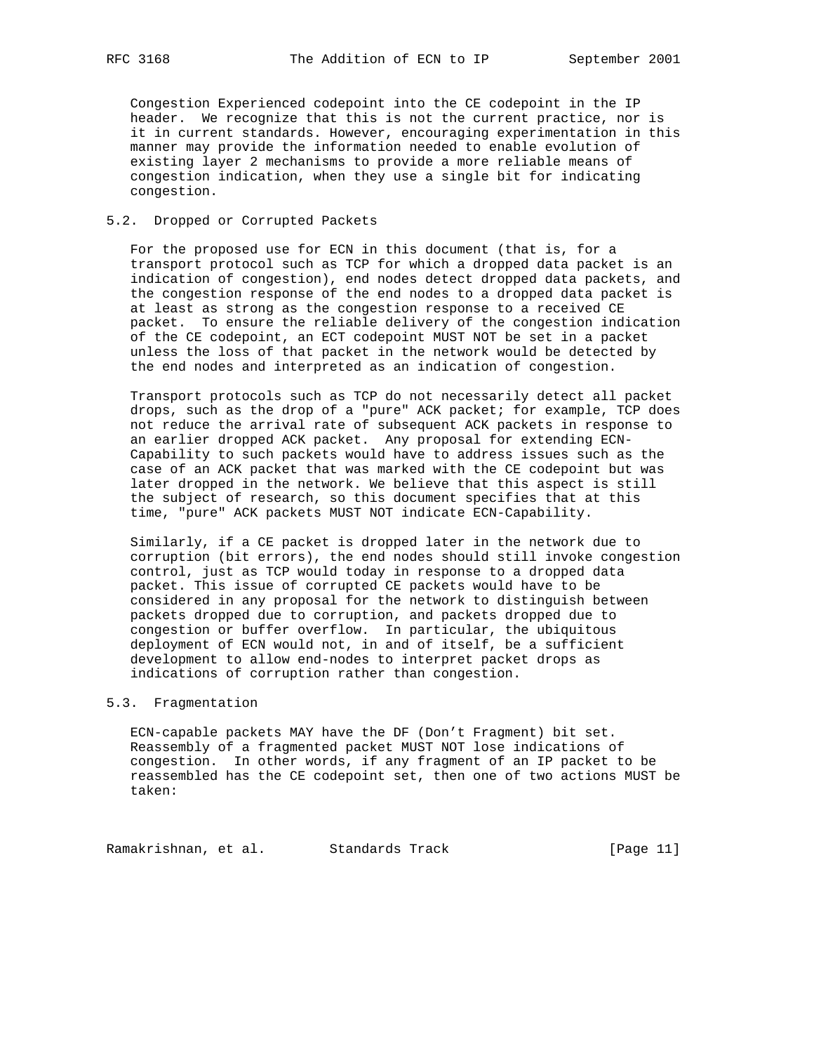Congestion Experienced codepoint into the CE codepoint in the IP header. We recognize that this is not the current practice, nor is it in current standards. However, encouraging experimentation in this manner may provide the information needed to enable evolution of existing layer 2 mechanisms to provide a more reliable means of congestion indication, when they use a single bit for indicating congestion.

#### 5.2. Dropped or Corrupted Packets

 For the proposed use for ECN in this document (that is, for a transport protocol such as TCP for which a dropped data packet is an indication of congestion), end nodes detect dropped data packets, and the congestion response of the end nodes to a dropped data packet is at least as strong as the congestion response to a received CE packet. To ensure the reliable delivery of the congestion indication of the CE codepoint, an ECT codepoint MUST NOT be set in a packet unless the loss of that packet in the network would be detected by the end nodes and interpreted as an indication of congestion.

 Transport protocols such as TCP do not necessarily detect all packet drops, such as the drop of a "pure" ACK packet; for example, TCP does not reduce the arrival rate of subsequent ACK packets in response to an earlier dropped ACK packet. Any proposal for extending ECN- Capability to such packets would have to address issues such as the case of an ACK packet that was marked with the CE codepoint but was later dropped in the network. We believe that this aspect is still the subject of research, so this document specifies that at this time, "pure" ACK packets MUST NOT indicate ECN-Capability.

 Similarly, if a CE packet is dropped later in the network due to corruption (bit errors), the end nodes should still invoke congestion control, just as TCP would today in response to a dropped data packet. This issue of corrupted CE packets would have to be considered in any proposal for the network to distinguish between packets dropped due to corruption, and packets dropped due to congestion or buffer overflow. In particular, the ubiquitous deployment of ECN would not, in and of itself, be a sufficient development to allow end-nodes to interpret packet drops as indications of corruption rather than congestion.

### 5.3. Fragmentation

 ECN-capable packets MAY have the DF (Don't Fragment) bit set. Reassembly of a fragmented packet MUST NOT lose indications of congestion. In other words, if any fragment of an IP packet to be reassembled has the CE codepoint set, then one of two actions MUST be taken:

Ramakrishnan, et al. Standards Track (Page 11)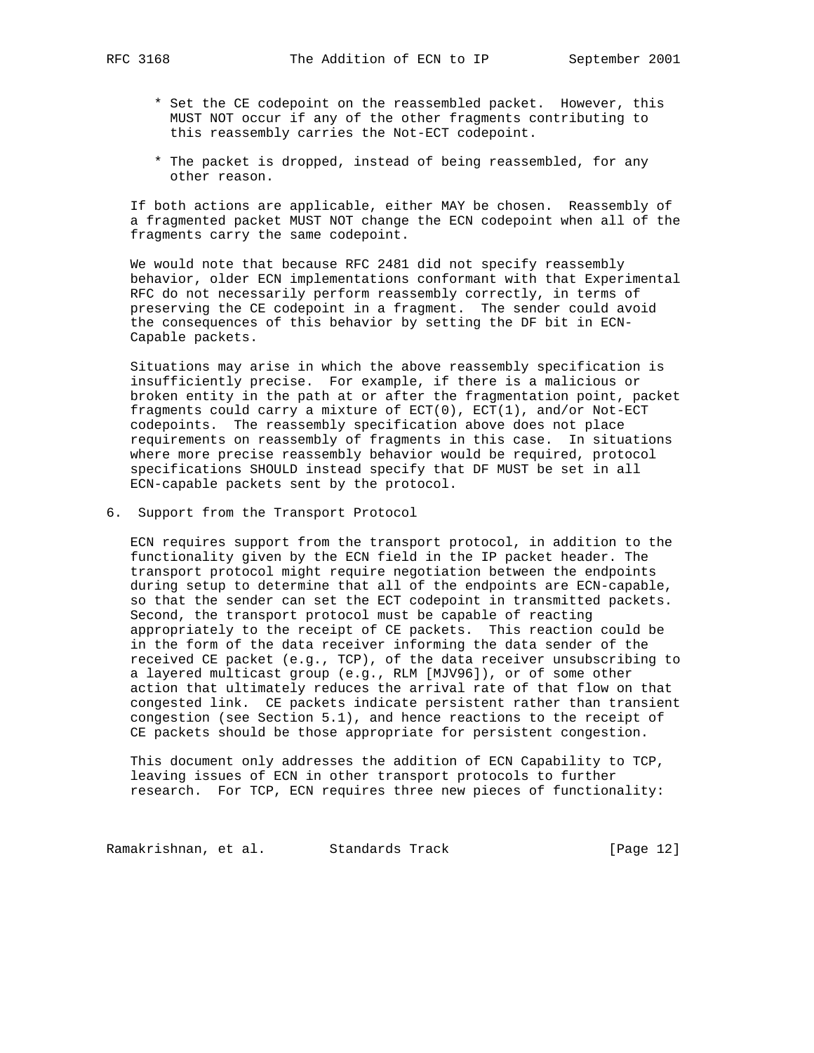- - \* Set the CE codepoint on the reassembled packet. However, this MUST NOT occur if any of the other fragments contributing to this reassembly carries the Not-ECT codepoint.
	- \* The packet is dropped, instead of being reassembled, for any other reason.

 If both actions are applicable, either MAY be chosen. Reassembly of a fragmented packet MUST NOT change the ECN codepoint when all of the fragments carry the same codepoint.

 We would note that because RFC 2481 did not specify reassembly behavior, older ECN implementations conformant with that Experimental RFC do not necessarily perform reassembly correctly, in terms of preserving the CE codepoint in a fragment. The sender could avoid the consequences of this behavior by setting the DF bit in ECN- Capable packets.

 Situations may arise in which the above reassembly specification is insufficiently precise. For example, if there is a malicious or broken entity in the path at or after the fragmentation point, packet fragments could carry a mixture of ECT(0), ECT(1), and/or Not-ECT codepoints. The reassembly specification above does not place requirements on reassembly of fragments in this case. In situations where more precise reassembly behavior would be required, protocol specifications SHOULD instead specify that DF MUST be set in all ECN-capable packets sent by the protocol.

6. Support from the Transport Protocol

 ECN requires support from the transport protocol, in addition to the functionality given by the ECN field in the IP packet header. The transport protocol might require negotiation between the endpoints during setup to determine that all of the endpoints are ECN-capable, so that the sender can set the ECT codepoint in transmitted packets. Second, the transport protocol must be capable of reacting appropriately to the receipt of CE packets. This reaction could be in the form of the data receiver informing the data sender of the received CE packet (e.g., TCP), of the data receiver unsubscribing to a layered multicast group (e.g., RLM [MJV96]), or of some other action that ultimately reduces the arrival rate of that flow on that congested link. CE packets indicate persistent rather than transient congestion (see Section 5.1), and hence reactions to the receipt of CE packets should be those appropriate for persistent congestion.

 This document only addresses the addition of ECN Capability to TCP, leaving issues of ECN in other transport protocols to further research. For TCP, ECN requires three new pieces of functionality:

Ramakrishnan, et al. Standards Track [Page 12]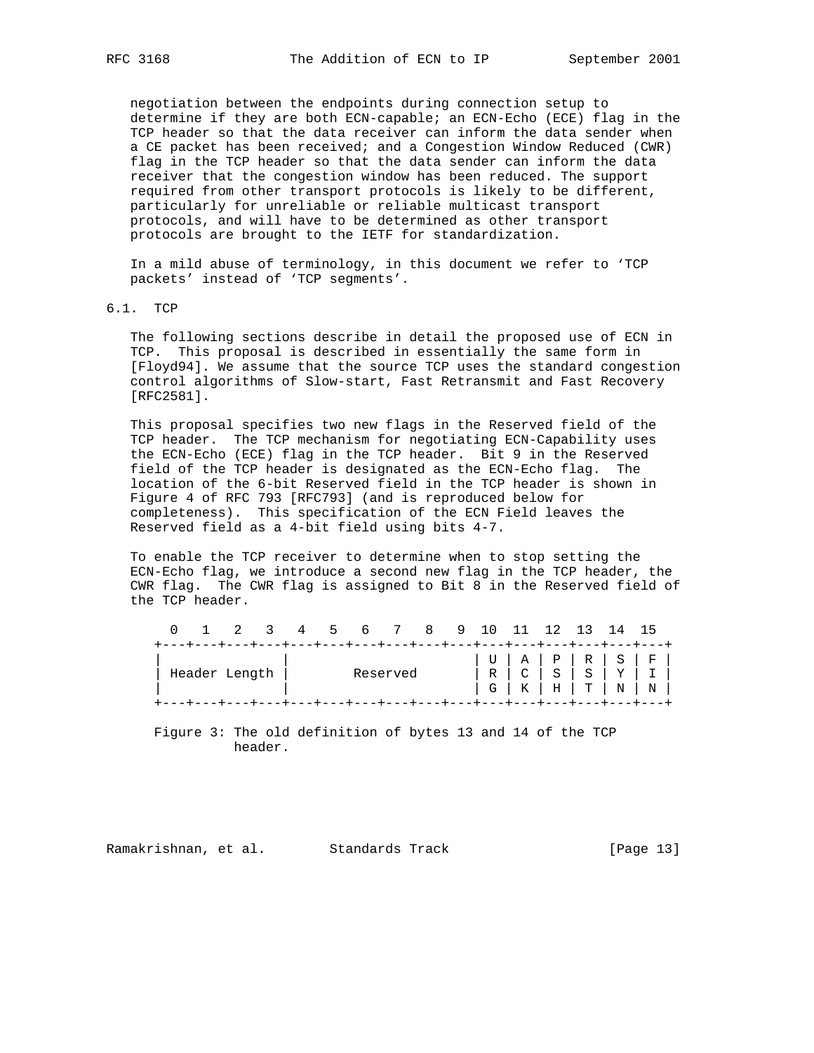negotiation between the endpoints during connection setup to determine if they are both ECN-capable; an ECN-Echo (ECE) flag in the TCP header so that the data receiver can inform the data sender when a CE packet has been received; and a Congestion Window Reduced (CWR) flag in the TCP header so that the data sender can inform the data receiver that the congestion window has been reduced. The support required from other transport protocols is likely to be different, particularly for unreliable or reliable multicast transport protocols, and will have to be determined as other transport protocols are brought to the IETF for standardization.

 In a mild abuse of terminology, in this document we refer to 'TCP packets' instead of 'TCP segments'.

6.1. TCP

 The following sections describe in detail the proposed use of ECN in TCP. This proposal is described in essentially the same form in [Floyd94]. We assume that the source TCP uses the standard congestion control algorithms of Slow-start, Fast Retransmit and Fast Recovery [RFC2581].

 This proposal specifies two new flags in the Reserved field of the TCP header. The TCP mechanism for negotiating ECN-Capability uses the ECN-Echo (ECE) flag in the TCP header. Bit 9 in the Reserved field of the TCP header is designated as the ECN-Echo flag. The location of the 6-bit Reserved field in the TCP header is shown in Figure 4 of RFC 793 [RFC793] (and is reproduced below for completeness). This specification of the ECN Field leaves the Reserved field as a 4-bit field using bits 4-7.

 To enable the TCP receiver to determine when to stop setting the ECN-Echo flag, we introduce a second new flag in the TCP header, the CWR flag. The CWR flag is assigned to Bit 8 in the Reserved field of the TCP header.

|               |  |  |          |                                                                      | 0 1 2 3 4 5 6 7 8 9 10 11 12 13 14 15                                     |  |  |  |  |  |  |  |
|---------------|--|--|----------|----------------------------------------------------------------------|---------------------------------------------------------------------------|--|--|--|--|--|--|--|
|               |  |  |          | +---+---+---+---+---+---+---+---+---+---+---+---+---+---+---+---+--- |                                                                           |  |  |  |  |  |  |  |
| Header Length |  |  | Reserved |                                                                      |                                                                           |  |  |  |  |  |  |  |
|               |  |  |          |                                                                      |                                                                           |  |  |  |  |  |  |  |
|               |  |  |          |                                                                      | +----+---+---+---+---+---+---+---+---+---+---+---+---+---+---+---+---+--- |  |  |  |  |  |  |  |

 Figure 3: The old definition of bytes 13 and 14 of the TCP header.

Ramakrishnan, et al. Standards Track [Page 13]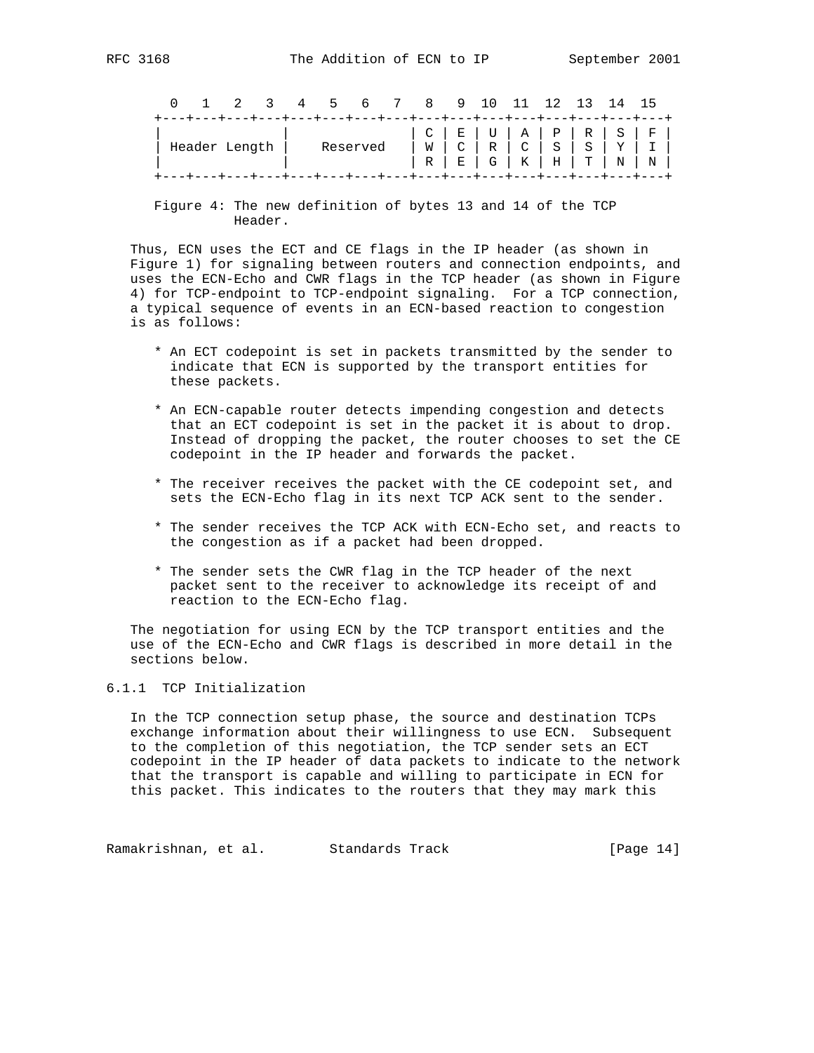|                                                                           |  |  |  |  |  | 0 1 2 3 4 5 6 7 8 9 10 11 12 13 14 15 |  |  |  |  |  |  |
|---------------------------------------------------------------------------|--|--|--|--|--|---------------------------------------|--|--|--|--|--|--|
| +----+---+---+---+---+---+---+---+---+---+---+---+---+---+---+---+---+--- |  |  |  |  |  |                                       |  |  |  |  |  |  |
|                                                                           |  |  |  |  |  |                                       |  |  |  |  |  |  |
| ' Header Length                                                           |  |  |  |  |  |                                       |  |  |  |  |  |  |
|                                                                           |  |  |  |  |  |                                       |  |  |  |  |  |  |
| +---+---+---+---+---+---+---+---+---+---+---+---+---+---+---+---+-        |  |  |  |  |  |                                       |  |  |  |  |  |  |

 Figure 4: The new definition of bytes 13 and 14 of the TCP Header.

 Thus, ECN uses the ECT and CE flags in the IP header (as shown in Figure 1) for signaling between routers and connection endpoints, and uses the ECN-Echo and CWR flags in the TCP header (as shown in Figure 4) for TCP-endpoint to TCP-endpoint signaling. For a TCP connection, a typical sequence of events in an ECN-based reaction to congestion is as follows:

- \* An ECT codepoint is set in packets transmitted by the sender to indicate that ECN is supported by the transport entities for these packets.
- \* An ECN-capable router detects impending congestion and detects that an ECT codepoint is set in the packet it is about to drop. Instead of dropping the packet, the router chooses to set the CE codepoint in the IP header and forwards the packet.
- \* The receiver receives the packet with the CE codepoint set, and sets the ECN-Echo flag in its next TCP ACK sent to the sender.
- \* The sender receives the TCP ACK with ECN-Echo set, and reacts to the congestion as if a packet had been dropped.
- \* The sender sets the CWR flag in the TCP header of the next packet sent to the receiver to acknowledge its receipt of and reaction to the ECN-Echo flag.

 The negotiation for using ECN by the TCP transport entities and the use of the ECN-Echo and CWR flags is described in more detail in the sections below.

### 6.1.1 TCP Initialization

 In the TCP connection setup phase, the source and destination TCPs exchange information about their willingness to use ECN. Subsequent to the completion of this negotiation, the TCP sender sets an ECT codepoint in the IP header of data packets to indicate to the network that the transport is capable and willing to participate in ECN for this packet. This indicates to the routers that they may mark this

Ramakrishnan, et al. Standards Track (Page 14)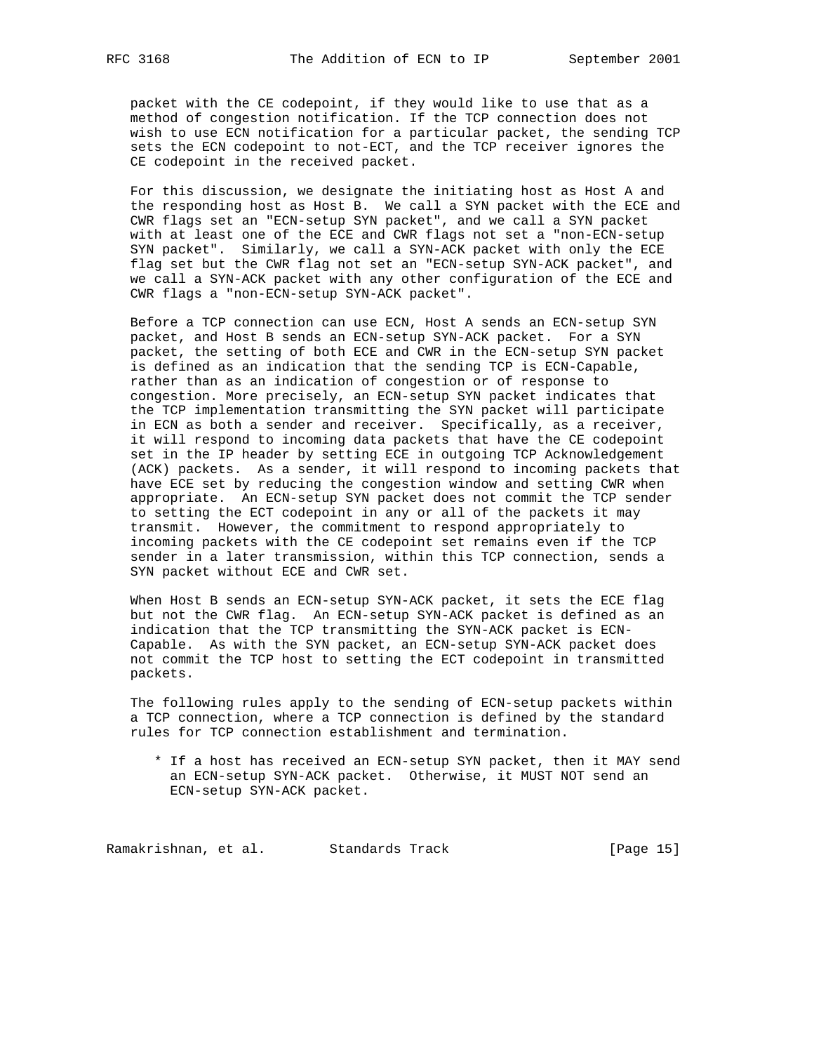packet with the CE codepoint, if they would like to use that as a method of congestion notification. If the TCP connection does not wish to use ECN notification for a particular packet, the sending TCP sets the ECN codepoint to not-ECT, and the TCP receiver ignores the CE codepoint in the received packet.

 For this discussion, we designate the initiating host as Host A and the responding host as Host B. We call a SYN packet with the ECE and CWR flags set an "ECN-setup SYN packet", and we call a SYN packet with at least one of the ECE and CWR flags not set a "non-ECN-setup SYN packet". Similarly, we call a SYN-ACK packet with only the ECE flag set but the CWR flag not set an "ECN-setup SYN-ACK packet", and we call a SYN-ACK packet with any other configuration of the ECE and CWR flags a "non-ECN-setup SYN-ACK packet".

 Before a TCP connection can use ECN, Host A sends an ECN-setup SYN packet, and Host B sends an ECN-setup SYN-ACK packet. For a SYN packet, the setting of both ECE and CWR in the ECN-setup SYN packet is defined as an indication that the sending TCP is ECN-Capable, rather than as an indication of congestion or of response to congestion. More precisely, an ECN-setup SYN packet indicates that the TCP implementation transmitting the SYN packet will participate in ECN as both a sender and receiver. Specifically, as a receiver, it will respond to incoming data packets that have the CE codepoint set in the IP header by setting ECE in outgoing TCP Acknowledgement (ACK) packets. As a sender, it will respond to incoming packets that have ECE set by reducing the congestion window and setting CWR when appropriate. An ECN-setup SYN packet does not commit the TCP sender to setting the ECT codepoint in any or all of the packets it may transmit. However, the commitment to respond appropriately to incoming packets with the CE codepoint set remains even if the TCP sender in a later transmission, within this TCP connection, sends a SYN packet without ECE and CWR set.

 When Host B sends an ECN-setup SYN-ACK packet, it sets the ECE flag but not the CWR flag. An ECN-setup SYN-ACK packet is defined as an indication that the TCP transmitting the SYN-ACK packet is ECN- Capable. As with the SYN packet, an ECN-setup SYN-ACK packet does not commit the TCP host to setting the ECT codepoint in transmitted packets.

 The following rules apply to the sending of ECN-setup packets within a TCP connection, where a TCP connection is defined by the standard rules for TCP connection establishment and termination.

 \* If a host has received an ECN-setup SYN packet, then it MAY send an ECN-setup SYN-ACK packet. Otherwise, it MUST NOT send an ECN-setup SYN-ACK packet.

Ramakrishnan, et al. Standards Track (Page 15)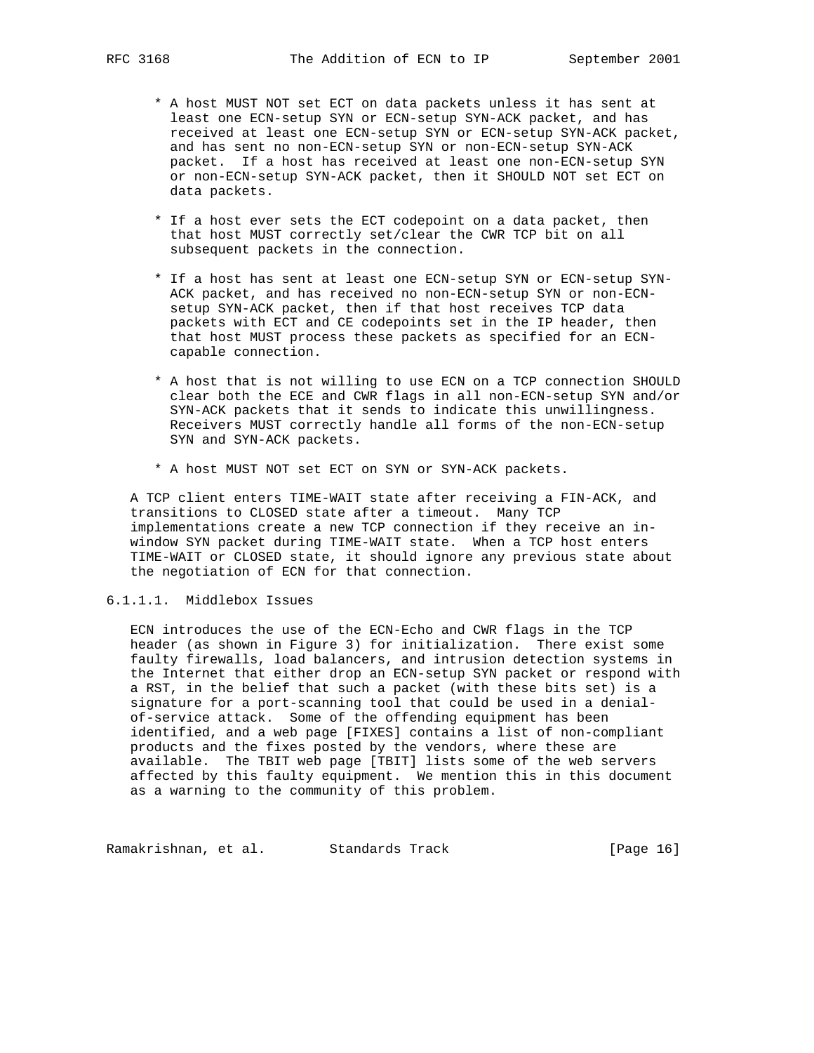- \* A host MUST NOT set ECT on data packets unless it has sent at least one ECN-setup SYN or ECN-setup SYN-ACK packet, and has received at least one ECN-setup SYN or ECN-setup SYN-ACK packet, and has sent no non-ECN-setup SYN or non-ECN-setup SYN-ACK packet. If a host has received at least one non-ECN-setup SYN or non-ECN-setup SYN-ACK packet, then it SHOULD NOT set ECT on data packets.
- \* If a host ever sets the ECT codepoint on a data packet, then that host MUST correctly set/clear the CWR TCP bit on all subsequent packets in the connection.
- \* If a host has sent at least one ECN-setup SYN or ECN-setup SYN- ACK packet, and has received no non-ECN-setup SYN or non-ECN setup SYN-ACK packet, then if that host receives TCP data packets with ECT and CE codepoints set in the IP header, then that host MUST process these packets as specified for an ECN capable connection.
- \* A host that is not willing to use ECN on a TCP connection SHOULD clear both the ECE and CWR flags in all non-ECN-setup SYN and/or SYN-ACK packets that it sends to indicate this unwillingness. Receivers MUST correctly handle all forms of the non-ECN-setup SYN and SYN-ACK packets.
- \* A host MUST NOT set ECT on SYN or SYN-ACK packets.

 A TCP client enters TIME-WAIT state after receiving a FIN-ACK, and transitions to CLOSED state after a timeout. Many TCP implementations create a new TCP connection if they receive an in window SYN packet during TIME-WAIT state. When a TCP host enters TIME-WAIT or CLOSED state, it should ignore any previous state about the negotiation of ECN for that connection.

# 6.1.1.1. Middlebox Issues

 ECN introduces the use of the ECN-Echo and CWR flags in the TCP header (as shown in Figure 3) for initialization. There exist some faulty firewalls, load balancers, and intrusion detection systems in the Internet that either drop an ECN-setup SYN packet or respond with a RST, in the belief that such a packet (with these bits set) is a signature for a port-scanning tool that could be used in a denial of-service attack. Some of the offending equipment has been identified, and a web page [FIXES] contains a list of non-compliant products and the fixes posted by the vendors, where these are available. The TBIT web page [TBIT] lists some of the web servers affected by this faulty equipment. We mention this in this document as a warning to the community of this problem.

Ramakrishnan, et al. Standards Track [Page 16]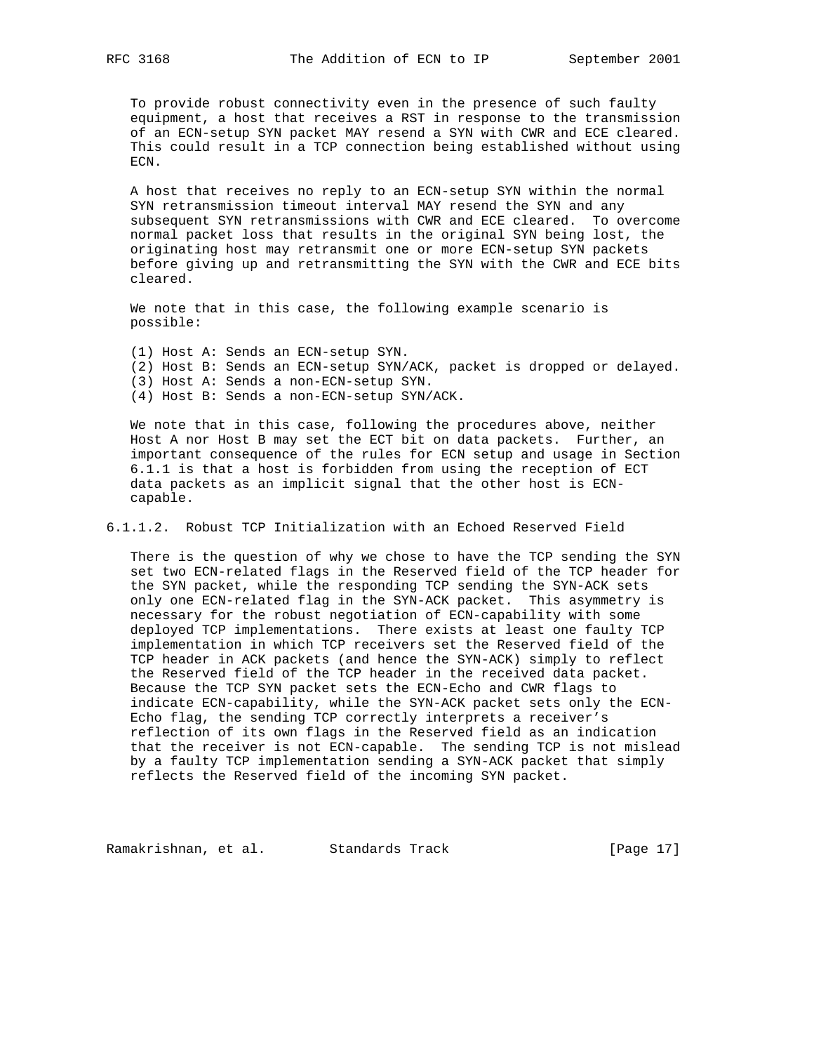To provide robust connectivity even in the presence of such faulty equipment, a host that receives a RST in response to the transmission of an ECN-setup SYN packet MAY resend a SYN with CWR and ECE cleared. This could result in a TCP connection being established without using ECN.

 A host that receives no reply to an ECN-setup SYN within the normal SYN retransmission timeout interval MAY resend the SYN and any subsequent SYN retransmissions with CWR and ECE cleared. To overcome normal packet loss that results in the original SYN being lost, the originating host may retransmit one or more ECN-setup SYN packets before giving up and retransmitting the SYN with the CWR and ECE bits cleared.

 We note that in this case, the following example scenario is possible:

 (1) Host A: Sends an ECN-setup SYN. (2) Host B: Sends an ECN-setup SYN/ACK, packet is dropped or delayed. (3) Host A: Sends a non-ECN-setup SYN. (4) Host B: Sends a non-ECN-setup SYN/ACK.

 We note that in this case, following the procedures above, neither Host A nor Host B may set the ECT bit on data packets. Further, an important consequence of the rules for ECN setup and usage in Section 6.1.1 is that a host is forbidden from using the reception of ECT data packets as an implicit signal that the other host is ECN capable.

6.1.1.2. Robust TCP Initialization with an Echoed Reserved Field

 There is the question of why we chose to have the TCP sending the SYN set two ECN-related flags in the Reserved field of the TCP header for the SYN packet, while the responding TCP sending the SYN-ACK sets only one ECN-related flag in the SYN-ACK packet. This asymmetry is necessary for the robust negotiation of ECN-capability with some deployed TCP implementations. There exists at least one faulty TCP implementation in which TCP receivers set the Reserved field of the TCP header in ACK packets (and hence the SYN-ACK) simply to reflect the Reserved field of the TCP header in the received data packet. Because the TCP SYN packet sets the ECN-Echo and CWR flags to indicate ECN-capability, while the SYN-ACK packet sets only the ECN- Echo flag, the sending TCP correctly interprets a receiver's reflection of its own flags in the Reserved field as an indication that the receiver is not ECN-capable. The sending TCP is not mislead by a faulty TCP implementation sending a SYN-ACK packet that simply reflects the Reserved field of the incoming SYN packet.

Ramakrishnan, et al. Standards Track (Page 17)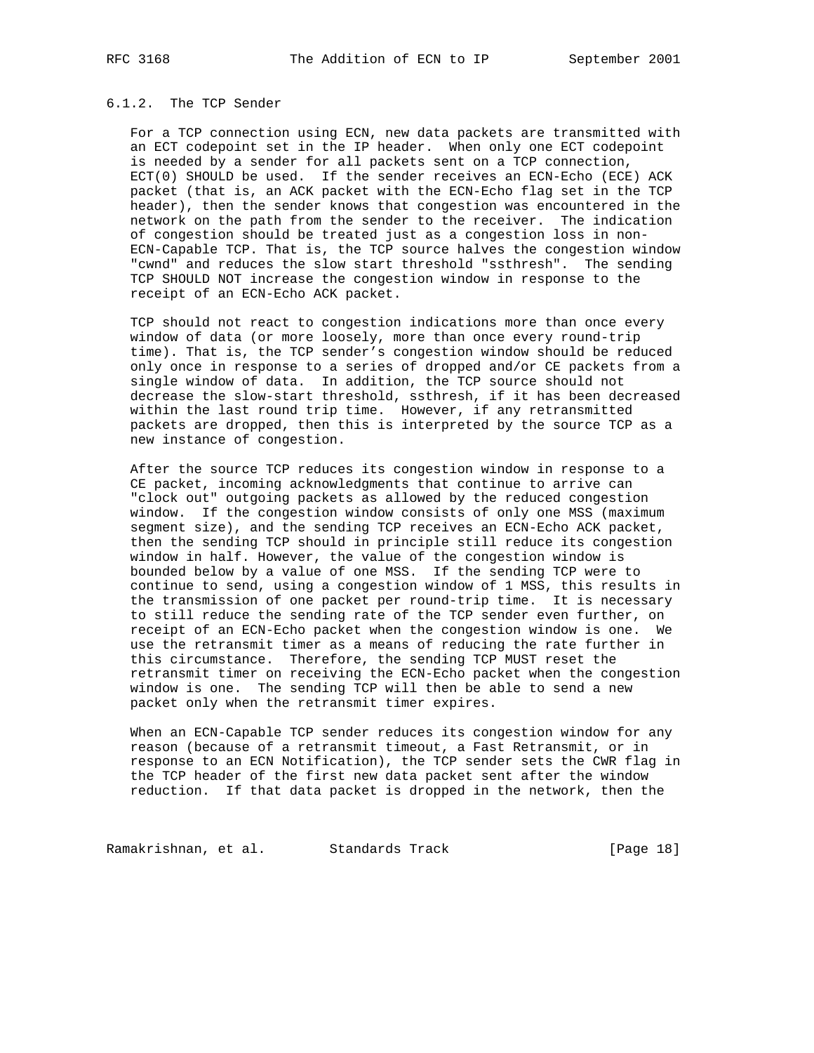## 6.1.2. The TCP Sender

 For a TCP connection using ECN, new data packets are transmitted with an ECT codepoint set in the IP header. When only one ECT codepoint is needed by a sender for all packets sent on a TCP connection, ECT(0) SHOULD be used. If the sender receives an ECN-Echo (ECE) ACK packet (that is, an ACK packet with the ECN-Echo flag set in the TCP header), then the sender knows that congestion was encountered in the network on the path from the sender to the receiver. The indication of congestion should be treated just as a congestion loss in non- ECN-Capable TCP. That is, the TCP source halves the congestion window "cwnd" and reduces the slow start threshold "ssthresh". The sending TCP SHOULD NOT increase the congestion window in response to the receipt of an ECN-Echo ACK packet.

 TCP should not react to congestion indications more than once every window of data (or more loosely, more than once every round-trip time). That is, the TCP sender's congestion window should be reduced only once in response to a series of dropped and/or CE packets from a single window of data. In addition, the TCP source should not decrease the slow-start threshold, ssthresh, if it has been decreased within the last round trip time. However, if any retransmitted packets are dropped, then this is interpreted by the source TCP as a new instance of congestion.

 After the source TCP reduces its congestion window in response to a CE packet, incoming acknowledgments that continue to arrive can "clock out" outgoing packets as allowed by the reduced congestion window. If the congestion window consists of only one MSS (maximum segment size), and the sending TCP receives an ECN-Echo ACK packet, then the sending TCP should in principle still reduce its congestion window in half. However, the value of the congestion window is bounded below by a value of one MSS. If the sending TCP were to continue to send, using a congestion window of 1 MSS, this results in the transmission of one packet per round-trip time. It is necessary to still reduce the sending rate of the TCP sender even further, on receipt of an ECN-Echo packet when the congestion window is one. We use the retransmit timer as a means of reducing the rate further in this circumstance. Therefore, the sending TCP MUST reset the retransmit timer on receiving the ECN-Echo packet when the congestion window is one. The sending TCP will then be able to send a new packet only when the retransmit timer expires.

 When an ECN-Capable TCP sender reduces its congestion window for any reason (because of a retransmit timeout, a Fast Retransmit, or in response to an ECN Notification), the TCP sender sets the CWR flag in the TCP header of the first new data packet sent after the window reduction. If that data packet is dropped in the network, then the

Ramakrishnan, et al. Standards Track (Page 18)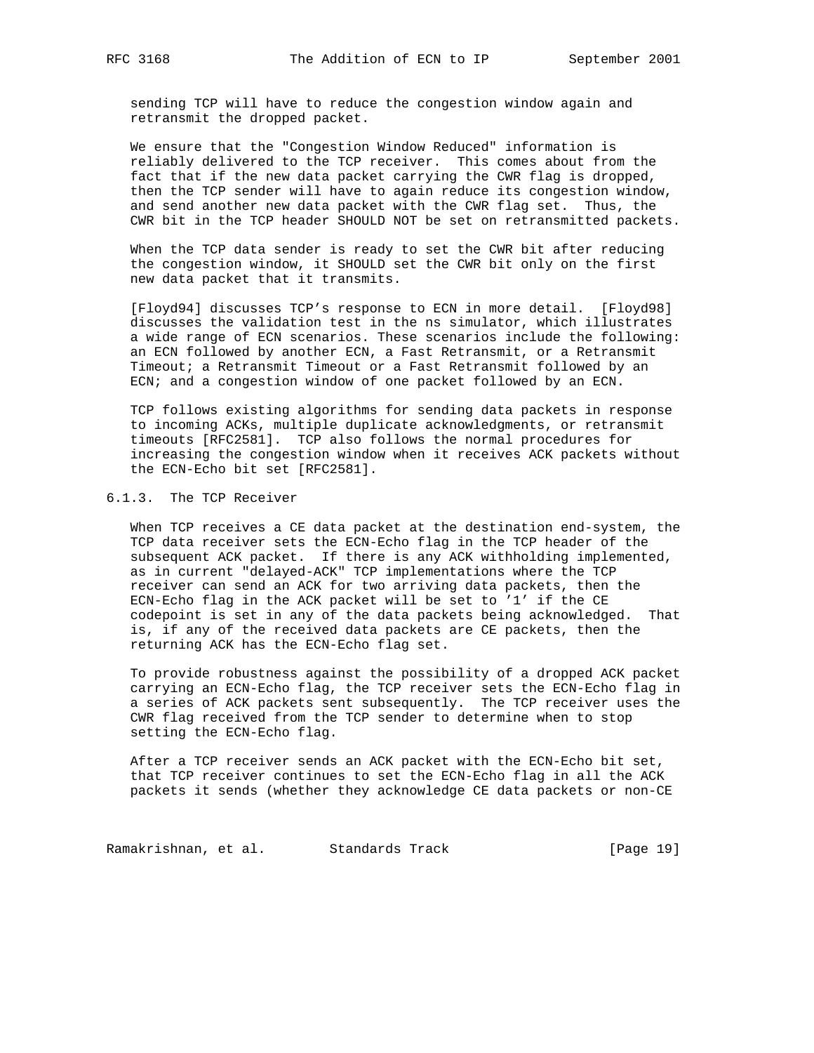sending TCP will have to reduce the congestion window again and retransmit the dropped packet.

 We ensure that the "Congestion Window Reduced" information is reliably delivered to the TCP receiver. This comes about from the fact that if the new data packet carrying the CWR flag is dropped, then the TCP sender will have to again reduce its congestion window, and send another new data packet with the CWR flag set. Thus, the CWR bit in the TCP header SHOULD NOT be set on retransmitted packets.

 When the TCP data sender is ready to set the CWR bit after reducing the congestion window, it SHOULD set the CWR bit only on the first new data packet that it transmits.

 [Floyd94] discusses TCP's response to ECN in more detail. [Floyd98] discusses the validation test in the ns simulator, which illustrates a wide range of ECN scenarios. These scenarios include the following: an ECN followed by another ECN, a Fast Retransmit, or a Retransmit Timeout; a Retransmit Timeout or a Fast Retransmit followed by an ECN; and a congestion window of one packet followed by an ECN.

 TCP follows existing algorithms for sending data packets in response to incoming ACKs, multiple duplicate acknowledgments, or retransmit timeouts [RFC2581]. TCP also follows the normal procedures for increasing the congestion window when it receives ACK packets without the ECN-Echo bit set [RFC2581].

# 6.1.3. The TCP Receiver

 When TCP receives a CE data packet at the destination end-system, the TCP data receiver sets the ECN-Echo flag in the TCP header of the subsequent ACK packet. If there is any ACK withholding implemented, as in current "delayed-ACK" TCP implementations where the TCP receiver can send an ACK for two arriving data packets, then the ECN-Echo flag in the ACK packet will be set to '1' if the CE codepoint is set in any of the data packets being acknowledged. That is, if any of the received data packets are CE packets, then the returning ACK has the ECN-Echo flag set.

 To provide robustness against the possibility of a dropped ACK packet carrying an ECN-Echo flag, the TCP receiver sets the ECN-Echo flag in a series of ACK packets sent subsequently. The TCP receiver uses the CWR flag received from the TCP sender to determine when to stop setting the ECN-Echo flag.

 After a TCP receiver sends an ACK packet with the ECN-Echo bit set, that TCP receiver continues to set the ECN-Echo flag in all the ACK packets it sends (whether they acknowledge CE data packets or non-CE

Ramakrishnan, et al. Standards Track [Page 19]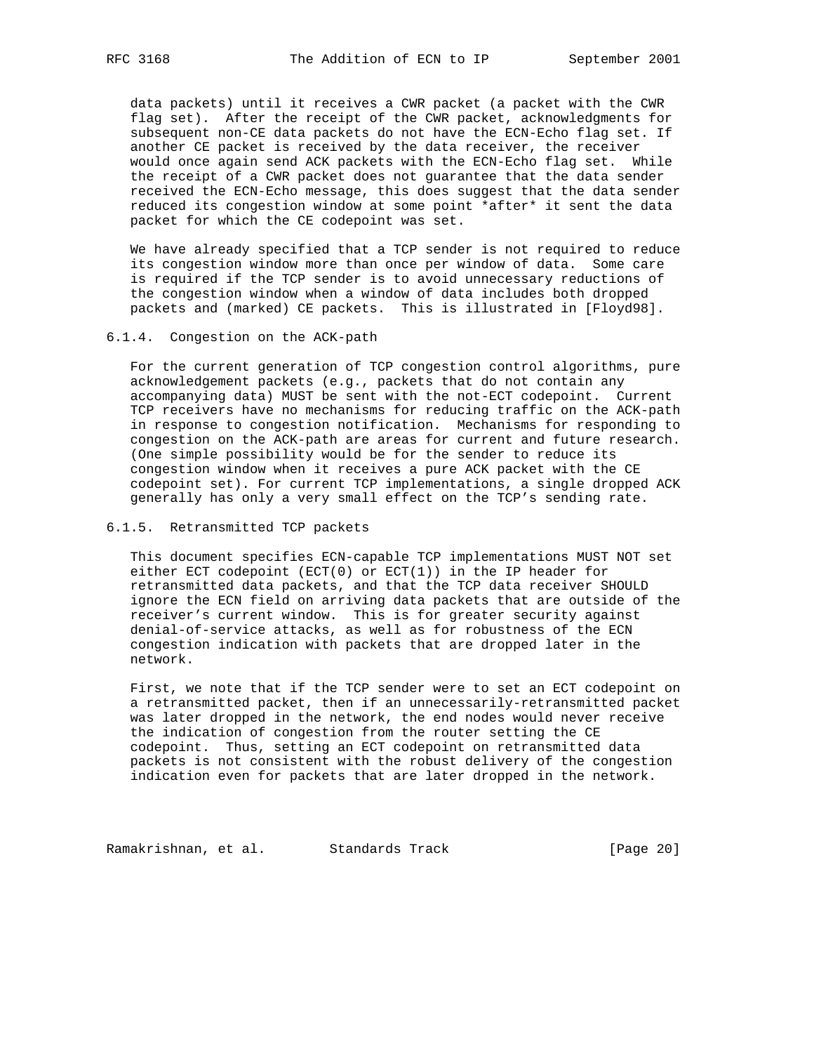data packets) until it receives a CWR packet (a packet with the CWR flag set). After the receipt of the CWR packet, acknowledgments for subsequent non-CE data packets do not have the ECN-Echo flag set. If another CE packet is received by the data receiver, the receiver would once again send ACK packets with the ECN-Echo flag set. While the receipt of a CWR packet does not guarantee that the data sender received the ECN-Echo message, this does suggest that the data sender reduced its congestion window at some point \*after\* it sent the data packet for which the CE codepoint was set.

 We have already specified that a TCP sender is not required to reduce its congestion window more than once per window of data. Some care is required if the TCP sender is to avoid unnecessary reductions of the congestion window when a window of data includes both dropped packets and (marked) CE packets. This is illustrated in [Floyd98].

#### 6.1.4. Congestion on the ACK-path

 For the current generation of TCP congestion control algorithms, pure acknowledgement packets (e.g., packets that do not contain any accompanying data) MUST be sent with the not-ECT codepoint. Current TCP receivers have no mechanisms for reducing traffic on the ACK-path in response to congestion notification. Mechanisms for responding to congestion on the ACK-path are areas for current and future research. (One simple possibility would be for the sender to reduce its congestion window when it receives a pure ACK packet with the CE codepoint set). For current TCP implementations, a single dropped ACK generally has only a very small effect on the TCP's sending rate.

# 6.1.5. Retransmitted TCP packets

 This document specifies ECN-capable TCP implementations MUST NOT set either ECT codepoint  $(ECT(0)$  or  $ECT(1))$  in the IP header for retransmitted data packets, and that the TCP data receiver SHOULD ignore the ECN field on arriving data packets that are outside of the receiver's current window. This is for greater security against denial-of-service attacks, as well as for robustness of the ECN congestion indication with packets that are dropped later in the network.

 First, we note that if the TCP sender were to set an ECT codepoint on a retransmitted packet, then if an unnecessarily-retransmitted packet was later dropped in the network, the end nodes would never receive the indication of congestion from the router setting the CE codepoint. Thus, setting an ECT codepoint on retransmitted data packets is not consistent with the robust delivery of the congestion indication even for packets that are later dropped in the network.

Ramakrishnan, et al. Standards Track (Page 20)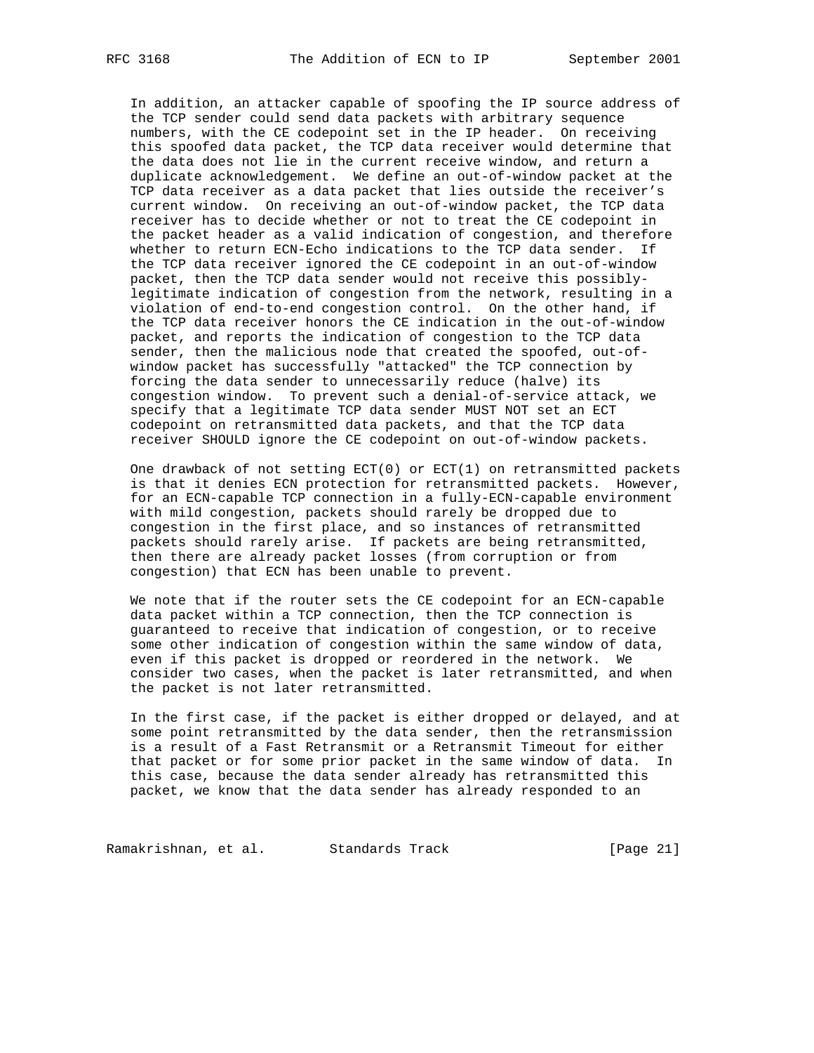In addition, an attacker capable of spoofing the IP source address of the TCP sender could send data packets with arbitrary sequence numbers, with the CE codepoint set in the IP header. On receiving this spoofed data packet, the TCP data receiver would determine that the data does not lie in the current receive window, and return a duplicate acknowledgement. We define an out-of-window packet at the TCP data receiver as a data packet that lies outside the receiver's current window. On receiving an out-of-window packet, the TCP data receiver has to decide whether or not to treat the CE codepoint in the packet header as a valid indication of congestion, and therefore whether to return ECN-Echo indications to the TCP data sender. If the TCP data receiver ignored the CE codepoint in an out-of-window packet, then the TCP data sender would not receive this possibly legitimate indication of congestion from the network, resulting in a violation of end-to-end congestion control. On the other hand, if the TCP data receiver honors the CE indication in the out-of-window packet, and reports the indication of congestion to the TCP data sender, then the malicious node that created the spoofed, out-of window packet has successfully "attacked" the TCP connection by forcing the data sender to unnecessarily reduce (halve) its congestion window. To prevent such a denial-of-service attack, we specify that a legitimate TCP data sender MUST NOT set an ECT codepoint on retransmitted data packets, and that the TCP data receiver SHOULD ignore the CE codepoint on out-of-window packets.

 One drawback of not setting ECT(0) or ECT(1) on retransmitted packets is that it denies ECN protection for retransmitted packets. However, for an ECN-capable TCP connection in a fully-ECN-capable environment with mild congestion, packets should rarely be dropped due to congestion in the first place, and so instances of retransmitted packets should rarely arise. If packets are being retransmitted, then there are already packet losses (from corruption or from congestion) that ECN has been unable to prevent.

 We note that if the router sets the CE codepoint for an ECN-capable data packet within a TCP connection, then the TCP connection is guaranteed to receive that indication of congestion, or to receive some other indication of congestion within the same window of data, even if this packet is dropped or reordered in the network. We consider two cases, when the packet is later retransmitted, and when the packet is not later retransmitted.

 In the first case, if the packet is either dropped or delayed, and at some point retransmitted by the data sender, then the retransmission is a result of a Fast Retransmit or a Retransmit Timeout for either that packet or for some prior packet in the same window of data. In this case, because the data sender already has retransmitted this packet, we know that the data sender has already responded to an

Ramakrishnan, et al. Standards Track [Page 21]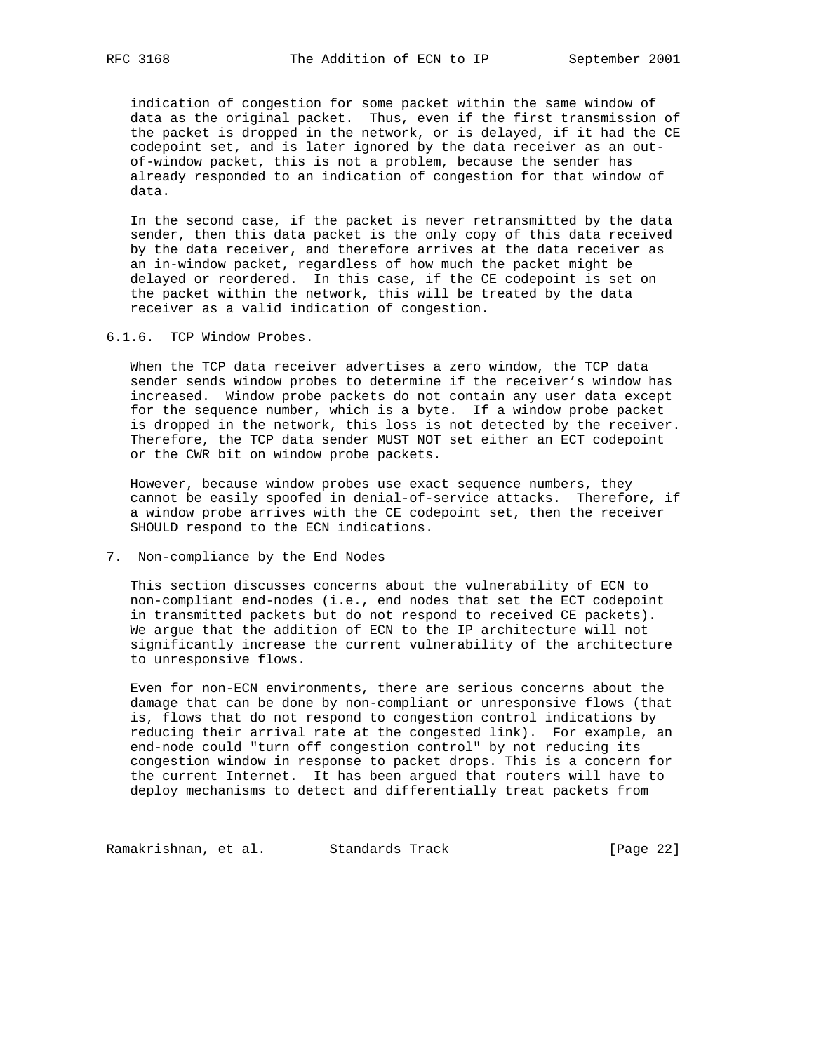indication of congestion for some packet within the same window of data as the original packet. Thus, even if the first transmission of the packet is dropped in the network, or is delayed, if it had the CE codepoint set, and is later ignored by the data receiver as an out of-window packet, this is not a problem, because the sender has already responded to an indication of congestion for that window of data.

 In the second case, if the packet is never retransmitted by the data sender, then this data packet is the only copy of this data received by the data receiver, and therefore arrives at the data receiver as an in-window packet, regardless of how much the packet might be delayed or reordered. In this case, if the CE codepoint is set on the packet within the network, this will be treated by the data receiver as a valid indication of congestion.

6.1.6. TCP Window Probes.

 When the TCP data receiver advertises a zero window, the TCP data sender sends window probes to determine if the receiver's window has increased. Window probe packets do not contain any user data except for the sequence number, which is a byte. If a window probe packet is dropped in the network, this loss is not detected by the receiver. Therefore, the TCP data sender MUST NOT set either an ECT codepoint or the CWR bit on window probe packets.

 However, because window probes use exact sequence numbers, they cannot be easily spoofed in denial-of-service attacks. Therefore, if a window probe arrives with the CE codepoint set, then the receiver SHOULD respond to the ECN indications.

7. Non-compliance by the End Nodes

 This section discusses concerns about the vulnerability of ECN to non-compliant end-nodes (i.e., end nodes that set the ECT codepoint in transmitted packets but do not respond to received CE packets). We argue that the addition of ECN to the IP architecture will not significantly increase the current vulnerability of the architecture to unresponsive flows.

 Even for non-ECN environments, there are serious concerns about the damage that can be done by non-compliant or unresponsive flows (that is, flows that do not respond to congestion control indications by reducing their arrival rate at the congested link). For example, an end-node could "turn off congestion control" by not reducing its congestion window in response to packet drops. This is a concern for the current Internet. It has been argued that routers will have to deploy mechanisms to detect and differentially treat packets from

Ramakrishnan, et al. Standards Track (Page 22)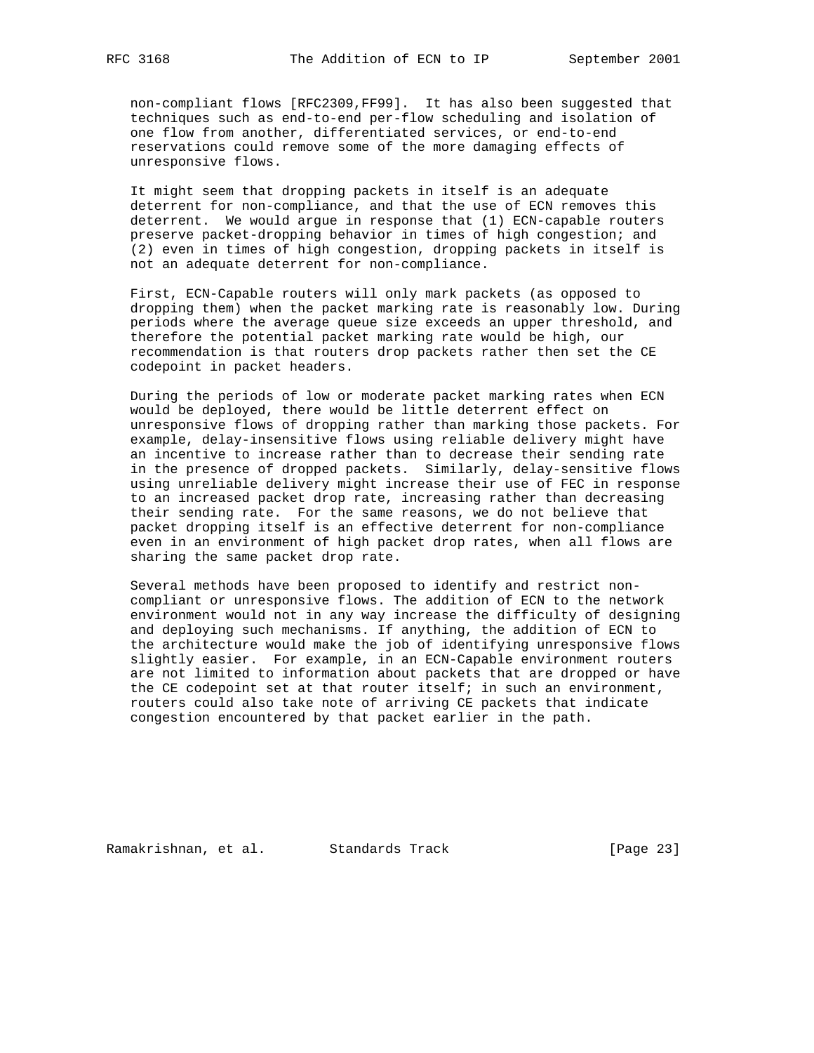non-compliant flows [RFC2309,FF99]. It has also been suggested that techniques such as end-to-end per-flow scheduling and isolation of one flow from another, differentiated services, or end-to-end reservations could remove some of the more damaging effects of unresponsive flows.

 It might seem that dropping packets in itself is an adequate deterrent for non-compliance, and that the use of ECN removes this deterrent. We would argue in response that (1) ECN-capable routers preserve packet-dropping behavior in times of high congestion; and (2) even in times of high congestion, dropping packets in itself is not an adequate deterrent for non-compliance.

 First, ECN-Capable routers will only mark packets (as opposed to dropping them) when the packet marking rate is reasonably low. During periods where the average queue size exceeds an upper threshold, and therefore the potential packet marking rate would be high, our recommendation is that routers drop packets rather then set the CE codepoint in packet headers.

 During the periods of low or moderate packet marking rates when ECN would be deployed, there would be little deterrent effect on unresponsive flows of dropping rather than marking those packets. For example, delay-insensitive flows using reliable delivery might have an incentive to increase rather than to decrease their sending rate in the presence of dropped packets. Similarly, delay-sensitive flows using unreliable delivery might increase their use of FEC in response to an increased packet drop rate, increasing rather than decreasing their sending rate. For the same reasons, we do not believe that packet dropping itself is an effective deterrent for non-compliance even in an environment of high packet drop rates, when all flows are sharing the same packet drop rate.

 Several methods have been proposed to identify and restrict non compliant or unresponsive flows. The addition of ECN to the network environment would not in any way increase the difficulty of designing and deploying such mechanisms. If anything, the addition of ECN to the architecture would make the job of identifying unresponsive flows slightly easier. For example, in an ECN-Capable environment routers are not limited to information about packets that are dropped or have the CE codepoint set at that router itself; in such an environment, routers could also take note of arriving CE packets that indicate congestion encountered by that packet earlier in the path.

Ramakrishnan, et al. Standards Track (Page 23)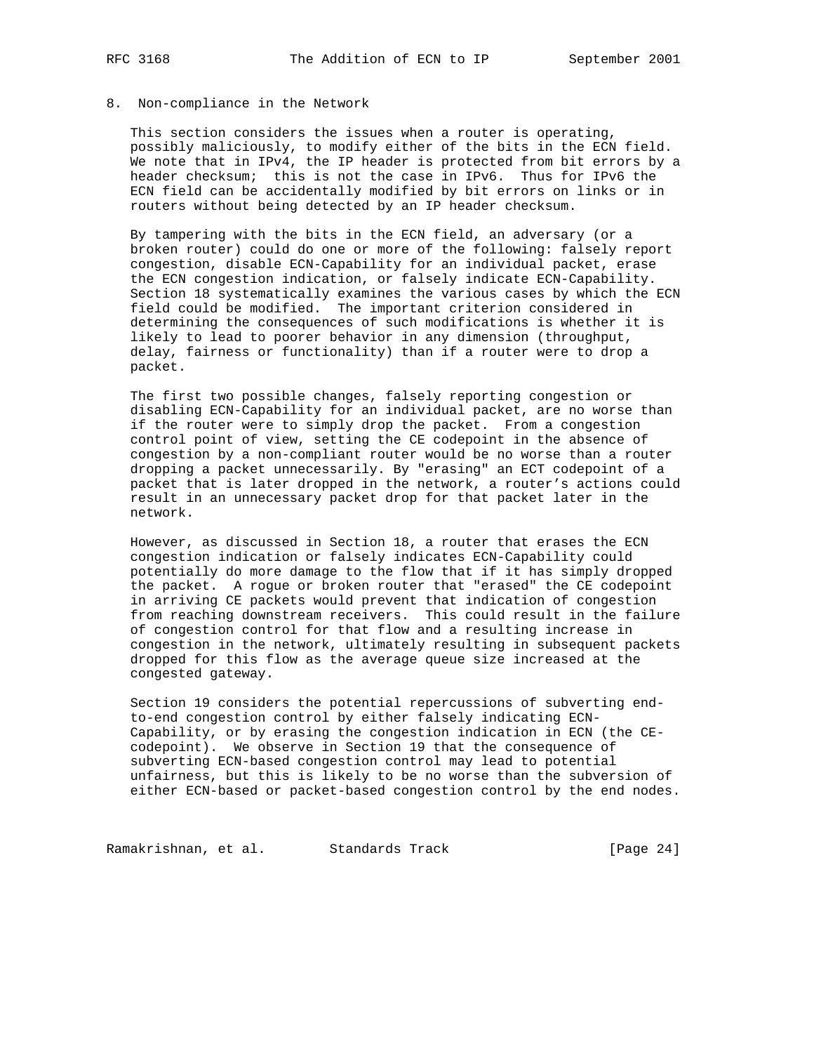## 8. Non-compliance in the Network

 This section considers the issues when a router is operating, possibly maliciously, to modify either of the bits in the ECN field. We note that in IPv4, the IP header is protected from bit errors by a header checksum; this is not the case in IPv6. Thus for IPv6 the ECN field can be accidentally modified by bit errors on links or in routers without being detected by an IP header checksum.

 By tampering with the bits in the ECN field, an adversary (or a broken router) could do one or more of the following: falsely report congestion, disable ECN-Capability for an individual packet, erase the ECN congestion indication, or falsely indicate ECN-Capability. Section 18 systematically examines the various cases by which the ECN field could be modified. The important criterion considered in determining the consequences of such modifications is whether it is likely to lead to poorer behavior in any dimension (throughput, delay, fairness or functionality) than if a router were to drop a packet.

 The first two possible changes, falsely reporting congestion or disabling ECN-Capability for an individual packet, are no worse than if the router were to simply drop the packet. From a congestion control point of view, setting the CE codepoint in the absence of congestion by a non-compliant router would be no worse than a router dropping a packet unnecessarily. By "erasing" an ECT codepoint of a packet that is later dropped in the network, a router's actions could result in an unnecessary packet drop for that packet later in the network.

 However, as discussed in Section 18, a router that erases the ECN congestion indication or falsely indicates ECN-Capability could potentially do more damage to the flow that if it has simply dropped the packet. A rogue or broken router that "erased" the CE codepoint in arriving CE packets would prevent that indication of congestion from reaching downstream receivers. This could result in the failure of congestion control for that flow and a resulting increase in congestion in the network, ultimately resulting in subsequent packets dropped for this flow as the average queue size increased at the congested gateway.

 Section 19 considers the potential repercussions of subverting end to-end congestion control by either falsely indicating ECN- Capability, or by erasing the congestion indication in ECN (the CE codepoint). We observe in Section 19 that the consequence of subverting ECN-based congestion control may lead to potential unfairness, but this is likely to be no worse than the subversion of either ECN-based or packet-based congestion control by the end nodes.

Ramakrishnan, et al. Standards Track (Page 24)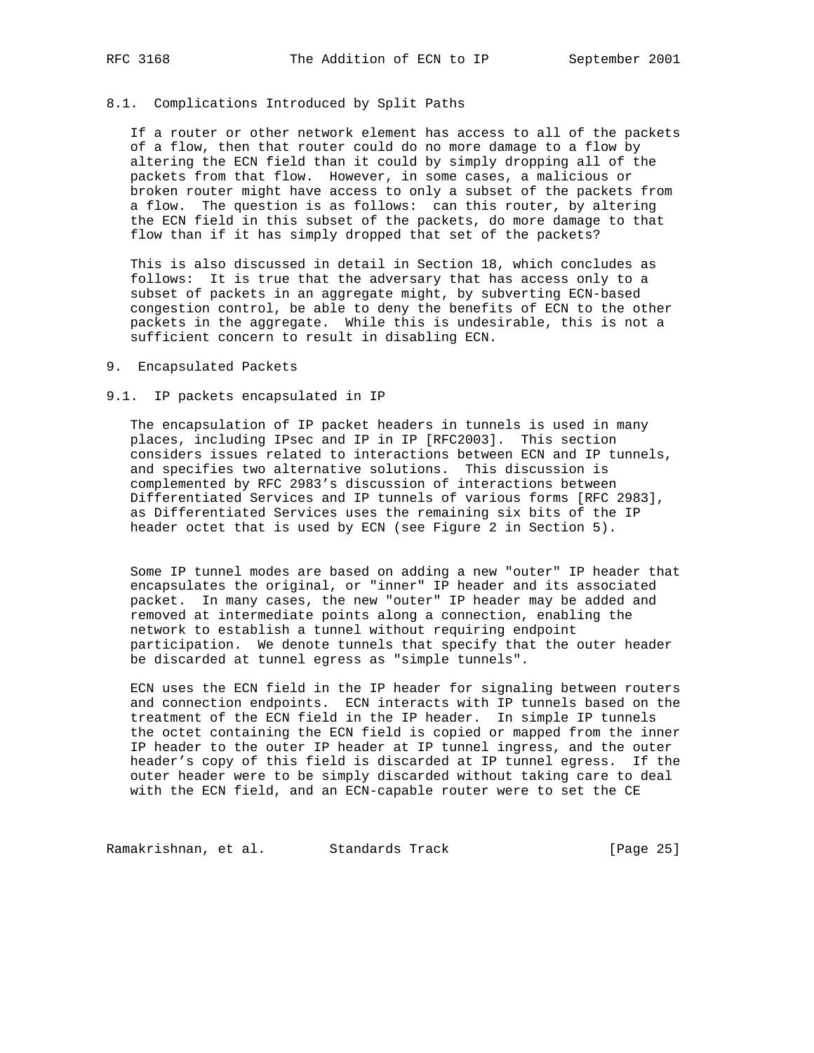# 8.1. Complications Introduced by Split Paths

 If a router or other network element has access to all of the packets of a flow, then that router could do no more damage to a flow by altering the ECN field than it could by simply dropping all of the packets from that flow. However, in some cases, a malicious or broken router might have access to only a subset of the packets from a flow. The question is as follows: can this router, by altering the ECN field in this subset of the packets, do more damage to that flow than if it has simply dropped that set of the packets?

 This is also discussed in detail in Section 18, which concludes as follows: It is true that the adversary that has access only to a subset of packets in an aggregate might, by subverting ECN-based congestion control, be able to deny the benefits of ECN to the other packets in the aggregate. While this is undesirable, this is not a sufficient concern to result in disabling ECN.

## 9. Encapsulated Packets

#### 9.1. IP packets encapsulated in IP

 The encapsulation of IP packet headers in tunnels is used in many places, including IPsec and IP in IP [RFC2003]. This section considers issues related to interactions between ECN and IP tunnels, and specifies two alternative solutions. This discussion is complemented by RFC 2983's discussion of interactions between Differentiated Services and IP tunnels of various forms [RFC 2983], as Differentiated Services uses the remaining six bits of the IP header octet that is used by ECN (see Figure 2 in Section 5).

 Some IP tunnel modes are based on adding a new "outer" IP header that encapsulates the original, or "inner" IP header and its associated packet. In many cases, the new "outer" IP header may be added and removed at intermediate points along a connection, enabling the network to establish a tunnel without requiring endpoint participation. We denote tunnels that specify that the outer header be discarded at tunnel egress as "simple tunnels".

 ECN uses the ECN field in the IP header for signaling between routers and connection endpoints. ECN interacts with IP tunnels based on the treatment of the ECN field in the IP header. In simple IP tunnels the octet containing the ECN field is copied or mapped from the inner IP header to the outer IP header at IP tunnel ingress, and the outer header's copy of this field is discarded at IP tunnel egress. If the outer header were to be simply discarded without taking care to deal with the ECN field, and an ECN-capable router were to set the CE

Ramakrishnan, et al. Standards Track (Page 25)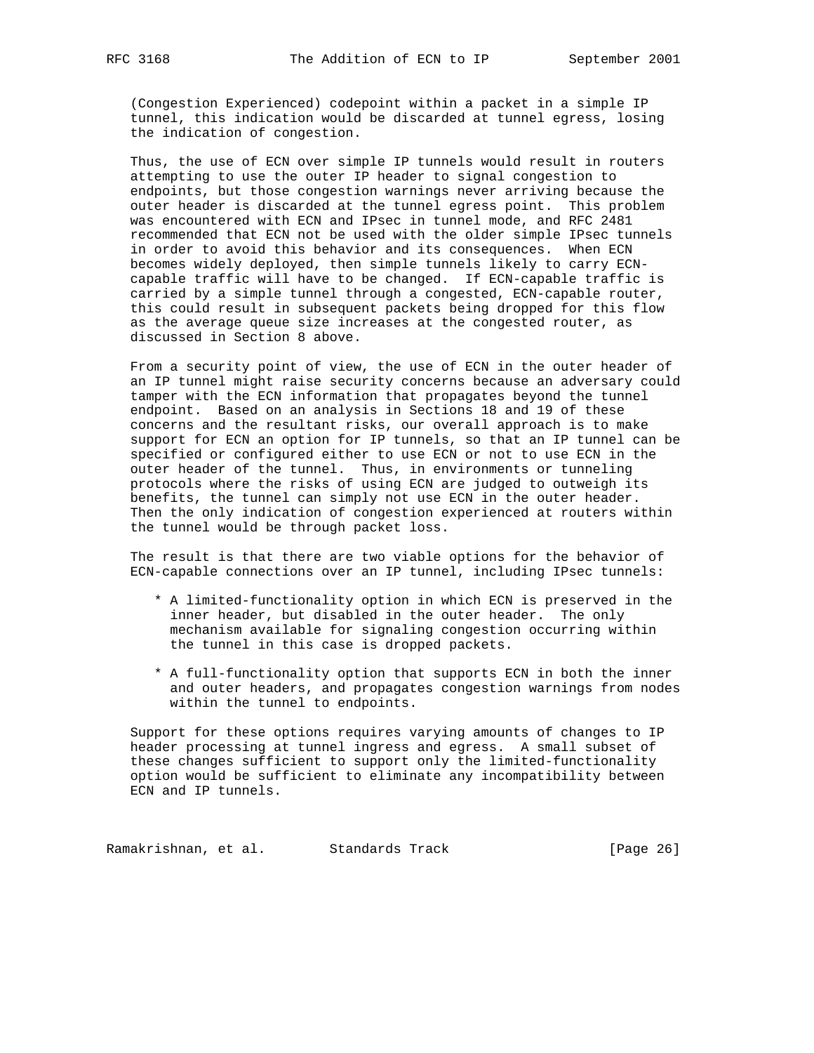(Congestion Experienced) codepoint within a packet in a simple IP tunnel, this indication would be discarded at tunnel egress, losing the indication of congestion.

 Thus, the use of ECN over simple IP tunnels would result in routers attempting to use the outer IP header to signal congestion to endpoints, but those congestion warnings never arriving because the outer header is discarded at the tunnel egress point. This problem was encountered with ECN and IPsec in tunnel mode, and RFC 2481 recommended that ECN not be used with the older simple IPsec tunnels in order to avoid this behavior and its consequences. When ECN becomes widely deployed, then simple tunnels likely to carry ECN capable traffic will have to be changed. If ECN-capable traffic is carried by a simple tunnel through a congested, ECN-capable router, this could result in subsequent packets being dropped for this flow as the average queue size increases at the congested router, as discussed in Section 8 above.

 From a security point of view, the use of ECN in the outer header of an IP tunnel might raise security concerns because an adversary could tamper with the ECN information that propagates beyond the tunnel endpoint. Based on an analysis in Sections 18 and 19 of these concerns and the resultant risks, our overall approach is to make support for ECN an option for IP tunnels, so that an IP tunnel can be specified or configured either to use ECN or not to use ECN in the outer header of the tunnel. Thus, in environments or tunneling protocols where the risks of using ECN are judged to outweigh its benefits, the tunnel can simply not use ECN in the outer header. Then the only indication of congestion experienced at routers within the tunnel would be through packet loss.

 The result is that there are two viable options for the behavior of ECN-capable connections over an IP tunnel, including IPsec tunnels:

- \* A limited-functionality option in which ECN is preserved in the inner header, but disabled in the outer header. The only mechanism available for signaling congestion occurring within the tunnel in this case is dropped packets.
- \* A full-functionality option that supports ECN in both the inner and outer headers, and propagates congestion warnings from nodes within the tunnel to endpoints.

 Support for these options requires varying amounts of changes to IP header processing at tunnel ingress and egress. A small subset of these changes sufficient to support only the limited-functionality option would be sufficient to eliminate any incompatibility between ECN and IP tunnels.

Ramakrishnan, et al. Standards Track (Page 26)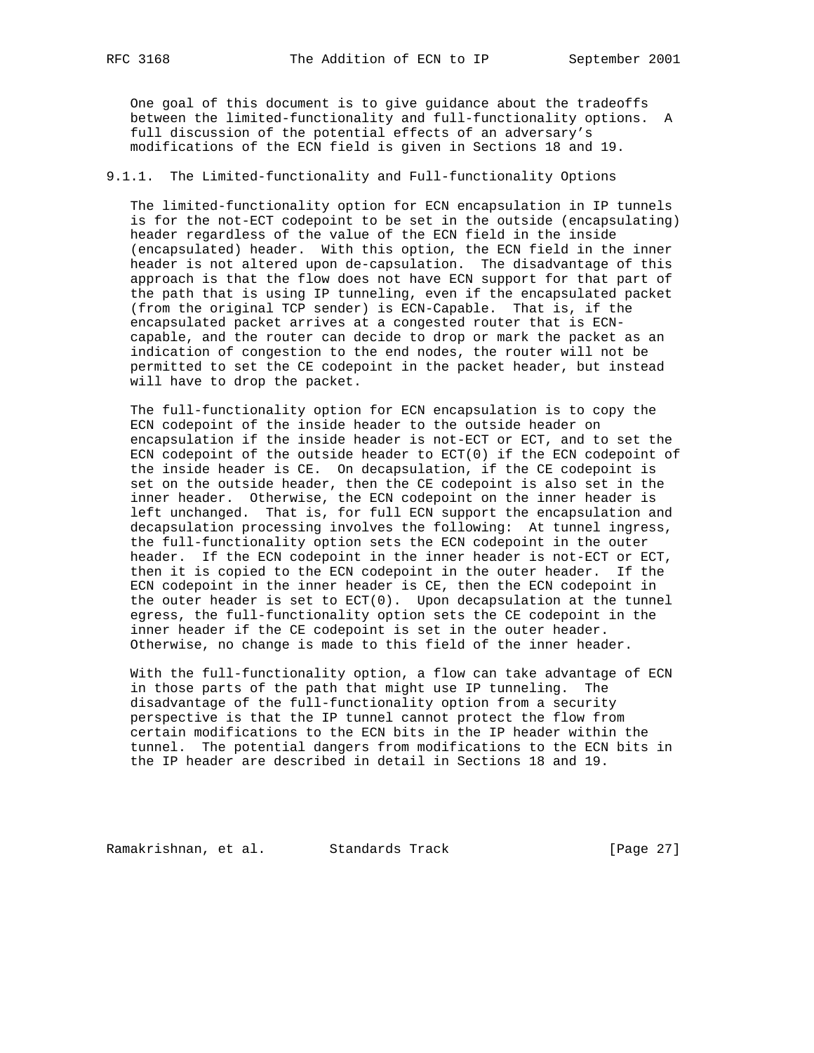One goal of this document is to give guidance about the tradeoffs between the limited-functionality and full-functionality options. A full discussion of the potential effects of an adversary's modifications of the ECN field is given in Sections 18 and 19.

# 9.1.1. The Limited-functionality and Full-functionality Options

 The limited-functionality option for ECN encapsulation in IP tunnels is for the not-ECT codepoint to be set in the outside (encapsulating) header regardless of the value of the ECN field in the inside (encapsulated) header. With this option, the ECN field in the inner header is not altered upon de-capsulation. The disadvantage of this approach is that the flow does not have ECN support for that part of the path that is using IP tunneling, even if the encapsulated packet (from the original TCP sender) is ECN-Capable. That is, if the encapsulated packet arrives at a congested router that is ECN capable, and the router can decide to drop or mark the packet as an indication of congestion to the end nodes, the router will not be permitted to set the CE codepoint in the packet header, but instead will have to drop the packet.

 The full-functionality option for ECN encapsulation is to copy the ECN codepoint of the inside header to the outside header on encapsulation if the inside header is not-ECT or ECT, and to set the ECN codepoint of the outside header to ECT(0) if the ECN codepoint of the inside header is CE. On decapsulation, if the CE codepoint is set on the outside header, then the CE codepoint is also set in the inner header. Otherwise, the ECN codepoint on the inner header is left unchanged. That is, for full ECN support the encapsulation and decapsulation processing involves the following: At tunnel ingress, the full-functionality option sets the ECN codepoint in the outer header. If the ECN codepoint in the inner header is not-ECT or ECT, then it is copied to the ECN codepoint in the outer header. If the ECN codepoint in the inner header is CE, then the ECN codepoint in the outer header is set to  $ECT(0)$ . Upon decapsulation at the tunnel egress, the full-functionality option sets the CE codepoint in the inner header if the CE codepoint is set in the outer header. Otherwise, no change is made to this field of the inner header.

 With the full-functionality option, a flow can take advantage of ECN in those parts of the path that might use IP tunneling. The disadvantage of the full-functionality option from a security perspective is that the IP tunnel cannot protect the flow from certain modifications to the ECN bits in the IP header within the tunnel. The potential dangers from modifications to the ECN bits in the IP header are described in detail in Sections 18 and 19.

Ramakrishnan, et al. Standards Track (Page 27)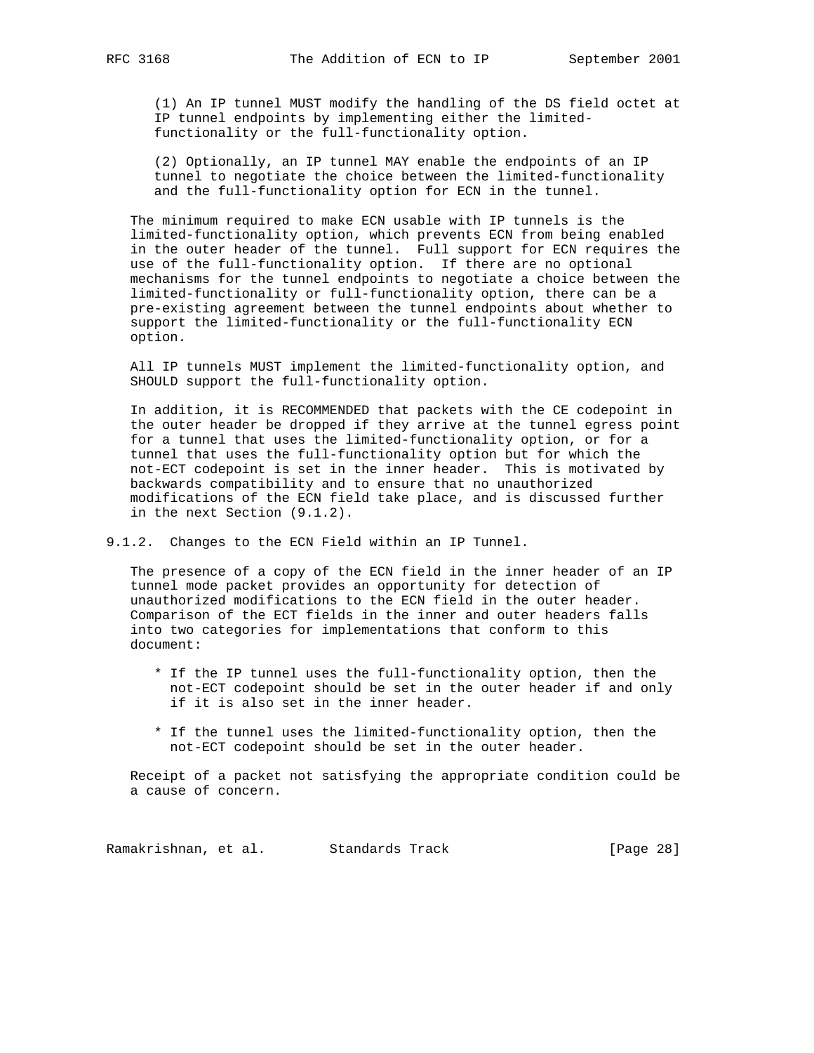(1) An IP tunnel MUST modify the handling of the DS field octet at IP tunnel endpoints by implementing either the limited functionality or the full-functionality option.

 (2) Optionally, an IP tunnel MAY enable the endpoints of an IP tunnel to negotiate the choice between the limited-functionality and the full-functionality option for ECN in the tunnel.

 The minimum required to make ECN usable with IP tunnels is the limited-functionality option, which prevents ECN from being enabled in the outer header of the tunnel. Full support for ECN requires the use of the full-functionality option. If there are no optional mechanisms for the tunnel endpoints to negotiate a choice between the limited-functionality or full-functionality option, there can be a pre-existing agreement between the tunnel endpoints about whether to support the limited-functionality or the full-functionality ECN option.

 All IP tunnels MUST implement the limited-functionality option, and SHOULD support the full-functionality option.

 In addition, it is RECOMMENDED that packets with the CE codepoint in the outer header be dropped if they arrive at the tunnel egress point for a tunnel that uses the limited-functionality option, or for a tunnel that uses the full-functionality option but for which the not-ECT codepoint is set in the inner header. This is motivated by backwards compatibility and to ensure that no unauthorized modifications of the ECN field take place, and is discussed further in the next Section (9.1.2).

9.1.2. Changes to the ECN Field within an IP Tunnel.

 The presence of a copy of the ECN field in the inner header of an IP tunnel mode packet provides an opportunity for detection of unauthorized modifications to the ECN field in the outer header. Comparison of the ECT fields in the inner and outer headers falls into two categories for implementations that conform to this document:

- \* If the IP tunnel uses the full-functionality option, then the not-ECT codepoint should be set in the outer header if and only if it is also set in the inner header.
- \* If the tunnel uses the limited-functionality option, then the not-ECT codepoint should be set in the outer header.

 Receipt of a packet not satisfying the appropriate condition could be a cause of concern.

Ramakrishnan, et al. Standards Track [Page 28]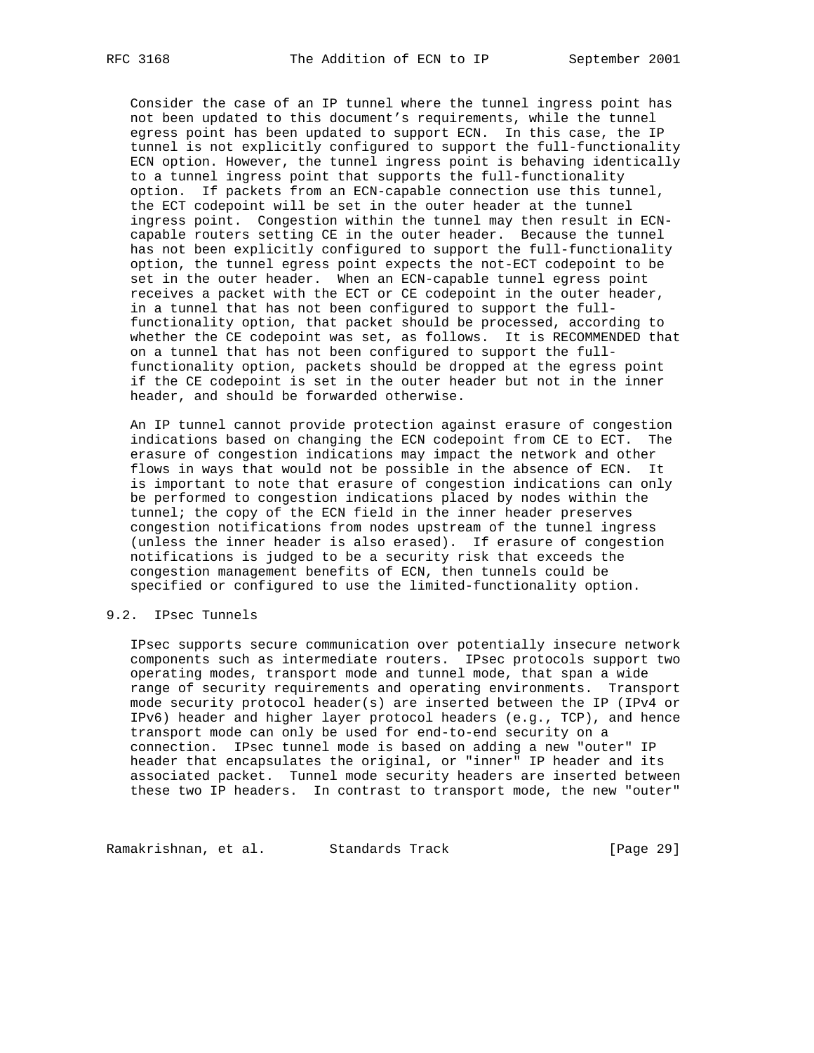Consider the case of an IP tunnel where the tunnel ingress point has not been updated to this document's requirements, while the tunnel egress point has been updated to support ECN. In this case, the IP tunnel is not explicitly configured to support the full-functionality ECN option. However, the tunnel ingress point is behaving identically to a tunnel ingress point that supports the full-functionality option. If packets from an ECN-capable connection use this tunnel, the ECT codepoint will be set in the outer header at the tunnel ingress point. Congestion within the tunnel may then result in ECN capable routers setting CE in the outer header. Because the tunnel has not been explicitly configured to support the full-functionality option, the tunnel egress point expects the not-ECT codepoint to be set in the outer header. When an ECN-capable tunnel egress point receives a packet with the ECT or CE codepoint in the outer header, in a tunnel that has not been configured to support the full functionality option, that packet should be processed, according to whether the CE codepoint was set, as follows. It is RECOMMENDED that on a tunnel that has not been configured to support the full functionality option, packets should be dropped at the egress point if the CE codepoint is set in the outer header but not in the inner header, and should be forwarded otherwise.

 An IP tunnel cannot provide protection against erasure of congestion indications based on changing the ECN codepoint from CE to ECT. The erasure of congestion indications may impact the network and other flows in ways that would not be possible in the absence of ECN. It is important to note that erasure of congestion indications can only be performed to congestion indications placed by nodes within the tunnel; the copy of the ECN field in the inner header preserves congestion notifications from nodes upstream of the tunnel ingress (unless the inner header is also erased). If erasure of congestion notifications is judged to be a security risk that exceeds the congestion management benefits of ECN, then tunnels could be specified or configured to use the limited-functionality option.

# 9.2. IPsec Tunnels

 IPsec supports secure communication over potentially insecure network components such as intermediate routers. IPsec protocols support two operating modes, transport mode and tunnel mode, that span a wide range of security requirements and operating environments. Transport mode security protocol header(s) are inserted between the IP (IPv4 or IPv6) header and higher layer protocol headers (e.g., TCP), and hence transport mode can only be used for end-to-end security on a connection. IPsec tunnel mode is based on adding a new "outer" IP header that encapsulates the original, or "inner" IP header and its associated packet. Tunnel mode security headers are inserted between these two IP headers. In contrast to transport mode, the new "outer"

Ramakrishnan, et al. Standards Track (Page 29)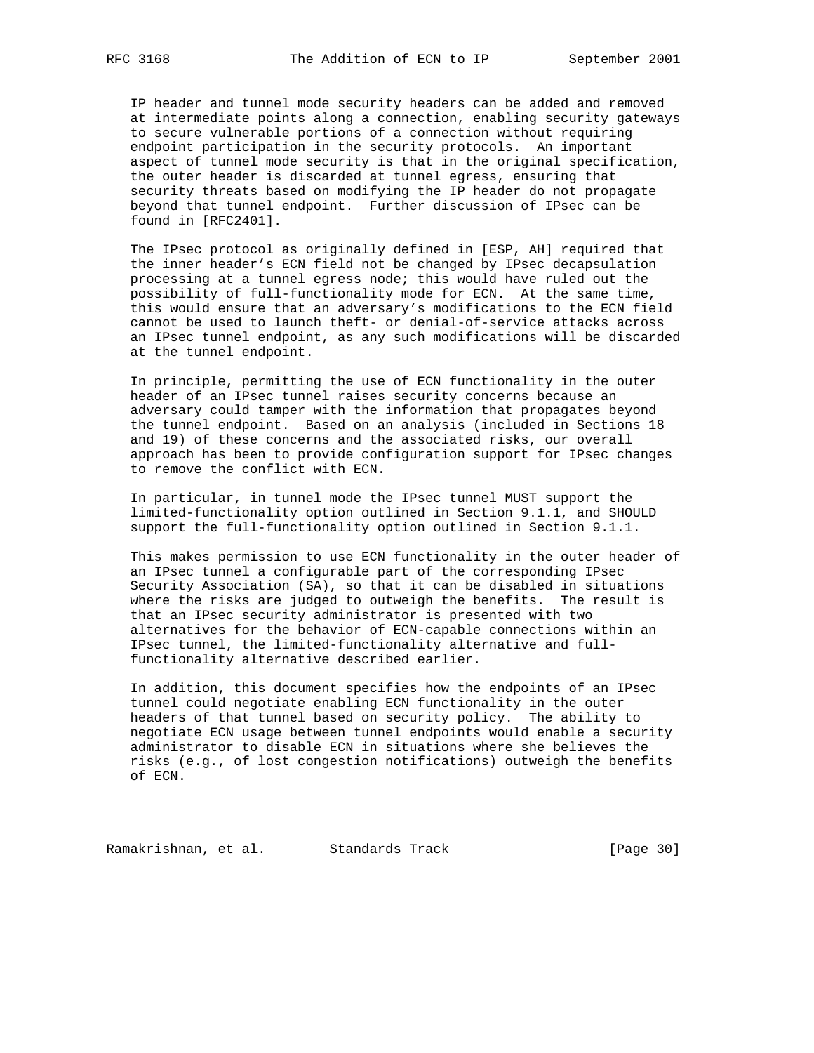IP header and tunnel mode security headers can be added and removed at intermediate points along a connection, enabling security gateways to secure vulnerable portions of a connection without requiring endpoint participation in the security protocols. An important aspect of tunnel mode security is that in the original specification, the outer header is discarded at tunnel egress, ensuring that security threats based on modifying the IP header do not propagate beyond that tunnel endpoint. Further discussion of IPsec can be found in [RFC2401].

 The IPsec protocol as originally defined in [ESP, AH] required that the inner header's ECN field not be changed by IPsec decapsulation processing at a tunnel egress node; this would have ruled out the possibility of full-functionality mode for ECN. At the same time, this would ensure that an adversary's modifications to the ECN field cannot be used to launch theft- or denial-of-service attacks across an IPsec tunnel endpoint, as any such modifications will be discarded at the tunnel endpoint.

 In principle, permitting the use of ECN functionality in the outer header of an IPsec tunnel raises security concerns because an adversary could tamper with the information that propagates beyond the tunnel endpoint. Based on an analysis (included in Sections 18 and 19) of these concerns and the associated risks, our overall approach has been to provide configuration support for IPsec changes to remove the conflict with ECN.

 In particular, in tunnel mode the IPsec tunnel MUST support the limited-functionality option outlined in Section 9.1.1, and SHOULD support the full-functionality option outlined in Section 9.1.1.

 This makes permission to use ECN functionality in the outer header of an IPsec tunnel a configurable part of the corresponding IPsec Security Association (SA), so that it can be disabled in situations where the risks are judged to outweigh the benefits. The result is that an IPsec security administrator is presented with two alternatives for the behavior of ECN-capable connections within an IPsec tunnel, the limited-functionality alternative and full functionality alternative described earlier.

 In addition, this document specifies how the endpoints of an IPsec tunnel could negotiate enabling ECN functionality in the outer headers of that tunnel based on security policy. The ability to negotiate ECN usage between tunnel endpoints would enable a security administrator to disable ECN in situations where she believes the risks (e.g., of lost congestion notifications) outweigh the benefits of ECN.

Ramakrishnan, et al. Standards Track [Page 30]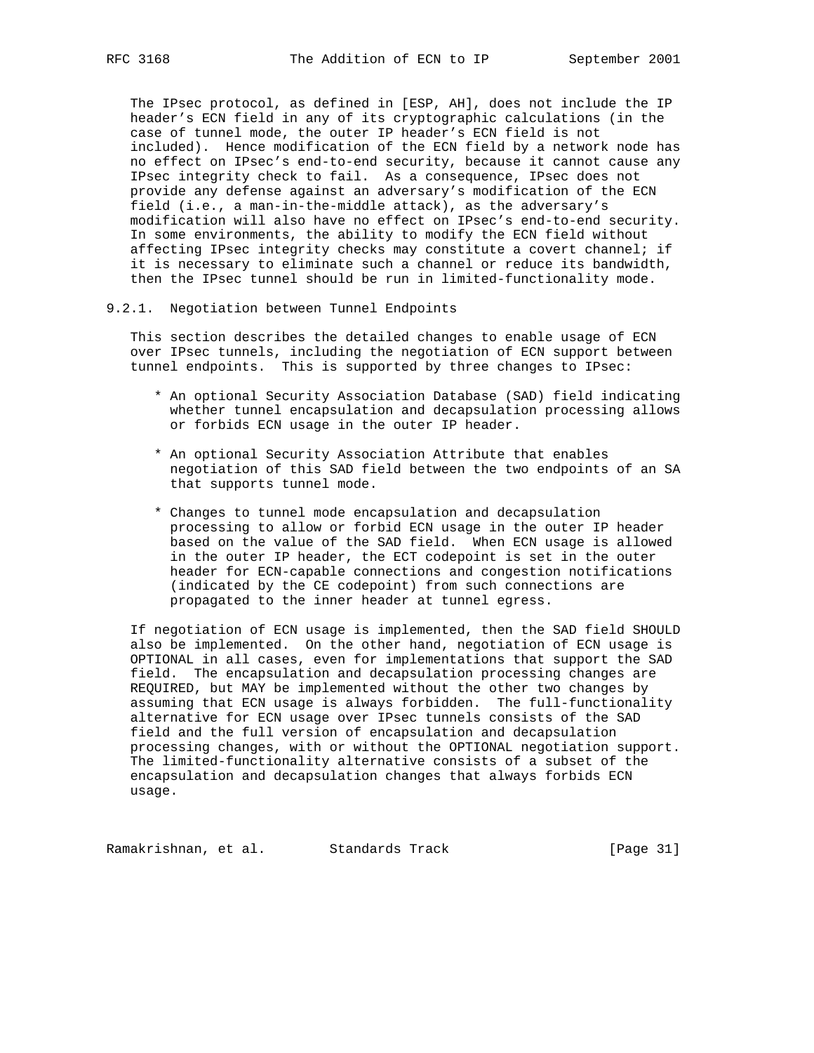The IPsec protocol, as defined in [ESP, AH], does not include the IP header's ECN field in any of its cryptographic calculations (in the case of tunnel mode, the outer IP header's ECN field is not included). Hence modification of the ECN field by a network node has no effect on IPsec's end-to-end security, because it cannot cause any IPsec integrity check to fail. As a consequence, IPsec does not provide any defense against an adversary's modification of the ECN field (i.e., a man-in-the-middle attack), as the adversary's modification will also have no effect on IPsec's end-to-end security. In some environments, the ability to modify the ECN field without affecting IPsec integrity checks may constitute a covert channel; if it is necessary to eliminate such a channel or reduce its bandwidth, then the IPsec tunnel should be run in limited-functionality mode.

### 9.2.1. Negotiation between Tunnel Endpoints

 This section describes the detailed changes to enable usage of ECN over IPsec tunnels, including the negotiation of ECN support between tunnel endpoints. This is supported by three changes to IPsec:

- \* An optional Security Association Database (SAD) field indicating whether tunnel encapsulation and decapsulation processing allows or forbids ECN usage in the outer IP header.
- \* An optional Security Association Attribute that enables negotiation of this SAD field between the two endpoints of an SA that supports tunnel mode.
- \* Changes to tunnel mode encapsulation and decapsulation processing to allow or forbid ECN usage in the outer IP header based on the value of the SAD field. When ECN usage is allowed in the outer IP header, the ECT codepoint is set in the outer header for ECN-capable connections and congestion notifications (indicated by the CE codepoint) from such connections are propagated to the inner header at tunnel egress.

 If negotiation of ECN usage is implemented, then the SAD field SHOULD also be implemented. On the other hand, negotiation of ECN usage is OPTIONAL in all cases, even for implementations that support the SAD field. The encapsulation and decapsulation processing changes are REQUIRED, but MAY be implemented without the other two changes by assuming that ECN usage is always forbidden. The full-functionality alternative for ECN usage over IPsec tunnels consists of the SAD field and the full version of encapsulation and decapsulation processing changes, with or without the OPTIONAL negotiation support. The limited-functionality alternative consists of a subset of the encapsulation and decapsulation changes that always forbids ECN usage.

Ramakrishnan, et al. Standards Track [Page 31]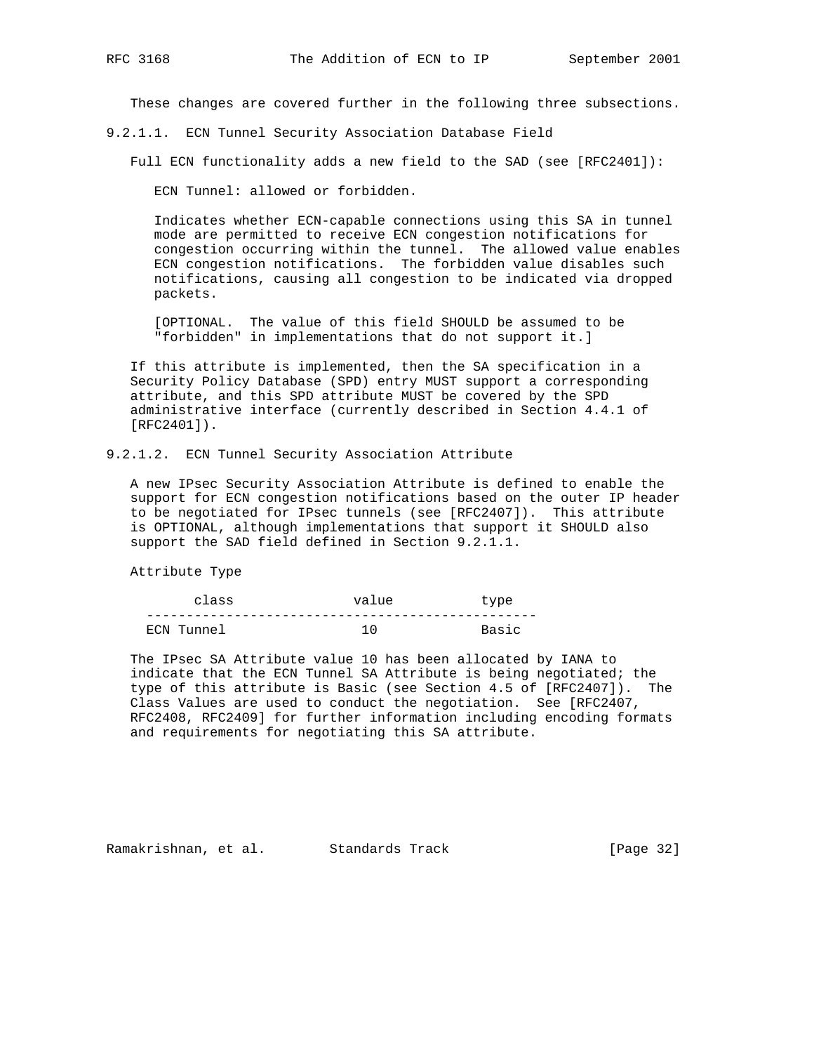These changes are covered further in the following three subsections.

9.2.1.1. ECN Tunnel Security Association Database Field

Full ECN functionality adds a new field to the SAD (see [RFC2401]):

ECN Tunnel: allowed or forbidden.

 Indicates whether ECN-capable connections using this SA in tunnel mode are permitted to receive ECN congestion notifications for congestion occurring within the tunnel. The allowed value enables ECN congestion notifications. The forbidden value disables such notifications, causing all congestion to be indicated via dropped packets.

 [OPTIONAL. The value of this field SHOULD be assumed to be "forbidden" in implementations that do not support it.]

 If this attribute is implemented, then the SA specification in a Security Policy Database (SPD) entry MUST support a corresponding attribute, and this SPD attribute MUST be covered by the SPD administrative interface (currently described in Section 4.4.1 of [RFC2401]).

## 9.2.1.2. ECN Tunnel Security Association Attribute

 A new IPsec Security Association Attribute is defined to enable the support for ECN congestion notifications based on the outer IP header to be negotiated for IPsec tunnels (see [RFC2407]). This attribute is OPTIONAL, although implementations that support it SHOULD also support the SAD field defined in Section 9.2.1.1.

Attribute Type

| class      | value | type  |
|------------|-------|-------|
|            |       |       |
| ECN Tunnel |       | Basic |

 The IPsec SA Attribute value 10 has been allocated by IANA to indicate that the ECN Tunnel SA Attribute is being negotiated; the type of this attribute is Basic (see Section 4.5 of [RFC2407]). The Class Values are used to conduct the negotiation. See [RFC2407, RFC2408, RFC2409] for further information including encoding formats and requirements for negotiating this SA attribute.

Ramakrishnan, et al. Standards Track [Page 32]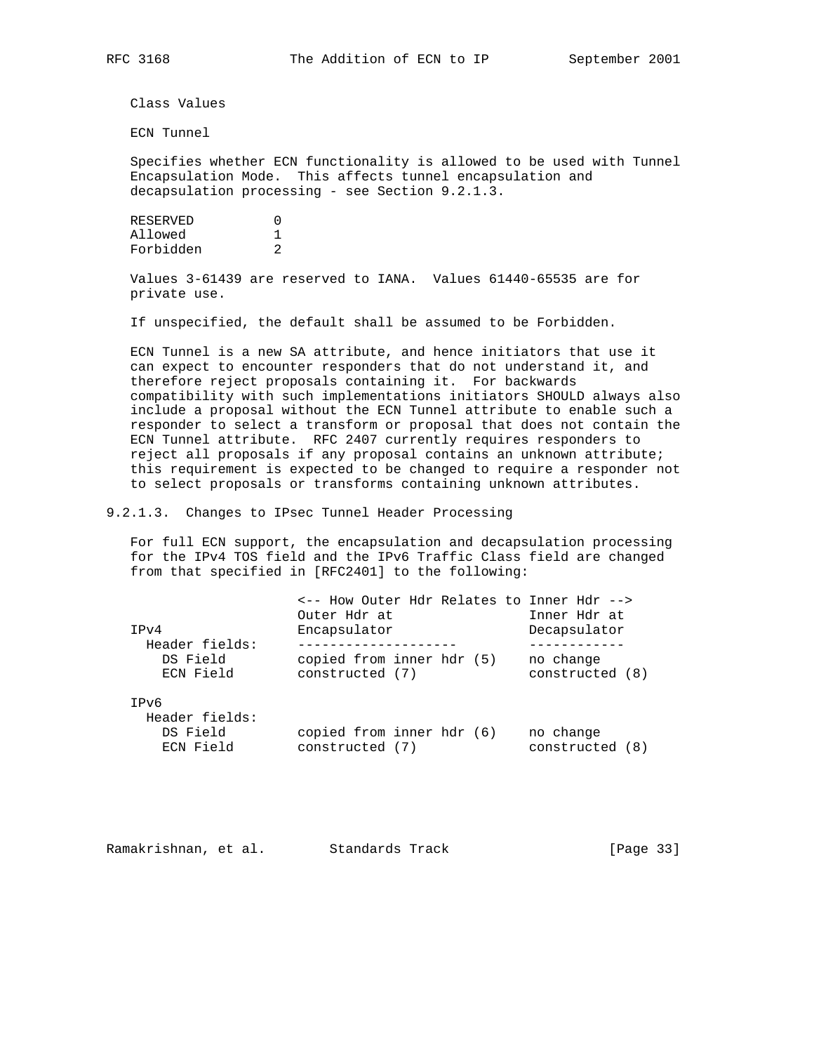Class Values

ECN Tunnel

 Specifies whether ECN functionality is allowed to be used with Tunnel Encapsulation Mode. This affects tunnel encapsulation and decapsulation processing - see Section 9.2.1.3.

| RESERVED  |   |
|-----------|---|
| Allowed   |   |
| Forbidden | 2 |

 Values 3-61439 are reserved to IANA. Values 61440-65535 are for private use.

If unspecified, the default shall be assumed to be Forbidden.

 ECN Tunnel is a new SA attribute, and hence initiators that use it can expect to encounter responders that do not understand it, and therefore reject proposals containing it. For backwards compatibility with such implementations initiators SHOULD always also include a proposal without the ECN Tunnel attribute to enable such a responder to select a transform or proposal that does not contain the ECN Tunnel attribute. RFC 2407 currently requires responders to reject all proposals if any proposal contains an unknown attribute; this requirement is expected to be changed to require a responder not to select proposals or transforms containing unknown attributes.

9.2.1.3. Changes to IPsec Tunnel Header Processing

 For full ECN support, the encapsulation and decapsulation processing for the IPv4 TOS field and the IPv6 Traffic Class field are changed from that specified in [RFC2401] to the following:

| TPv4<br>Header fields:                          | <-- How Outer Hdr Relates to Inner Hdr --><br>Outer Hdr at<br>Encapsulator | Inner Hdr at<br>Decapsulator |  |  |  |
|-------------------------------------------------|----------------------------------------------------------------------------|------------------------------|--|--|--|
| DS Field<br>ECN Field                           | copied from inner hdr (5)<br>constructed (7)                               | no change<br>constructed (8) |  |  |  |
| TPv6<br>Header fields:<br>DS Field<br>ECN Field | copied from inner hdr (6)<br>constructed (7)                               | no change<br>constructed (8) |  |  |  |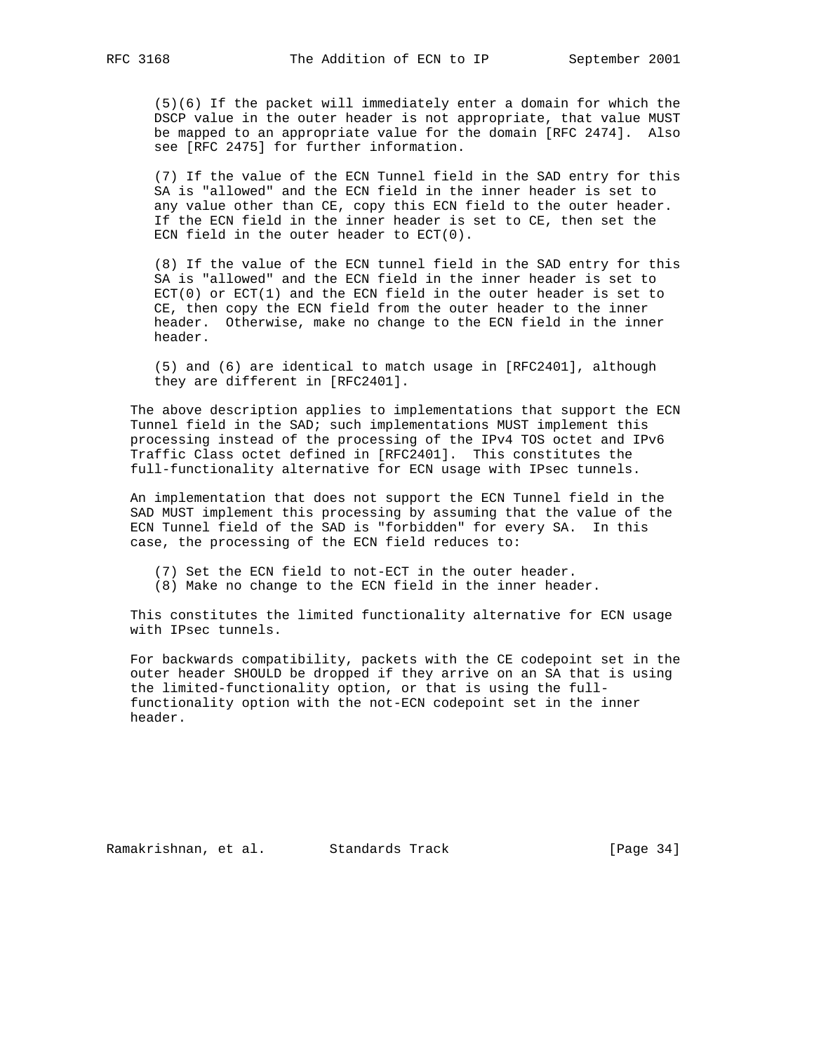(5)(6) If the packet will immediately enter a domain for which the DSCP value in the outer header is not appropriate, that value MUST be mapped to an appropriate value for the domain [RFC 2474]. Also see [RFC 2475] for further information.

 (7) If the value of the ECN Tunnel field in the SAD entry for this SA is "allowed" and the ECN field in the inner header is set to any value other than CE, copy this ECN field to the outer header. If the ECN field in the inner header is set to CE, then set the ECN field in the outer header to ECT(0).

 (8) If the value of the ECN tunnel field in the SAD entry for this SA is "allowed" and the ECN field in the inner header is set to  $ECT(0)$  or  $ECT(1)$  and the ECN field in the outer header is set to CE, then copy the ECN field from the outer header to the inner header. Otherwise, make no change to the ECN field in the inner header.

 (5) and (6) are identical to match usage in [RFC2401], although they are different in [RFC2401].

 The above description applies to implementations that support the ECN Tunnel field in the SAD; such implementations MUST implement this processing instead of the processing of the IPv4 TOS octet and IPv6 Traffic Class octet defined in [RFC2401]. This constitutes the full-functionality alternative for ECN usage with IPsec tunnels.

 An implementation that does not support the ECN Tunnel field in the SAD MUST implement this processing by assuming that the value of the ECN Tunnel field of the SAD is "forbidden" for every SA. In this case, the processing of the ECN field reduces to:

- (7) Set the ECN field to not-ECT in the outer header.
- (8) Make no change to the ECN field in the inner header.

 This constitutes the limited functionality alternative for ECN usage with IPsec tunnels.

 For backwards compatibility, packets with the CE codepoint set in the outer header SHOULD be dropped if they arrive on an SA that is using the limited-functionality option, or that is using the full functionality option with the not-ECN codepoint set in the inner header.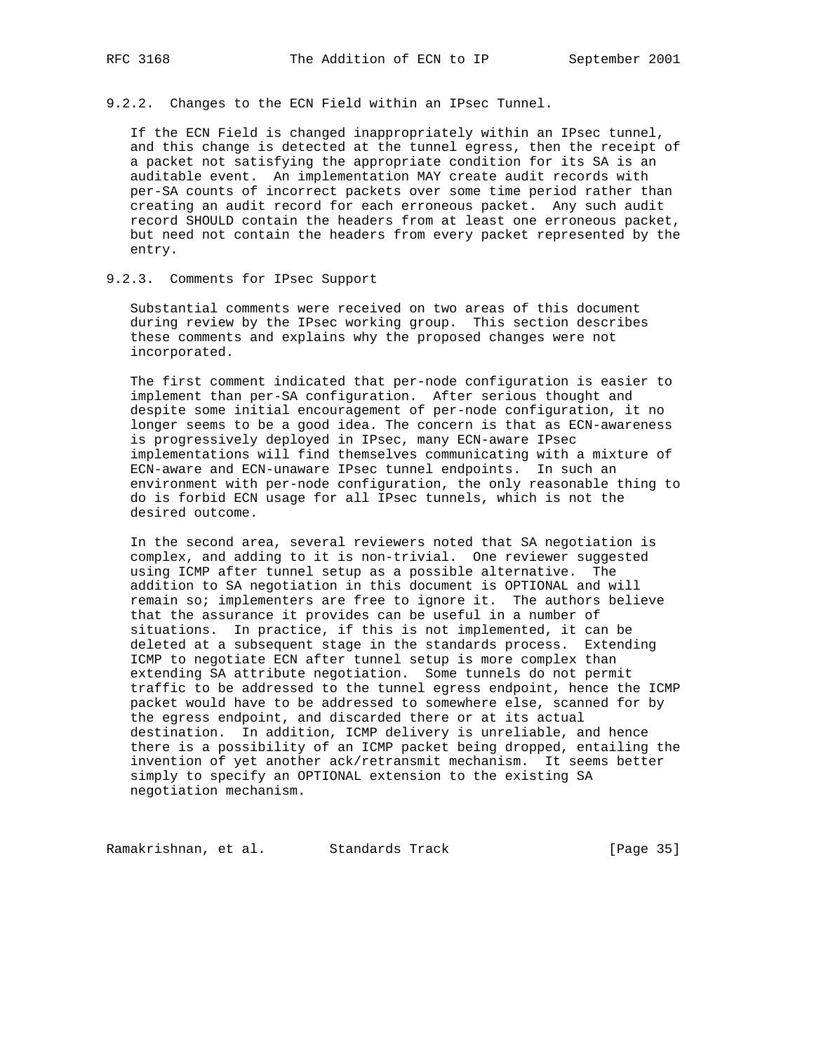9.2.2. Changes to the ECN Field within an IPsec Tunnel.

 If the ECN Field is changed inappropriately within an IPsec tunnel, and this change is detected at the tunnel egress, then the receipt of a packet not satisfying the appropriate condition for its SA is an auditable event. An implementation MAY create audit records with per-SA counts of incorrect packets over some time period rather than creating an audit record for each erroneous packet. Any such audit record SHOULD contain the headers from at least one erroneous packet, but need not contain the headers from every packet represented by the entry.

## 9.2.3. Comments for IPsec Support

 Substantial comments were received on two areas of this document during review by the IPsec working group. This section describes these comments and explains why the proposed changes were not incorporated.

 The first comment indicated that per-node configuration is easier to implement than per-SA configuration. After serious thought and despite some initial encouragement of per-node configuration, it no longer seems to be a good idea. The concern is that as ECN-awareness is progressively deployed in IPsec, many ECN-aware IPsec implementations will find themselves communicating with a mixture of ECN-aware and ECN-unaware IPsec tunnel endpoints. In such an environment with per-node configuration, the only reasonable thing to do is forbid ECN usage for all IPsec tunnels, which is not the desired outcome.

 In the second area, several reviewers noted that SA negotiation is complex, and adding to it is non-trivial. One reviewer suggested using ICMP after tunnel setup as a possible alternative. The addition to SA negotiation in this document is OPTIONAL and will remain so; implementers are free to ignore it. The authors believe that the assurance it provides can be useful in a number of situations. In practice, if this is not implemented, it can be deleted at a subsequent stage in the standards process. Extending ICMP to negotiate ECN after tunnel setup is more complex than extending SA attribute negotiation. Some tunnels do not permit traffic to be addressed to the tunnel egress endpoint, hence the ICMP packet would have to be addressed to somewhere else, scanned for by the egress endpoint, and discarded there or at its actual destination. In addition, ICMP delivery is unreliable, and hence there is a possibility of an ICMP packet being dropped, entailing the invention of yet another ack/retransmit mechanism. It seems better simply to specify an OPTIONAL extension to the existing SA negotiation mechanism.

Ramakrishnan, et al. Standards Track [Page 35]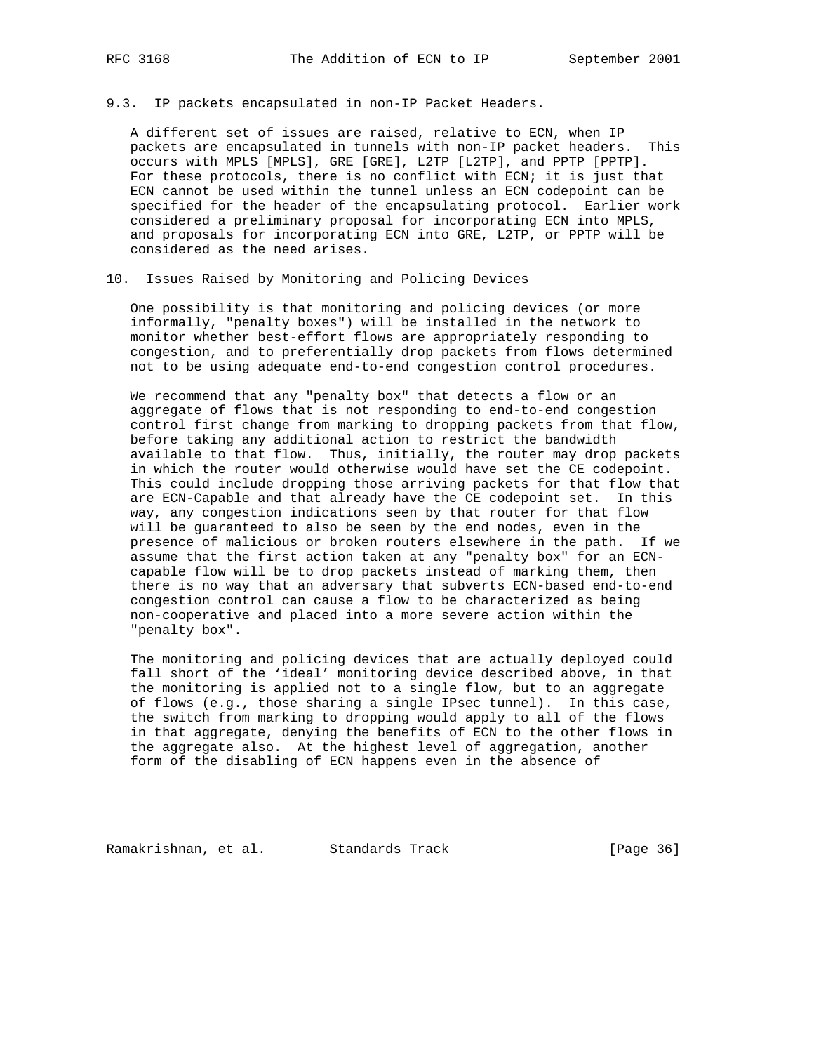9.3. IP packets encapsulated in non-IP Packet Headers.

 A different set of issues are raised, relative to ECN, when IP packets are encapsulated in tunnels with non-IP packet headers. This occurs with MPLS [MPLS], GRE [GRE], L2TP [L2TP], and PPTP [PPTP]. For these protocols, there is no conflict with ECN; it is just that ECN cannot be used within the tunnel unless an ECN codepoint can be specified for the header of the encapsulating protocol. Earlier work considered a preliminary proposal for incorporating ECN into MPLS, and proposals for incorporating ECN into GRE, L2TP, or PPTP will be considered as the need arises.

# 10. Issues Raised by Monitoring and Policing Devices

 One possibility is that monitoring and policing devices (or more informally, "penalty boxes") will be installed in the network to monitor whether best-effort flows are appropriately responding to congestion, and to preferentially drop packets from flows determined not to be using adequate end-to-end congestion control procedures.

 We recommend that any "penalty box" that detects a flow or an aggregate of flows that is not responding to end-to-end congestion control first change from marking to dropping packets from that flow, before taking any additional action to restrict the bandwidth available to that flow. Thus, initially, the router may drop packets in which the router would otherwise would have set the CE codepoint. This could include dropping those arriving packets for that flow that are ECN-Capable and that already have the CE codepoint set. In this way, any congestion indications seen by that router for that flow will be guaranteed to also be seen by the end nodes, even in the presence of malicious or broken routers elsewhere in the path. If we assume that the first action taken at any "penalty box" for an ECN capable flow will be to drop packets instead of marking them, then there is no way that an adversary that subverts ECN-based end-to-end congestion control can cause a flow to be characterized as being non-cooperative and placed into a more severe action within the "penalty box".

 The monitoring and policing devices that are actually deployed could fall short of the 'ideal' monitoring device described above, in that the monitoring is applied not to a single flow, but to an aggregate of flows (e.g., those sharing a single IPsec tunnel). In this case, the switch from marking to dropping would apply to all of the flows in that aggregate, denying the benefits of ECN to the other flows in the aggregate also. At the highest level of aggregation, another form of the disabling of ECN happens even in the absence of

Ramakrishnan, et al. Standards Track (Page 36)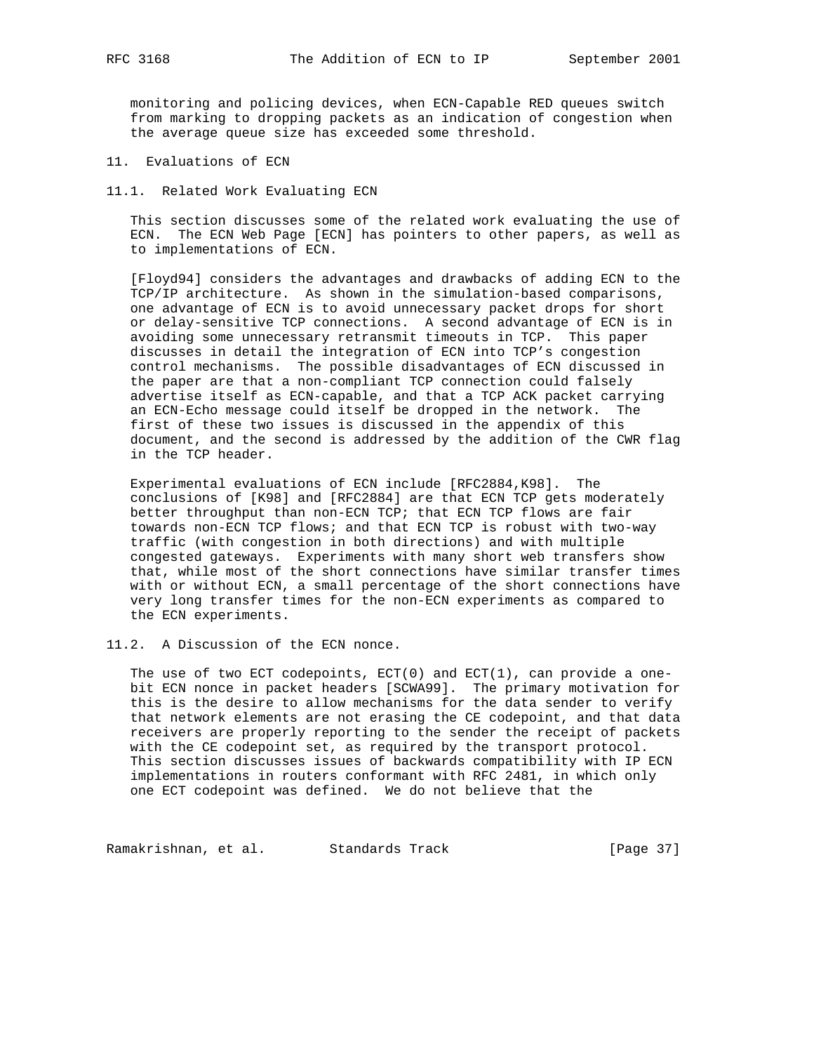monitoring and policing devices, when ECN-Capable RED queues switch from marking to dropping packets as an indication of congestion when the average queue size has exceeded some threshold.

11. Evaluations of ECN

11.1. Related Work Evaluating ECN

 This section discusses some of the related work evaluating the use of ECN. The ECN Web Page [ECN] has pointers to other papers, as well as to implementations of ECN.

 [Floyd94] considers the advantages and drawbacks of adding ECN to the TCP/IP architecture. As shown in the simulation-based comparisons, one advantage of ECN is to avoid unnecessary packet drops for short or delay-sensitive TCP connections. A second advantage of ECN is in avoiding some unnecessary retransmit timeouts in TCP. This paper discusses in detail the integration of ECN into TCP's congestion control mechanisms. The possible disadvantages of ECN discussed in the paper are that a non-compliant TCP connection could falsely advertise itself as ECN-capable, and that a TCP ACK packet carrying an ECN-Echo message could itself be dropped in the network. The first of these two issues is discussed in the appendix of this document, and the second is addressed by the addition of the CWR flag in the TCP header.

 Experimental evaluations of ECN include [RFC2884,K98]. The conclusions of [K98] and [RFC2884] are that ECN TCP gets moderately better throughput than non-ECN TCP; that ECN TCP flows are fair towards non-ECN TCP flows; and that ECN TCP is robust with two-way traffic (with congestion in both directions) and with multiple congested gateways. Experiments with many short web transfers show that, while most of the short connections have similar transfer times with or without ECN, a small percentage of the short connections have very long transfer times for the non-ECN experiments as compared to the ECN experiments.

11.2. A Discussion of the ECN nonce.

The use of two ECT codepoints,  $ECT(0)$  and  $ECT(1)$ , can provide a one bit ECN nonce in packet headers [SCWA99]. The primary motivation for this is the desire to allow mechanisms for the data sender to verify that network elements are not erasing the CE codepoint, and that data receivers are properly reporting to the sender the receipt of packets with the CE codepoint set, as required by the transport protocol. This section discusses issues of backwards compatibility with IP ECN implementations in routers conformant with RFC 2481, in which only one ECT codepoint was defined. We do not believe that the

Ramakrishnan, et al. Standards Track (Page 37)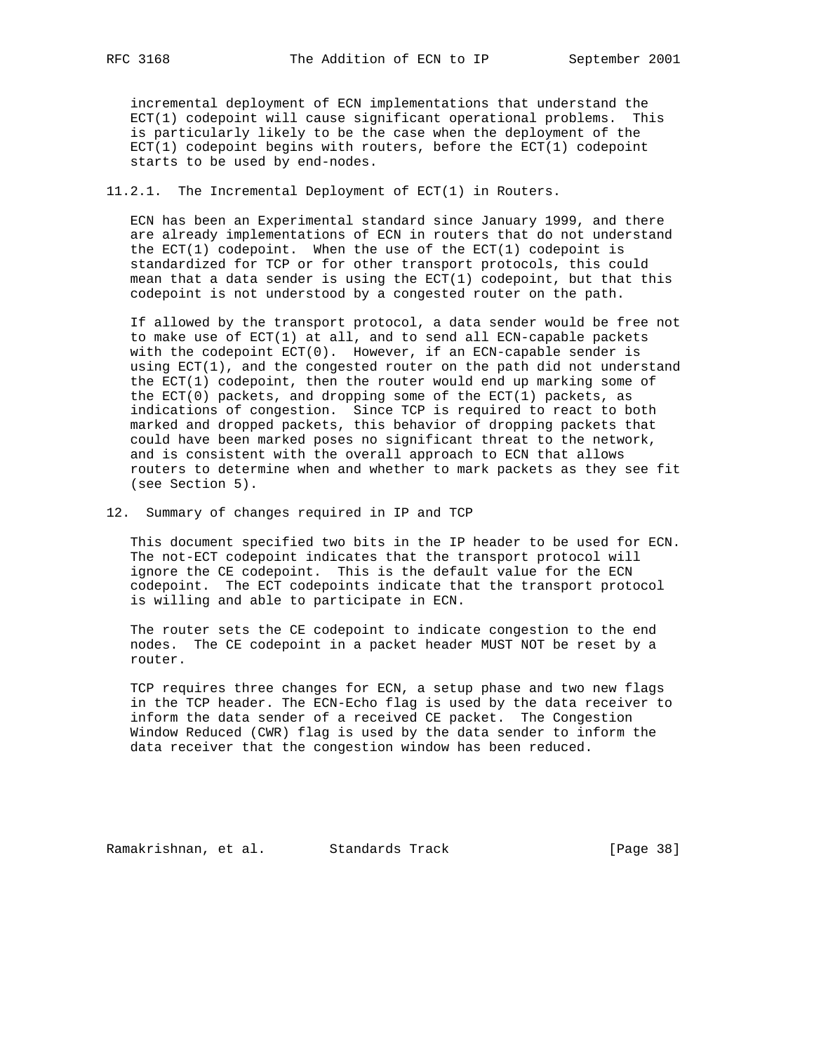incremental deployment of ECN implementations that understand the ECT(1) codepoint will cause significant operational problems. This is particularly likely to be the case when the deployment of the  $ECT(1)$  codepoint begins with routers, before the  $ECT(1)$  codepoint starts to be used by end-nodes.

11.2.1. The Incremental Deployment of ECT(1) in Routers.

 ECN has been an Experimental standard since January 1999, and there are already implementations of ECN in routers that do not understand the ECT(1) codepoint. When the use of the ECT(1) codepoint is standardized for TCP or for other transport protocols, this could mean that a data sender is using the ECT(1) codepoint, but that this codepoint is not understood by a congested router on the path.

 If allowed by the transport protocol, a data sender would be free not to make use of ECT(1) at all, and to send all ECN-capable packets with the codepoint ECT(0). However, if an ECN-capable sender is using ECT(1), and the congested router on the path did not understand the ECT(1) codepoint, then the router would end up marking some of the  $ECT(0)$  packets, and dropping some of the  $ECT(1)$  packets, as indications of congestion. Since TCP is required to react to both marked and dropped packets, this behavior of dropping packets that could have been marked poses no significant threat to the network, and is consistent with the overall approach to ECN that allows routers to determine when and whether to mark packets as they see fit (see Section 5).

12. Summary of changes required in IP and TCP

 This document specified two bits in the IP header to be used for ECN. The not-ECT codepoint indicates that the transport protocol will ignore the CE codepoint. This is the default value for the ECN codepoint. The ECT codepoints indicate that the transport protocol is willing and able to participate in ECN.

 The router sets the CE codepoint to indicate congestion to the end nodes. The CE codepoint in a packet header MUST NOT be reset by a router.

 TCP requires three changes for ECN, a setup phase and two new flags in the TCP header. The ECN-Echo flag is used by the data receiver to inform the data sender of a received CE packet. The Congestion Window Reduced (CWR) flag is used by the data sender to inform the data receiver that the congestion window has been reduced.

Ramakrishnan, et al. Standards Track (Page 38)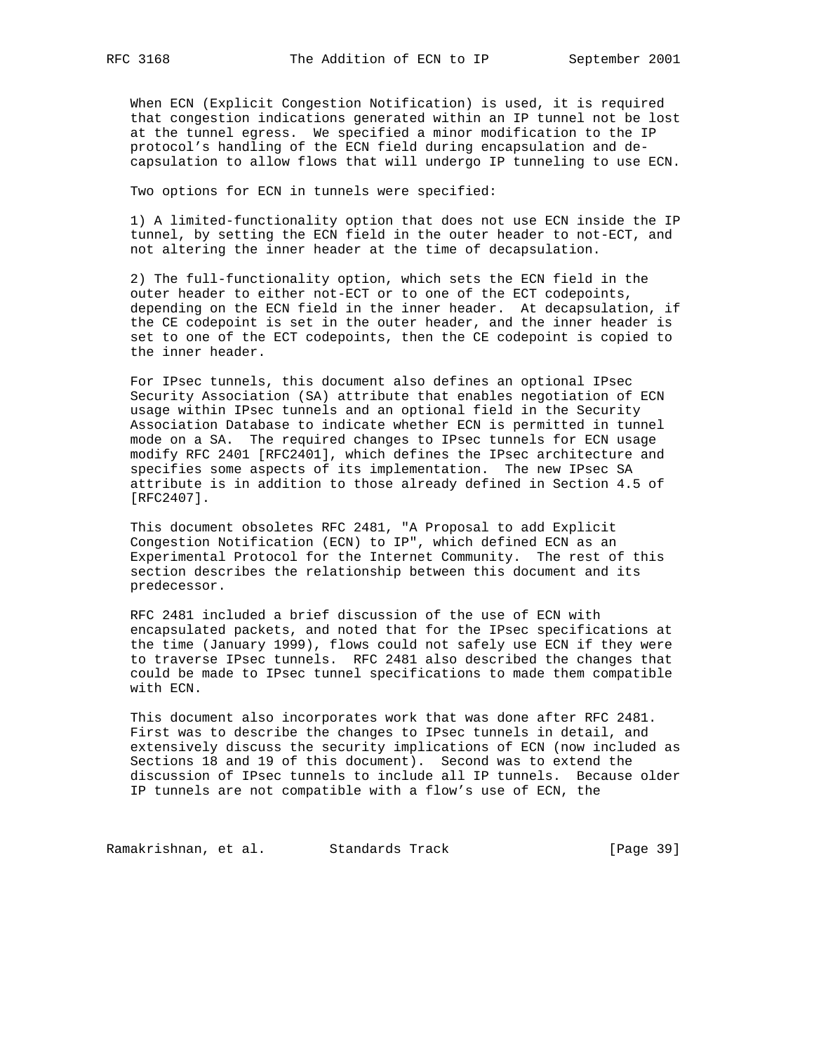When ECN (Explicit Congestion Notification) is used, it is required that congestion indications generated within an IP tunnel not be lost at the tunnel egress. We specified a minor modification to the IP protocol's handling of the ECN field during encapsulation and de capsulation to allow flows that will undergo IP tunneling to use ECN.

Two options for ECN in tunnels were specified:

 1) A limited-functionality option that does not use ECN inside the IP tunnel, by setting the ECN field in the outer header to not-ECT, and not altering the inner header at the time of decapsulation.

 2) The full-functionality option, which sets the ECN field in the outer header to either not-ECT or to one of the ECT codepoints, depending on the ECN field in the inner header. At decapsulation, if the CE codepoint is set in the outer header, and the inner header is set to one of the ECT codepoints, then the CE codepoint is copied to the inner header.

 For IPsec tunnels, this document also defines an optional IPsec Security Association (SA) attribute that enables negotiation of ECN usage within IPsec tunnels and an optional field in the Security Association Database to indicate whether ECN is permitted in tunnel mode on a SA. The required changes to IPsec tunnels for ECN usage modify RFC 2401 [RFC2401], which defines the IPsec architecture and specifies some aspects of its implementation. The new IPsec SA attribute is in addition to those already defined in Section 4.5 of [RFC2407].

 This document obsoletes RFC 2481, "A Proposal to add Explicit Congestion Notification (ECN) to IP", which defined ECN as an Experimental Protocol for the Internet Community. The rest of this section describes the relationship between this document and its predecessor.

 RFC 2481 included a brief discussion of the use of ECN with encapsulated packets, and noted that for the IPsec specifications at the time (January 1999), flows could not safely use ECN if they were to traverse IPsec tunnels. RFC 2481 also described the changes that could be made to IPsec tunnel specifications to made them compatible with ECN.

 This document also incorporates work that was done after RFC 2481. First was to describe the changes to IPsec tunnels in detail, and extensively discuss the security implications of ECN (now included as Sections 18 and 19 of this document). Second was to extend the discussion of IPsec tunnels to include all IP tunnels. Because older IP tunnels are not compatible with a flow's use of ECN, the

Ramakrishnan, et al. Standards Track [Page 39]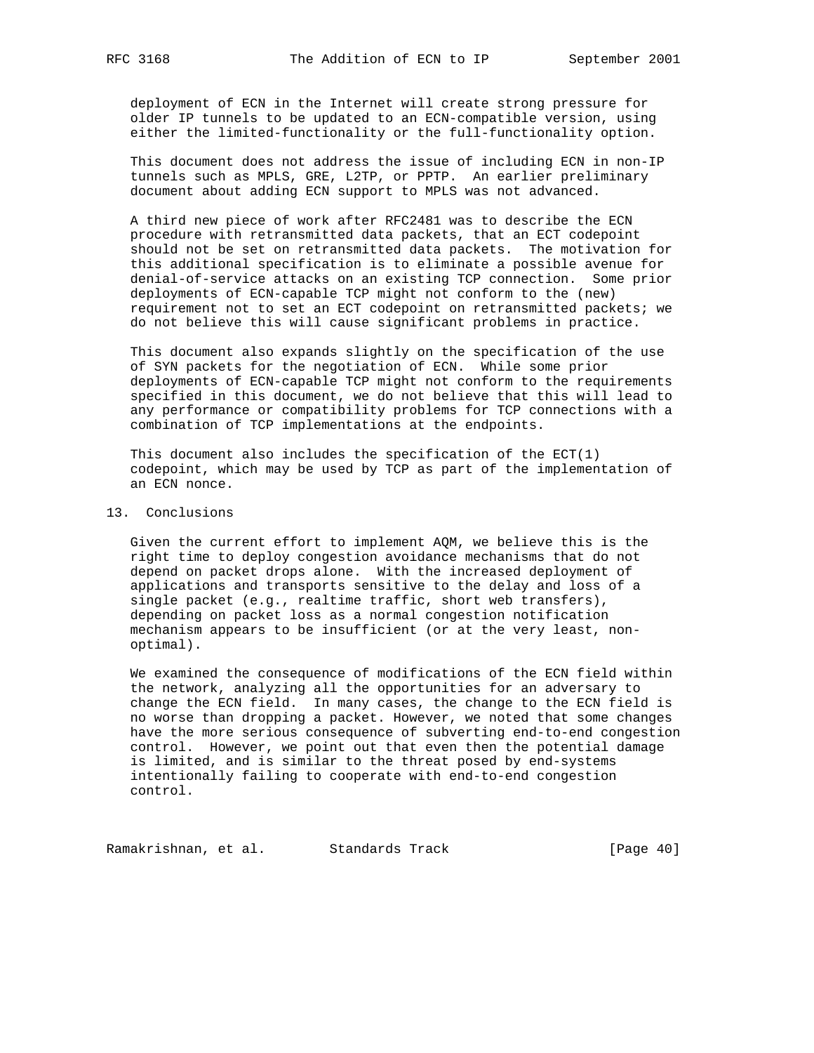deployment of ECN in the Internet will create strong pressure for older IP tunnels to be updated to an ECN-compatible version, using either the limited-functionality or the full-functionality option.

 This document does not address the issue of including ECN in non-IP tunnels such as MPLS, GRE, L2TP, or PPTP. An earlier preliminary document about adding ECN support to MPLS was not advanced.

 A third new piece of work after RFC2481 was to describe the ECN procedure with retransmitted data packets, that an ECT codepoint should not be set on retransmitted data packets. The motivation for this additional specification is to eliminate a possible avenue for denial-of-service attacks on an existing TCP connection. Some prior deployments of ECN-capable TCP might not conform to the (new) requirement not to set an ECT codepoint on retransmitted packets; we do not believe this will cause significant problems in practice.

 This document also expands slightly on the specification of the use of SYN packets for the negotiation of ECN. While some prior deployments of ECN-capable TCP might not conform to the requirements specified in this document, we do not believe that this will lead to any performance or compatibility problems for TCP connections with a combination of TCP implementations at the endpoints.

This document also includes the specification of the  $ECT(1)$  codepoint, which may be used by TCP as part of the implementation of an ECN nonce.

## 13. Conclusions

 Given the current effort to implement AQM, we believe this is the right time to deploy congestion avoidance mechanisms that do not depend on packet drops alone. With the increased deployment of applications and transports sensitive to the delay and loss of a single packet (e.g., realtime traffic, short web transfers), depending on packet loss as a normal congestion notification mechanism appears to be insufficient (or at the very least, non optimal).

 We examined the consequence of modifications of the ECN field within the network, analyzing all the opportunities for an adversary to change the ECN field. In many cases, the change to the ECN field is no worse than dropping a packet. However, we noted that some changes have the more serious consequence of subverting end-to-end congestion control. However, we point out that even then the potential damage is limited, and is similar to the threat posed by end-systems intentionally failing to cooperate with end-to-end congestion control.

Ramakrishnan, et al. Standards Track [Page 40]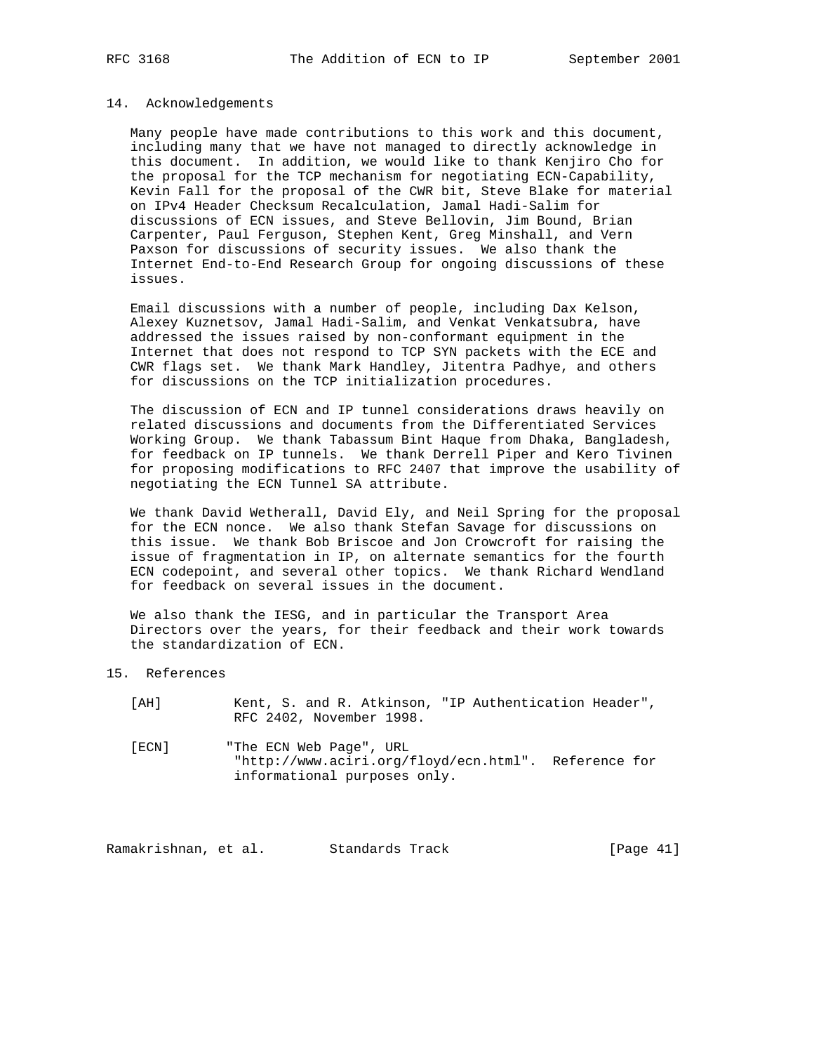#### 14. Acknowledgements

 Many people have made contributions to this work and this document, including many that we have not managed to directly acknowledge in this document. In addition, we would like to thank Kenjiro Cho for the proposal for the TCP mechanism for negotiating ECN-Capability, Kevin Fall for the proposal of the CWR bit, Steve Blake for material on IPv4 Header Checksum Recalculation, Jamal Hadi-Salim for discussions of ECN issues, and Steve Bellovin, Jim Bound, Brian Carpenter, Paul Ferguson, Stephen Kent, Greg Minshall, and Vern Paxson for discussions of security issues. We also thank the Internet End-to-End Research Group for ongoing discussions of these issues.

 Email discussions with a number of people, including Dax Kelson, Alexey Kuznetsov, Jamal Hadi-Salim, and Venkat Venkatsubra, have addressed the issues raised by non-conformant equipment in the Internet that does not respond to TCP SYN packets with the ECE and CWR flags set. We thank Mark Handley, Jitentra Padhye, and others for discussions on the TCP initialization procedures.

 The discussion of ECN and IP tunnel considerations draws heavily on related discussions and documents from the Differentiated Services Working Group. We thank Tabassum Bint Haque from Dhaka, Bangladesh, for feedback on IP tunnels. We thank Derrell Piper and Kero Tivinen for proposing modifications to RFC 2407 that improve the usability of negotiating the ECN Tunnel SA attribute.

 We thank David Wetherall, David Ely, and Neil Spring for the proposal for the ECN nonce. We also thank Stefan Savage for discussions on this issue. We thank Bob Briscoe and Jon Crowcroft for raising the issue of fragmentation in IP, on alternate semantics for the fourth ECN codepoint, and several other topics. We thank Richard Wendland for feedback on several issues in the document.

 We also thank the IESG, and in particular the Transport Area Directors over the years, for their feedback and their work towards the standardization of ECN.

15. References

| `AH Ì |                          |  | Kent, S. and R. Atkinson, "IP Authentication Header", |  |
|-------|--------------------------|--|-------------------------------------------------------|--|
|       | RFC 2402, November 1998. |  |                                                       |  |

 [ECN] "The ECN Web Page", URL "http://www.aciri.org/floyd/ecn.html". Reference for informational purposes only.

Ramakrishnan, et al. Standards Track [Page 41]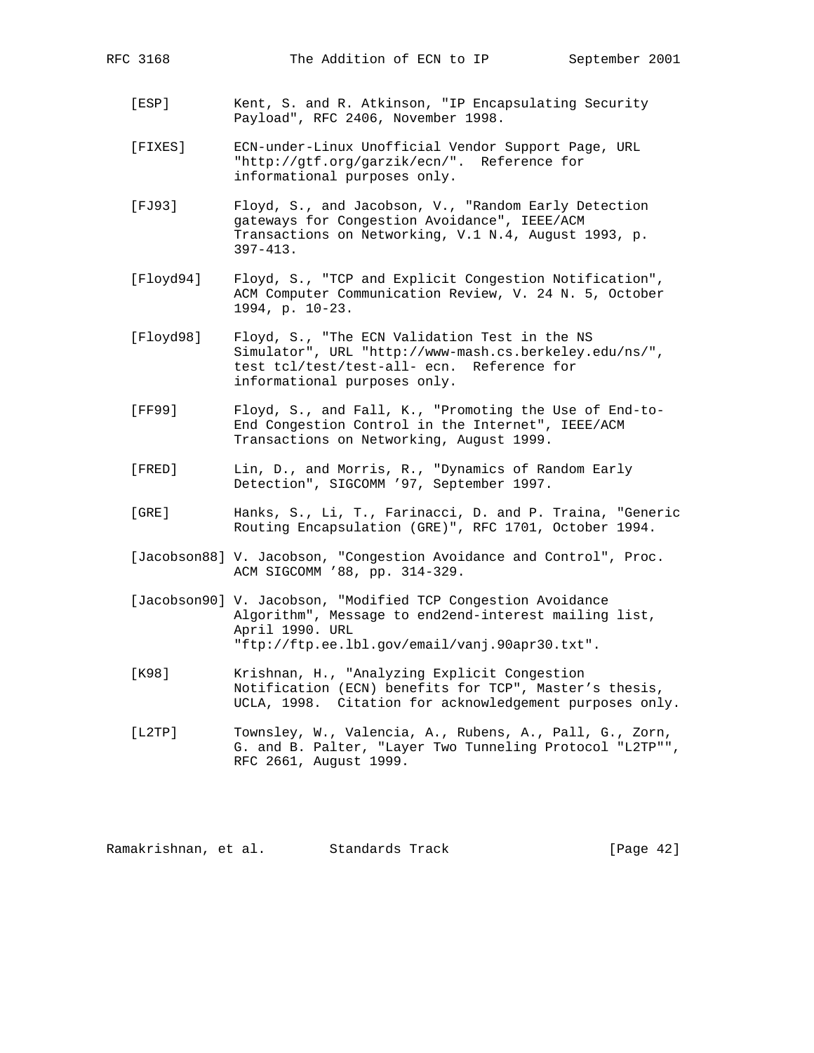- [ESP] Kent, S. and R. Atkinson, "IP Encapsulating Security
- [FIXES] ECN-under-Linux Unofficial Vendor Support Page, URL "http://gtf.org/garzik/ecn/". Reference for informational purposes only.

Payload", RFC 2406, November 1998.

- [FJ93] Floyd, S., and Jacobson, V., "Random Early Detection gateways for Congestion Avoidance", IEEE/ACM Transactions on Networking, V.1 N.4, August 1993, p. 397-413.
- [Floyd94] Floyd, S., "TCP and Explicit Congestion Notification", ACM Computer Communication Review, V. 24 N. 5, October 1994, p. 10-23.
- [Floyd98] Floyd, S., "The ECN Validation Test in the NS Simulator", URL "http://www-mash.cs.berkeley.edu/ns/", test tcl/test/test-all- ecn. Reference for informational purposes only.
- [FF99] Floyd, S., and Fall, K., "Promoting the Use of End-to- End Congestion Control in the Internet", IEEE/ACM Transactions on Networking, August 1999.
- [FRED] Lin, D., and Morris, R., "Dynamics of Random Early Detection", SIGCOMM '97, September 1997.
- [GRE] Hanks, S., Li, T., Farinacci, D. and P. Traina, "Generic Routing Encapsulation (GRE)", RFC 1701, October 1994.
- [Jacobson88] V. Jacobson, "Congestion Avoidance and Control", Proc. ACM SIGCOMM '88, pp. 314-329.
- [Jacobson90] V. Jacobson, "Modified TCP Congestion Avoidance Algorithm", Message to end2end-interest mailing list, April 1990. URL "ftp://ftp.ee.lbl.gov/email/vanj.90apr30.txt".
- [K98] Krishnan, H., "Analyzing Explicit Congestion Notification (ECN) benefits for TCP", Master's thesis, UCLA, 1998. Citation for acknowledgement purposes only.
- [L2TP] Townsley, W., Valencia, A., Rubens, A., Pall, G., Zorn, G. and B. Palter, "Layer Two Tunneling Protocol "L2TP"", RFC 2661, August 1999.

Ramakrishnan, et al. Standards Track [Page 42]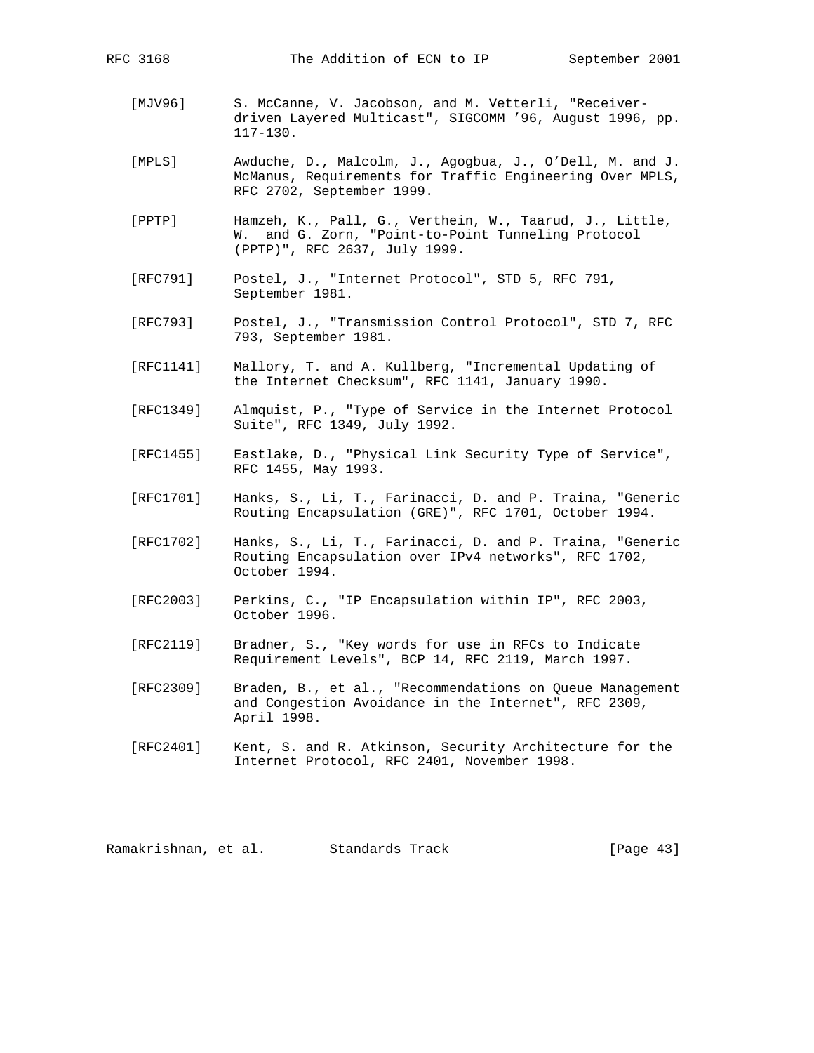- - [MJV96] S. McCanne, V. Jacobson, and M. Vetterli, "Receiver driven Layered Multicast", SIGCOMM '96, August 1996, pp. 117-130.
	- [MPLS] Awduche, D., Malcolm, J., Agogbua, J., O'Dell, M. and J. McManus, Requirements for Traffic Engineering Over MPLS, RFC 2702, September 1999.
	- [PPTP] Hamzeh, K., Pall, G., Verthein, W., Taarud, J., Little, W. and G. Zorn, "Point-to-Point Tunneling Protocol (PPTP)", RFC 2637, July 1999.
	- [RFC791] Postel, J., "Internet Protocol", STD 5, RFC 791, September 1981.
	- [RFC793] Postel, J., "Transmission Control Protocol", STD 7, RFC 793, September 1981.
	- [RFC1141] Mallory, T. and A. Kullberg, "Incremental Updating of the Internet Checksum", RFC 1141, January 1990.
	- [RFC1349] Almquist, P., "Type of Service in the Internet Protocol Suite", RFC 1349, July 1992.
	- [RFC1455] Eastlake, D., "Physical Link Security Type of Service", RFC 1455, May 1993.
	- [RFC1701] Hanks, S., Li, T., Farinacci, D. and P. Traina, "Generic Routing Encapsulation (GRE)", RFC 1701, October 1994.
	- [RFC1702] Hanks, S., Li, T., Farinacci, D. and P. Traina, "Generic Routing Encapsulation over IPv4 networks", RFC 1702, October 1994.
	- [RFC2003] Perkins, C., "IP Encapsulation within IP", RFC 2003, October 1996.
	- [RFC2119] Bradner, S., "Key words for use in RFCs to Indicate Requirement Levels", BCP 14, RFC 2119, March 1997.
	- [RFC2309] Braden, B., et al., "Recommendations on Queue Management and Congestion Avoidance in the Internet", RFC 2309, April 1998.
	- [RFC2401] Kent, S. and R. Atkinson, Security Architecture for the Internet Protocol, RFC 2401, November 1998.

Ramakrishnan, et al. Standards Track [Page 43]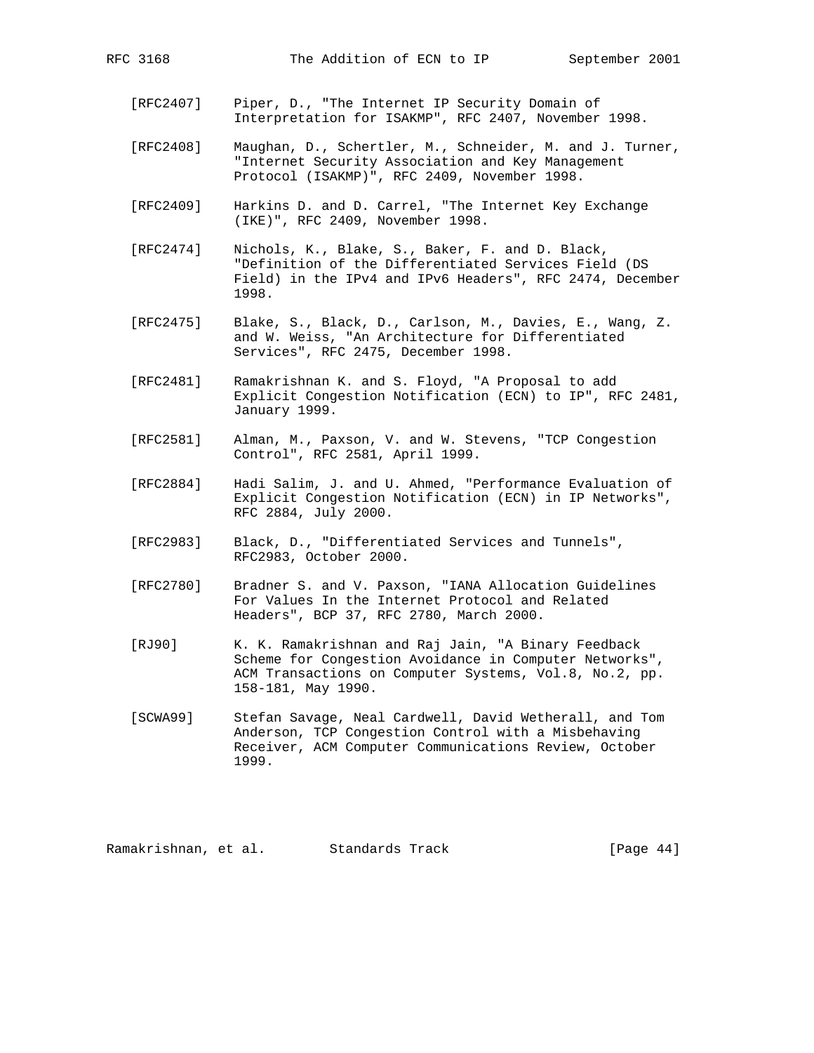- [RFC2407] Piper, D., "The Internet IP Security Domain of Interpretation for ISAKMP", RFC 2407, November 1998.
- [RFC2408] Maughan, D., Schertler, M., Schneider, M. and J. Turner, "Internet Security Association and Key Management Protocol (ISAKMP)", RFC 2409, November 1998.
- [RFC2409] Harkins D. and D. Carrel, "The Internet Key Exchange (IKE)", RFC 2409, November 1998.
- [RFC2474] Nichols, K., Blake, S., Baker, F. and D. Black, "Definition of the Differentiated Services Field (DS Field) in the IPv4 and IPv6 Headers", RFC 2474, December 1998.
- [RFC2475] Blake, S., Black, D., Carlson, M., Davies, E., Wang, Z. and W. Weiss, "An Architecture for Differentiated Services", RFC 2475, December 1998.
- [RFC2481] Ramakrishnan K. and S. Floyd, "A Proposal to add Explicit Congestion Notification (ECN) to IP", RFC 2481, January 1999.
- [RFC2581] Alman, M., Paxson, V. and W. Stevens, "TCP Congestion Control", RFC 2581, April 1999.
- [RFC2884] Hadi Salim, J. and U. Ahmed, "Performance Evaluation of Explicit Congestion Notification (ECN) in IP Networks", RFC 2884, July 2000.
- [RFC2983] Black, D., "Differentiated Services and Tunnels", RFC2983, October 2000.
- [RFC2780] Bradner S. and V. Paxson, "IANA Allocation Guidelines For Values In the Internet Protocol and Related Headers", BCP 37, RFC 2780, March 2000.
- [RJ90] K. K. Ramakrishnan and Raj Jain, "A Binary Feedback Scheme for Congestion Avoidance in Computer Networks", ACM Transactions on Computer Systems, Vol.8, No.2, pp. 158-181, May 1990.
- [SCWA99] Stefan Savage, Neal Cardwell, David Wetherall, and Tom Anderson, TCP Congestion Control with a Misbehaving Receiver, ACM Computer Communications Review, October 1999.

Ramakrishnan, et al. Standards Track [Page 44]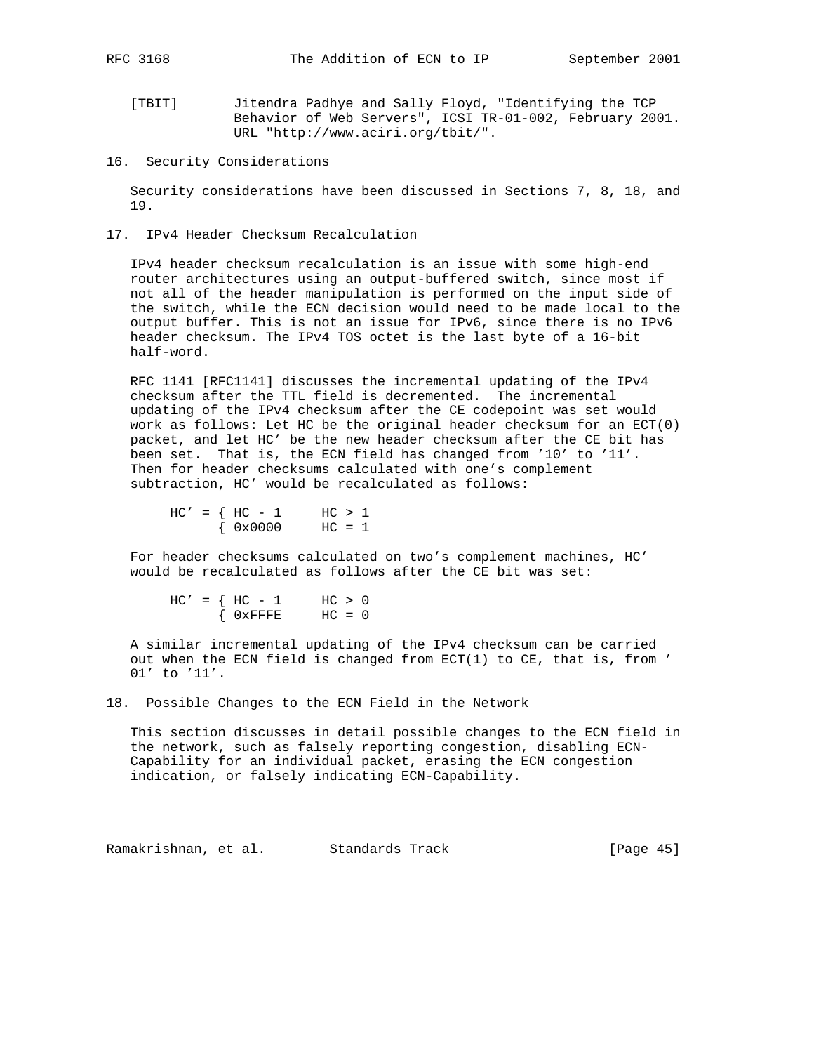- [TBIT] Jitendra Padhye and Sally Floyd, "Identifying the TCP Behavior of Web Servers", ICSI TR-01-002, February 2001. URL "http://www.aciri.org/tbit/".
- 16. Security Considerations

 Security considerations have been discussed in Sections 7, 8, 18, and 19.

17. IPv4 Header Checksum Recalculation

 IPv4 header checksum recalculation is an issue with some high-end router architectures using an output-buffered switch, since most if not all of the header manipulation is performed on the input side of the switch, while the ECN decision would need to be made local to the output buffer. This is not an issue for IPv6, since there is no IPv6 header checksum. The IPv4 TOS octet is the last byte of a 16-bit half-word.

 RFC 1141 [RFC1141] discusses the incremental updating of the IPv4 checksum after the TTL field is decremented. The incremental updating of the IPv4 checksum after the CE codepoint was set would work as follows: Let HC be the original header checksum for an  $ECT(0)$  packet, and let HC' be the new header checksum after the CE bit has been set. That is, the ECN field has changed from '10' to '11'. Then for header checksums calculated with one's complement subtraction, HC' would be recalculated as follows:

 $HC' = \{ HC - 1 \} \text{HC} > 1$  $\{ 0 \times 0 0 0 0 \quad \text{HC} = 1$ 

 For header checksums calculated on two's complement machines, HC' would be recalculated as follows after the CE bit was set:

 $HC' = \{ HC - 1 \} HC > 0$  $\{$  OxFFFE HC = 0

 A similar incremental updating of the IPv4 checksum can be carried out when the ECN field is changed from ECT(1) to CE, that is, from ' 01' to '11'.

18. Possible Changes to the ECN Field in the Network

 This section discusses in detail possible changes to the ECN field in the network, such as falsely reporting congestion, disabling ECN- Capability for an individual packet, erasing the ECN congestion indication, or falsely indicating ECN-Capability.

Ramakrishnan, et al. Standards Track [Page 45]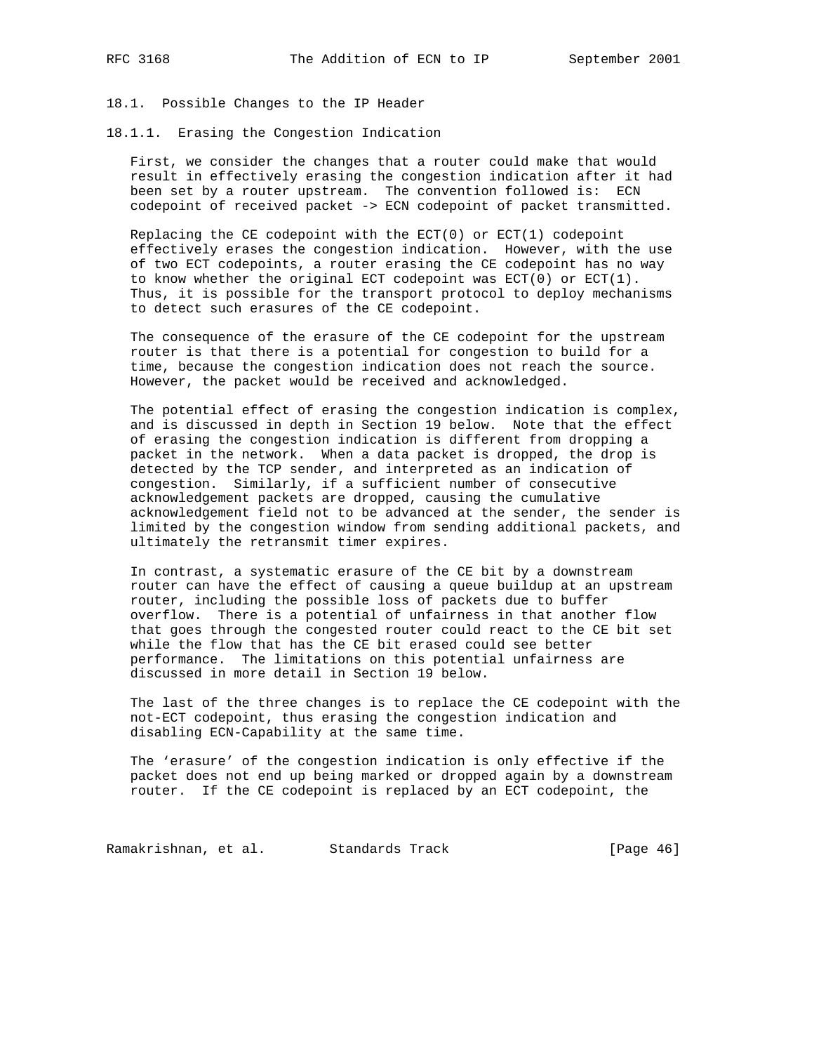18.1. Possible Changes to the IP Header

18.1.1. Erasing the Congestion Indication

 First, we consider the changes that a router could make that would result in effectively erasing the congestion indication after it had been set by a router upstream. The convention followed is: ECN codepoint of received packet -> ECN codepoint of packet transmitted.

Replacing the CE codepoint with the  $ECT(0)$  or  $ECT(1)$  codepoint effectively erases the congestion indication. However, with the use of two ECT codepoints, a router erasing the CE codepoint has no way to know whether the original ECT codepoint was ECT(0) or ECT(1). Thus, it is possible for the transport protocol to deploy mechanisms to detect such erasures of the CE codepoint.

 The consequence of the erasure of the CE codepoint for the upstream router is that there is a potential for congestion to build for a time, because the congestion indication does not reach the source. However, the packet would be received and acknowledged.

 The potential effect of erasing the congestion indication is complex, and is discussed in depth in Section 19 below. Note that the effect of erasing the congestion indication is different from dropping a packet in the network. When a data packet is dropped, the drop is detected by the TCP sender, and interpreted as an indication of congestion. Similarly, if a sufficient number of consecutive acknowledgement packets are dropped, causing the cumulative acknowledgement field not to be advanced at the sender, the sender is limited by the congestion window from sending additional packets, and ultimately the retransmit timer expires.

 In contrast, a systematic erasure of the CE bit by a downstream router can have the effect of causing a queue buildup at an upstream router, including the possible loss of packets due to buffer overflow. There is a potential of unfairness in that another flow that goes through the congested router could react to the CE bit set while the flow that has the CE bit erased could see better performance. The limitations on this potential unfairness are discussed in more detail in Section 19 below.

 The last of the three changes is to replace the CE codepoint with the not-ECT codepoint, thus erasing the congestion indication and disabling ECN-Capability at the same time.

 The 'erasure' of the congestion indication is only effective if the packet does not end up being marked or dropped again by a downstream router. If the CE codepoint is replaced by an ECT codepoint, the

Ramakrishnan, et al. Standards Track [Page 46]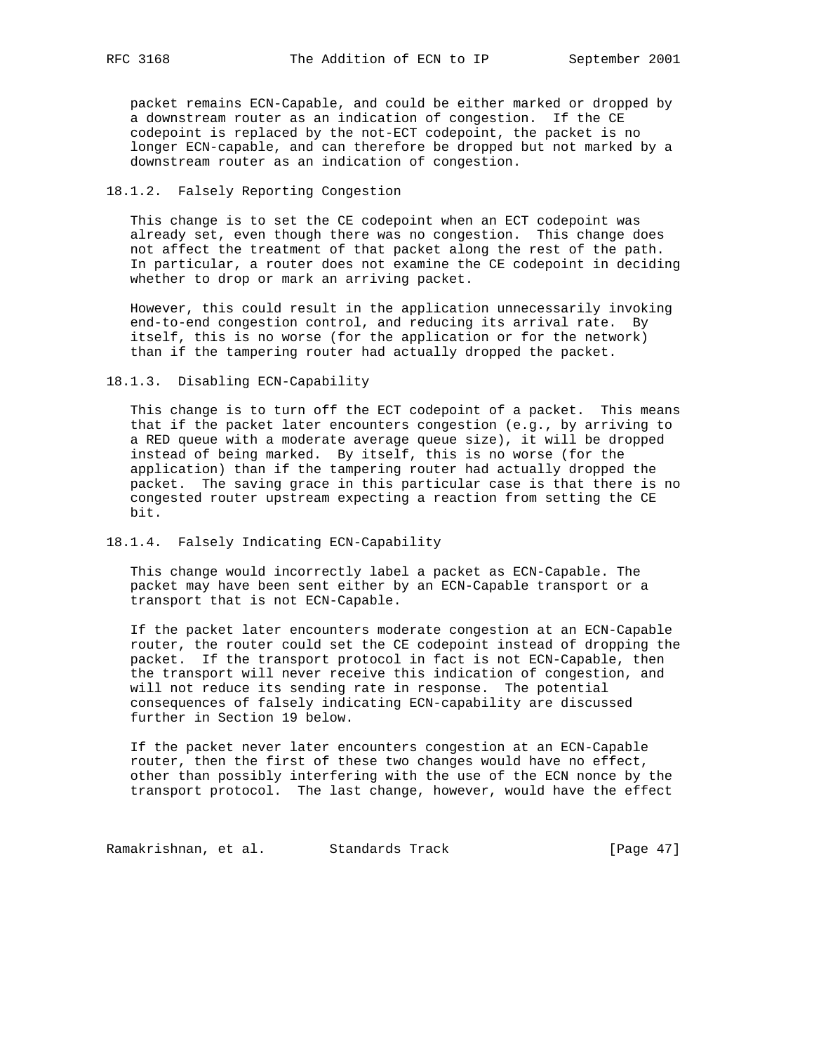packet remains ECN-Capable, and could be either marked or dropped by a downstream router as an indication of congestion. If the CE codepoint is replaced by the not-ECT codepoint, the packet is no longer ECN-capable, and can therefore be dropped but not marked by a downstream router as an indication of congestion.

## 18.1.2. Falsely Reporting Congestion

 This change is to set the CE codepoint when an ECT codepoint was already set, even though there was no congestion. This change does not affect the treatment of that packet along the rest of the path. In particular, a router does not examine the CE codepoint in deciding whether to drop or mark an arriving packet.

 However, this could result in the application unnecessarily invoking end-to-end congestion control, and reducing its arrival rate. By itself, this is no worse (for the application or for the network) than if the tampering router had actually dropped the packet.

18.1.3. Disabling ECN-Capability

 This change is to turn off the ECT codepoint of a packet. This means that if the packet later encounters congestion (e.g., by arriving to a RED queue with a moderate average queue size), it will be dropped instead of being marked. By itself, this is no worse (for the application) than if the tampering router had actually dropped the packet. The saving grace in this particular case is that there is no congested router upstream expecting a reaction from setting the CE bit.

## 18.1.4. Falsely Indicating ECN-Capability

 This change would incorrectly label a packet as ECN-Capable. The packet may have been sent either by an ECN-Capable transport or a transport that is not ECN-Capable.

 If the packet later encounters moderate congestion at an ECN-Capable router, the router could set the CE codepoint instead of dropping the packet. If the transport protocol in fact is not ECN-Capable, then the transport will never receive this indication of congestion, and will not reduce its sending rate in response. The potential consequences of falsely indicating ECN-capability are discussed further in Section 19 below.

 If the packet never later encounters congestion at an ECN-Capable router, then the first of these two changes would have no effect, other than possibly interfering with the use of the ECN nonce by the transport protocol. The last change, however, would have the effect

Ramakrishnan, et al. Standards Track (Page 47)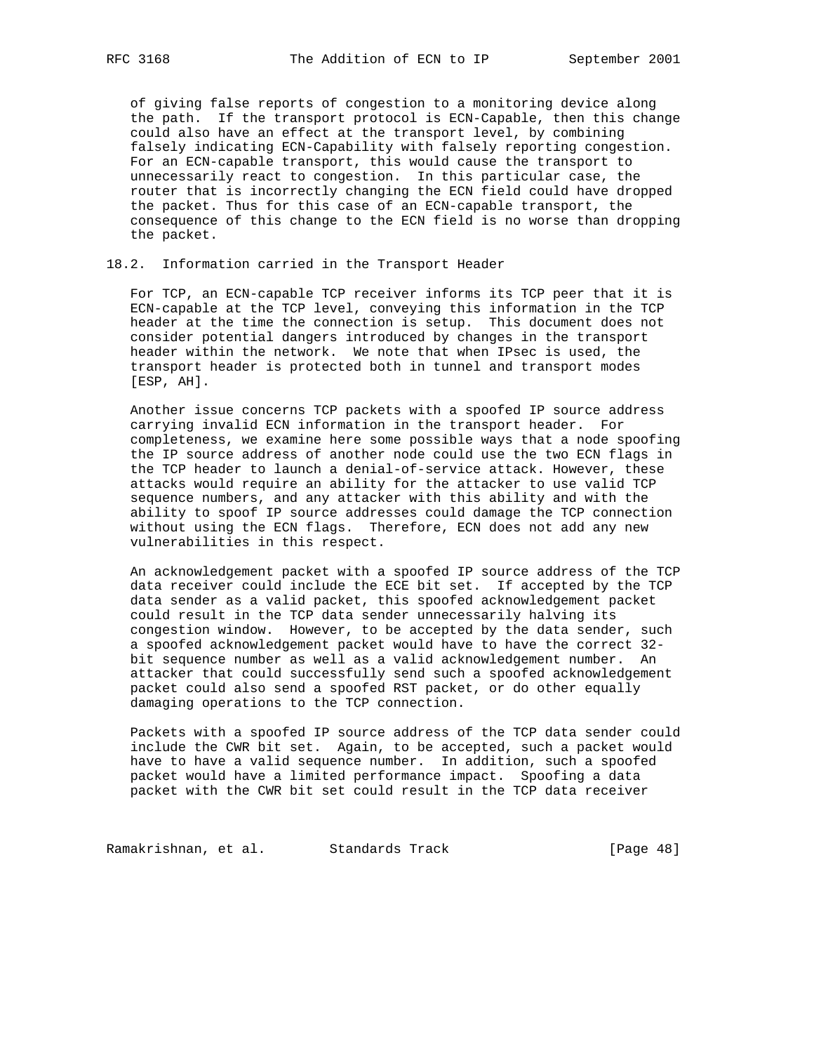of giving false reports of congestion to a monitoring device along the path. If the transport protocol is ECN-Capable, then this change could also have an effect at the transport level, by combining falsely indicating ECN-Capability with falsely reporting congestion. For an ECN-capable transport, this would cause the transport to unnecessarily react to congestion. In this particular case, the router that is incorrectly changing the ECN field could have dropped the packet. Thus for this case of an ECN-capable transport, the consequence of this change to the ECN field is no worse than dropping the packet.

#### 18.2. Information carried in the Transport Header

 For TCP, an ECN-capable TCP receiver informs its TCP peer that it is ECN-capable at the TCP level, conveying this information in the TCP header at the time the connection is setup. This document does not consider potential dangers introduced by changes in the transport header within the network. We note that when IPsec is used, the transport header is protected both in tunnel and transport modes [ESP, AH].

 Another issue concerns TCP packets with a spoofed IP source address carrying invalid ECN information in the transport header. For completeness, we examine here some possible ways that a node spoofing the IP source address of another node could use the two ECN flags in the TCP header to launch a denial-of-service attack. However, these attacks would require an ability for the attacker to use valid TCP sequence numbers, and any attacker with this ability and with the ability to spoof IP source addresses could damage the TCP connection without using the ECN flags. Therefore, ECN does not add any new vulnerabilities in this respect.

 An acknowledgement packet with a spoofed IP source address of the TCP data receiver could include the ECE bit set. If accepted by the TCP data sender as a valid packet, this spoofed acknowledgement packet could result in the TCP data sender unnecessarily halving its congestion window. However, to be accepted by the data sender, such a spoofed acknowledgement packet would have to have the correct 32 bit sequence number as well as a valid acknowledgement number. An attacker that could successfully send such a spoofed acknowledgement packet could also send a spoofed RST packet, or do other equally damaging operations to the TCP connection.

 Packets with a spoofed IP source address of the TCP data sender could include the CWR bit set. Again, to be accepted, such a packet would have to have a valid sequence number. In addition, such a spoofed packet would have a limited performance impact. Spoofing a data packet with the CWR bit set could result in the TCP data receiver

Ramakrishnan, et al. Standards Track (Page 48)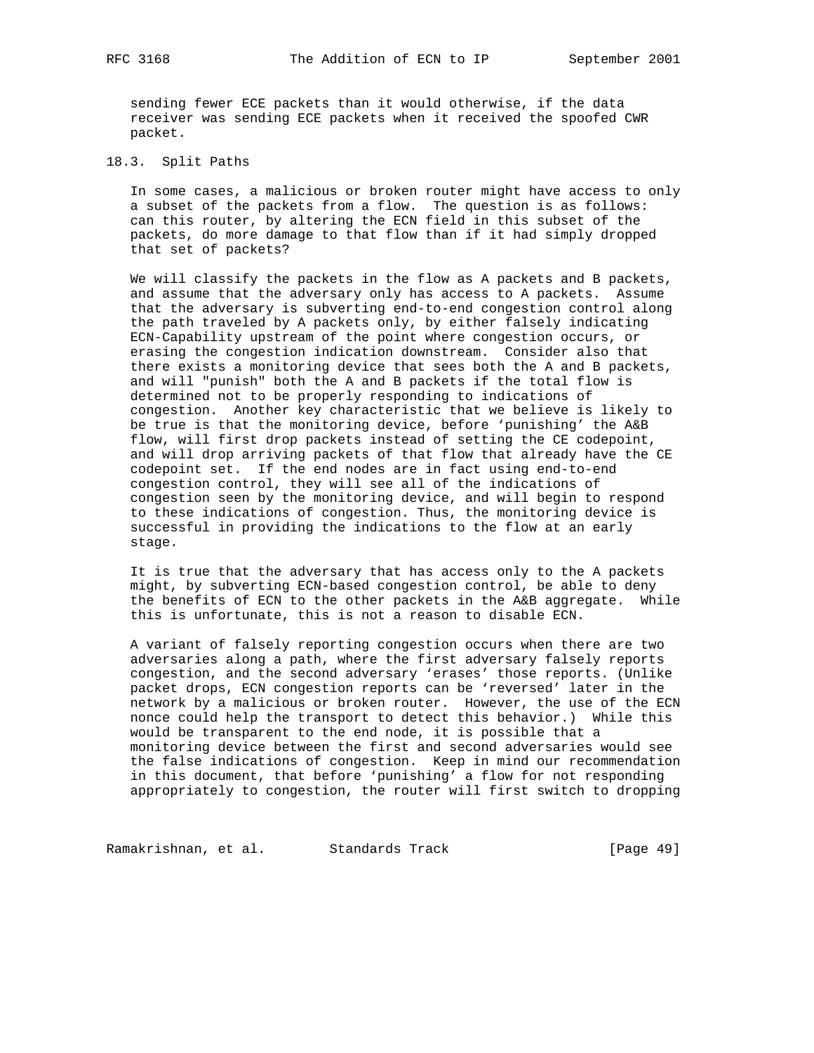sending fewer ECE packets than it would otherwise, if the data receiver was sending ECE packets when it received the spoofed CWR packet.

#### 18.3. Split Paths

 In some cases, a malicious or broken router might have access to only a subset of the packets from a flow. The question is as follows: can this router, by altering the ECN field in this subset of the packets, do more damage to that flow than if it had simply dropped that set of packets?

 We will classify the packets in the flow as A packets and B packets, and assume that the adversary only has access to A packets. Assume that the adversary is subverting end-to-end congestion control along the path traveled by A packets only, by either falsely indicating ECN-Capability upstream of the point where congestion occurs, or erasing the congestion indication downstream. Consider also that there exists a monitoring device that sees both the A and B packets, and will "punish" both the A and B packets if the total flow is determined not to be properly responding to indications of congestion. Another key characteristic that we believe is likely to be true is that the monitoring device, before 'punishing' the A&B flow, will first drop packets instead of setting the CE codepoint, and will drop arriving packets of that flow that already have the CE codepoint set. If the end nodes are in fact using end-to-end congestion control, they will see all of the indications of congestion seen by the monitoring device, and will begin to respond to these indications of congestion. Thus, the monitoring device is successful in providing the indications to the flow at an early stage.

 It is true that the adversary that has access only to the A packets might, by subverting ECN-based congestion control, be able to deny the benefits of ECN to the other packets in the A&B aggregate. While this is unfortunate, this is not a reason to disable ECN.

 A variant of falsely reporting congestion occurs when there are two adversaries along a path, where the first adversary falsely reports congestion, and the second adversary 'erases' those reports. (Unlike packet drops, ECN congestion reports can be 'reversed' later in the network by a malicious or broken router. However, the use of the ECN nonce could help the transport to detect this behavior.) While this would be transparent to the end node, it is possible that a monitoring device between the first and second adversaries would see the false indications of congestion. Keep in mind our recommendation in this document, that before 'punishing' a flow for not responding appropriately to congestion, the router will first switch to dropping

Ramakrishnan, et al. Standards Track [Page 49]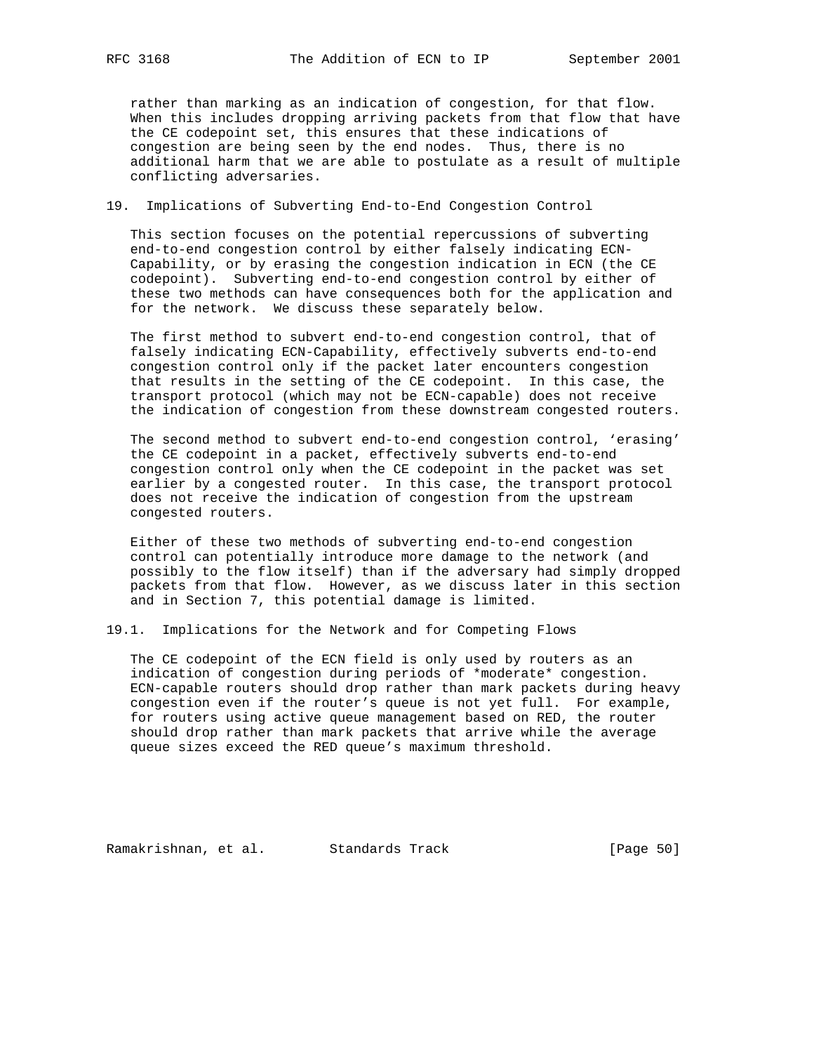rather than marking as an indication of congestion, for that flow. When this includes dropping arriving packets from that flow that have the CE codepoint set, this ensures that these indications of congestion are being seen by the end nodes. Thus, there is no additional harm that we are able to postulate as a result of multiple conflicting adversaries.

## 19. Implications of Subverting End-to-End Congestion Control

 This section focuses on the potential repercussions of subverting end-to-end congestion control by either falsely indicating ECN- Capability, or by erasing the congestion indication in ECN (the CE codepoint). Subverting end-to-end congestion control by either of these two methods can have consequences both for the application and for the network. We discuss these separately below.

 The first method to subvert end-to-end congestion control, that of falsely indicating ECN-Capability, effectively subverts end-to-end congestion control only if the packet later encounters congestion that results in the setting of the CE codepoint. In this case, the transport protocol (which may not be ECN-capable) does not receive the indication of congestion from these downstream congested routers.

 The second method to subvert end-to-end congestion control, 'erasing' the CE codepoint in a packet, effectively subverts end-to-end congestion control only when the CE codepoint in the packet was set earlier by a congested router. In this case, the transport protocol does not receive the indication of congestion from the upstream congested routers.

 Either of these two methods of subverting end-to-end congestion control can potentially introduce more damage to the network (and possibly to the flow itself) than if the adversary had simply dropped packets from that flow. However, as we discuss later in this section and in Section 7, this potential damage is limited.

19.1. Implications for the Network and for Competing Flows

 The CE codepoint of the ECN field is only used by routers as an indication of congestion during periods of \*moderate\* congestion. ECN-capable routers should drop rather than mark packets during heavy congestion even if the router's queue is not yet full. For example, for routers using active queue management based on RED, the router should drop rather than mark packets that arrive while the average queue sizes exceed the RED queue's maximum threshold.

Ramakrishnan, et al. Standards Track (Page 50)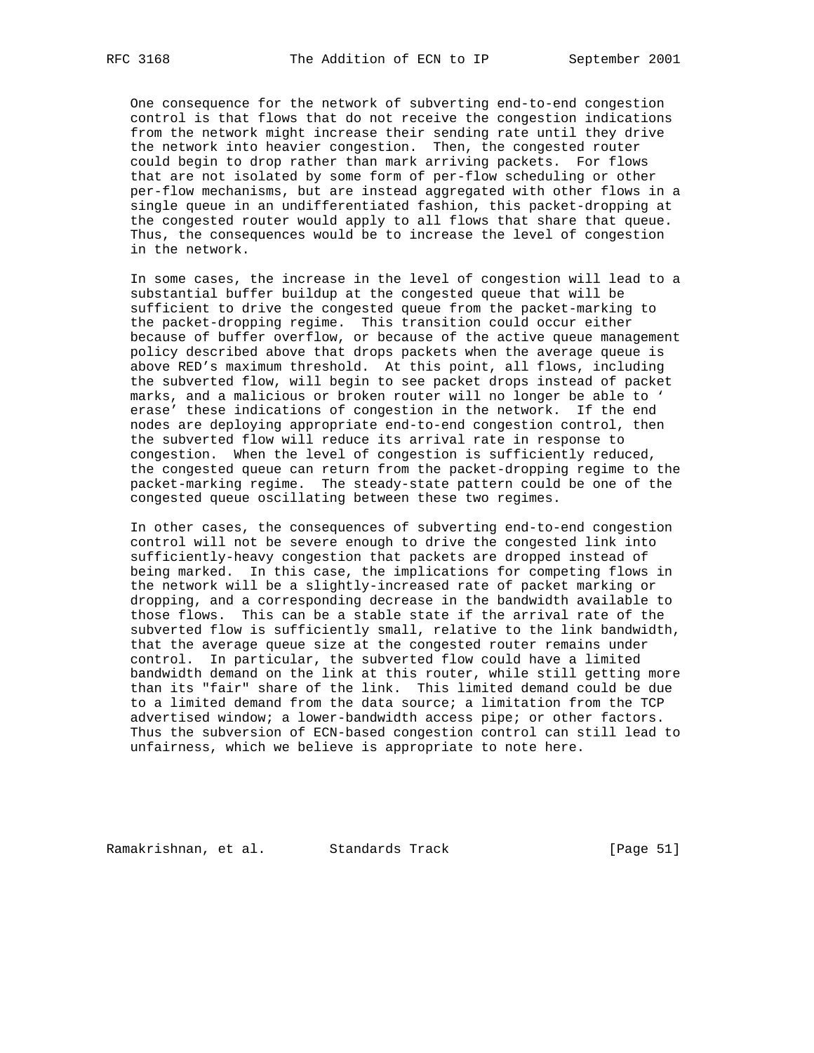One consequence for the network of subverting end-to-end congestion control is that flows that do not receive the congestion indications from the network might increase their sending rate until they drive the network into heavier congestion. Then, the congested router could begin to drop rather than mark arriving packets. For flows that are not isolated by some form of per-flow scheduling or other per-flow mechanisms, but are instead aggregated with other flows in a single queue in an undifferentiated fashion, this packet-dropping at the congested router would apply to all flows that share that queue. Thus, the consequences would be to increase the level of congestion in the network.

 In some cases, the increase in the level of congestion will lead to a substantial buffer buildup at the congested queue that will be sufficient to drive the congested queue from the packet-marking to the packet-dropping regime. This transition could occur either because of buffer overflow, or because of the active queue management policy described above that drops packets when the average queue is above RED's maximum threshold. At this point, all flows, including the subverted flow, will begin to see packet drops instead of packet marks, and a malicious or broken router will no longer be able to ' erase' these indications of congestion in the network. If the end nodes are deploying appropriate end-to-end congestion control, then the subverted flow will reduce its arrival rate in response to congestion. When the level of congestion is sufficiently reduced, the congested queue can return from the packet-dropping regime to the packet-marking regime. The steady-state pattern could be one of the congested queue oscillating between these two regimes.

 In other cases, the consequences of subverting end-to-end congestion control will not be severe enough to drive the congested link into sufficiently-heavy congestion that packets are dropped instead of being marked. In this case, the implications for competing flows in the network will be a slightly-increased rate of packet marking or dropping, and a corresponding decrease in the bandwidth available to those flows. This can be a stable state if the arrival rate of the subverted flow is sufficiently small, relative to the link bandwidth, that the average queue size at the congested router remains under control. In particular, the subverted flow could have a limited bandwidth demand on the link at this router, while still getting more than its "fair" share of the link. This limited demand could be due to a limited demand from the data source; a limitation from the TCP advertised window; a lower-bandwidth access pipe; or other factors. Thus the subversion of ECN-based congestion control can still lead to unfairness, which we believe is appropriate to note here.

Ramakrishnan, et al. Standards Track (Page 51)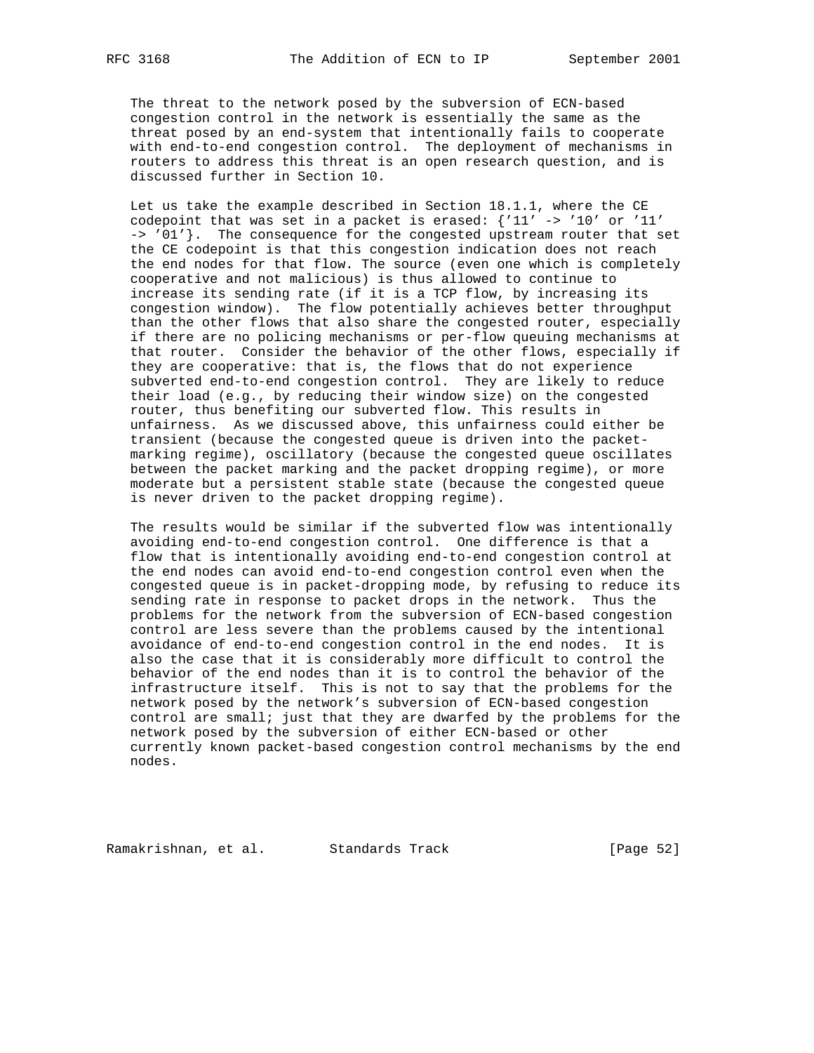The threat to the network posed by the subversion of ECN-based congestion control in the network is essentially the same as the threat posed by an end-system that intentionally fails to cooperate with end-to-end congestion control. The deployment of mechanisms in routers to address this threat is an open research question, and is discussed further in Section 10.

 Let us take the example described in Section 18.1.1, where the CE codepoint that was set in a packet is erased: {'11' -> '10' or '11' -> '01'}. The consequence for the congested upstream router that set the CE codepoint is that this congestion indication does not reach the end nodes for that flow. The source (even one which is completely cooperative and not malicious) is thus allowed to continue to increase its sending rate (if it is a TCP flow, by increasing its congestion window). The flow potentially achieves better throughput than the other flows that also share the congested router, especially if there are no policing mechanisms or per-flow queuing mechanisms at that router. Consider the behavior of the other flows, especially if they are cooperative: that is, the flows that do not experience subverted end-to-end congestion control. They are likely to reduce their load (e.g., by reducing their window size) on the congested router, thus benefiting our subverted flow. This results in unfairness. As we discussed above, this unfairness could either be transient (because the congested queue is driven into the packet marking regime), oscillatory (because the congested queue oscillates between the packet marking and the packet dropping regime), or more moderate but a persistent stable state (because the congested queue is never driven to the packet dropping regime).

 The results would be similar if the subverted flow was intentionally avoiding end-to-end congestion control. One difference is that a flow that is intentionally avoiding end-to-end congestion control at the end nodes can avoid end-to-end congestion control even when the congested queue is in packet-dropping mode, by refusing to reduce its sending rate in response to packet drops in the network. Thus the problems for the network from the subversion of ECN-based congestion control are less severe than the problems caused by the intentional avoidance of end-to-end congestion control in the end nodes. It is also the case that it is considerably more difficult to control the behavior of the end nodes than it is to control the behavior of the infrastructure itself. This is not to say that the problems for the network posed by the network's subversion of ECN-based congestion control are small; just that they are dwarfed by the problems for the network posed by the subversion of either ECN-based or other currently known packet-based congestion control mechanisms by the end nodes.

Ramakrishnan, et al. Standards Track [Page 52]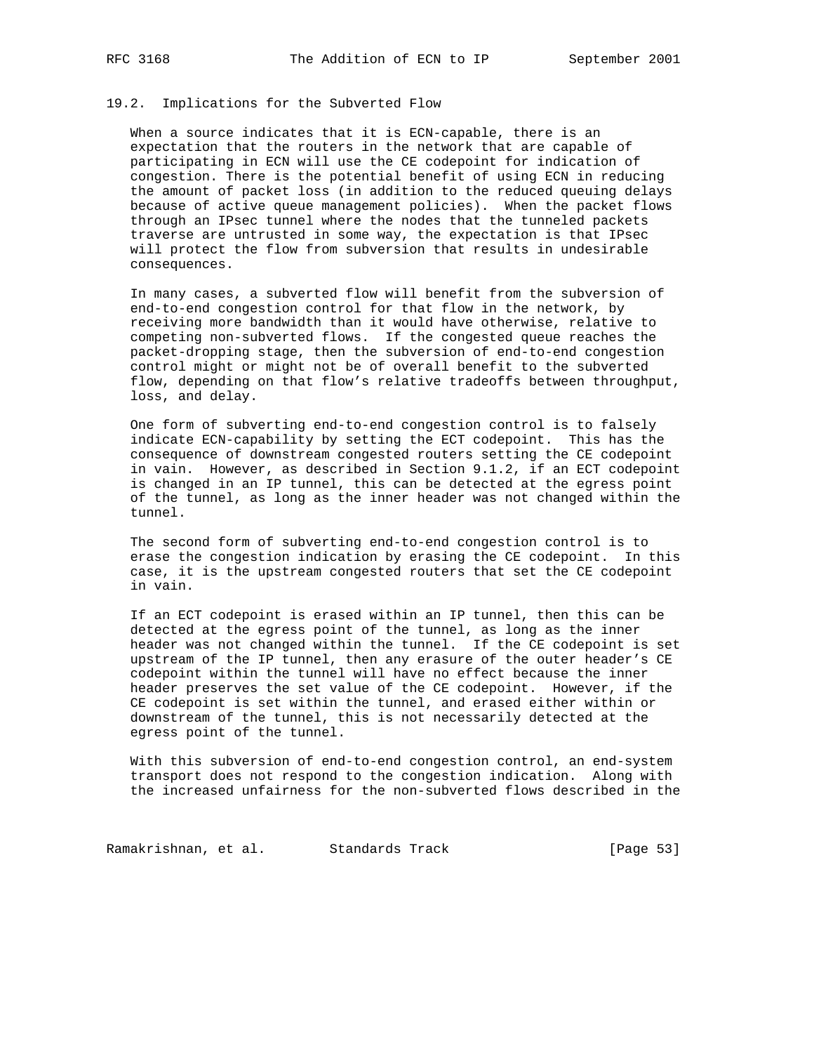## 19.2. Implications for the Subverted Flow

 When a source indicates that it is ECN-capable, there is an expectation that the routers in the network that are capable of participating in ECN will use the CE codepoint for indication of congestion. There is the potential benefit of using ECN in reducing the amount of packet loss (in addition to the reduced queuing delays because of active queue management policies). When the packet flows through an IPsec tunnel where the nodes that the tunneled packets traverse are untrusted in some way, the expectation is that IPsec will protect the flow from subversion that results in undesirable consequences.

 In many cases, a subverted flow will benefit from the subversion of end-to-end congestion control for that flow in the network, by receiving more bandwidth than it would have otherwise, relative to competing non-subverted flows. If the congested queue reaches the packet-dropping stage, then the subversion of end-to-end congestion control might or might not be of overall benefit to the subverted flow, depending on that flow's relative tradeoffs between throughput, loss, and delay.

 One form of subverting end-to-end congestion control is to falsely indicate ECN-capability by setting the ECT codepoint. This has the consequence of downstream congested routers setting the CE codepoint in vain. However, as described in Section 9.1.2, if an ECT codepoint is changed in an IP tunnel, this can be detected at the egress point of the tunnel, as long as the inner header was not changed within the tunnel.

 The second form of subverting end-to-end congestion control is to erase the congestion indication by erasing the CE codepoint. In this case, it is the upstream congested routers that set the CE codepoint in vain.

 If an ECT codepoint is erased within an IP tunnel, then this can be detected at the egress point of the tunnel, as long as the inner header was not changed within the tunnel. If the CE codepoint is set upstream of the IP tunnel, then any erasure of the outer header's CE codepoint within the tunnel will have no effect because the inner header preserves the set value of the CE codepoint. However, if the CE codepoint is set within the tunnel, and erased either within or downstream of the tunnel, this is not necessarily detected at the egress point of the tunnel.

 With this subversion of end-to-end congestion control, an end-system transport does not respond to the congestion indication. Along with the increased unfairness for the non-subverted flows described in the

Ramakrishnan, et al. Standards Track [Page 53]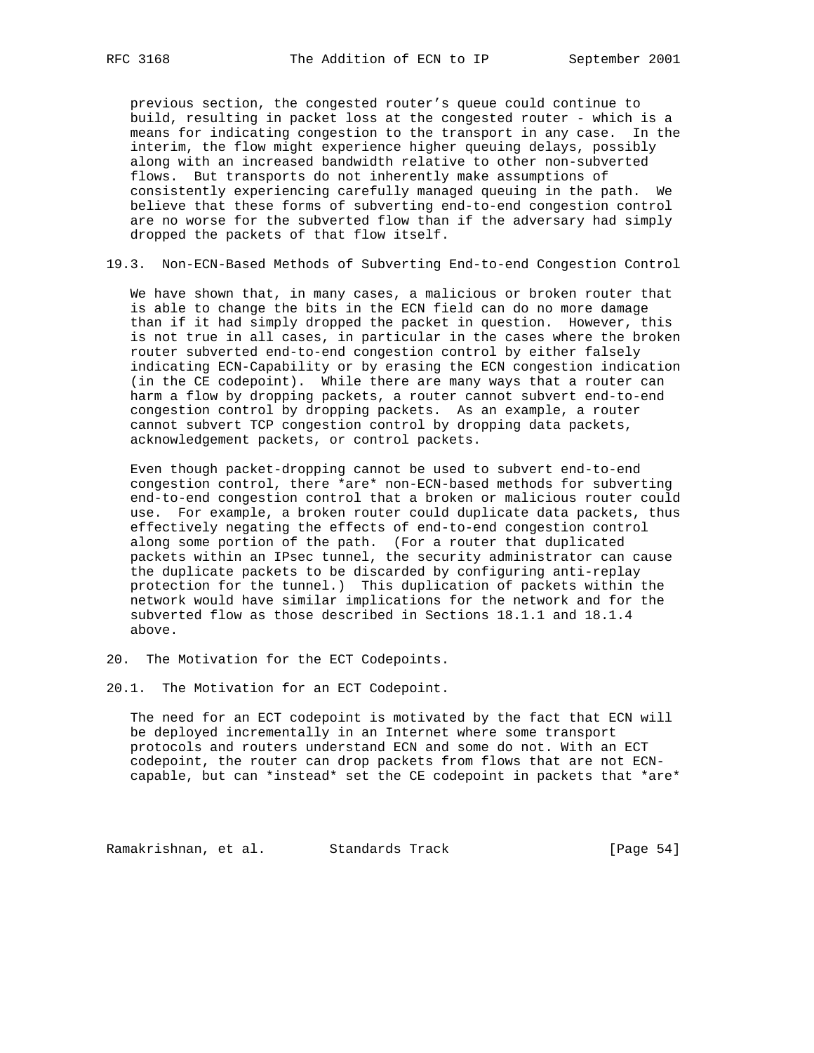previous section, the congested router's queue could continue to build, resulting in packet loss at the congested router - which is a means for indicating congestion to the transport in any case. In the interim, the flow might experience higher queuing delays, possibly along with an increased bandwidth relative to other non-subverted flows. But transports do not inherently make assumptions of consistently experiencing carefully managed queuing in the path. We believe that these forms of subverting end-to-end congestion control are no worse for the subverted flow than if the adversary had simply dropped the packets of that flow itself.

19.3. Non-ECN-Based Methods of Subverting End-to-end Congestion Control

 We have shown that, in many cases, a malicious or broken router that is able to change the bits in the ECN field can do no more damage than if it had simply dropped the packet in question. However, this is not true in all cases, in particular in the cases where the broken router subverted end-to-end congestion control by either falsely indicating ECN-Capability or by erasing the ECN congestion indication (in the CE codepoint). While there are many ways that a router can harm a flow by dropping packets, a router cannot subvert end-to-end congestion control by dropping packets. As an example, a router cannot subvert TCP congestion control by dropping data packets, acknowledgement packets, or control packets.

 Even though packet-dropping cannot be used to subvert end-to-end congestion control, there \*are\* non-ECN-based methods for subverting end-to-end congestion control that a broken or malicious router could use. For example, a broken router could duplicate data packets, thus effectively negating the effects of end-to-end congestion control along some portion of the path. (For a router that duplicated packets within an IPsec tunnel, the security administrator can cause the duplicate packets to be discarded by configuring anti-replay protection for the tunnel.) This duplication of packets within the network would have similar implications for the network and for the subverted flow as those described in Sections 18.1.1 and 18.1.4 above.

- 20. The Motivation for the ECT Codepoints.
- 20.1. The Motivation for an ECT Codepoint.

 The need for an ECT codepoint is motivated by the fact that ECN will be deployed incrementally in an Internet where some transport protocols and routers understand ECN and some do not. With an ECT codepoint, the router can drop packets from flows that are not ECN capable, but can \*instead\* set the CE codepoint in packets that \*are\*

Ramakrishnan, et al. Standards Track (Page 54)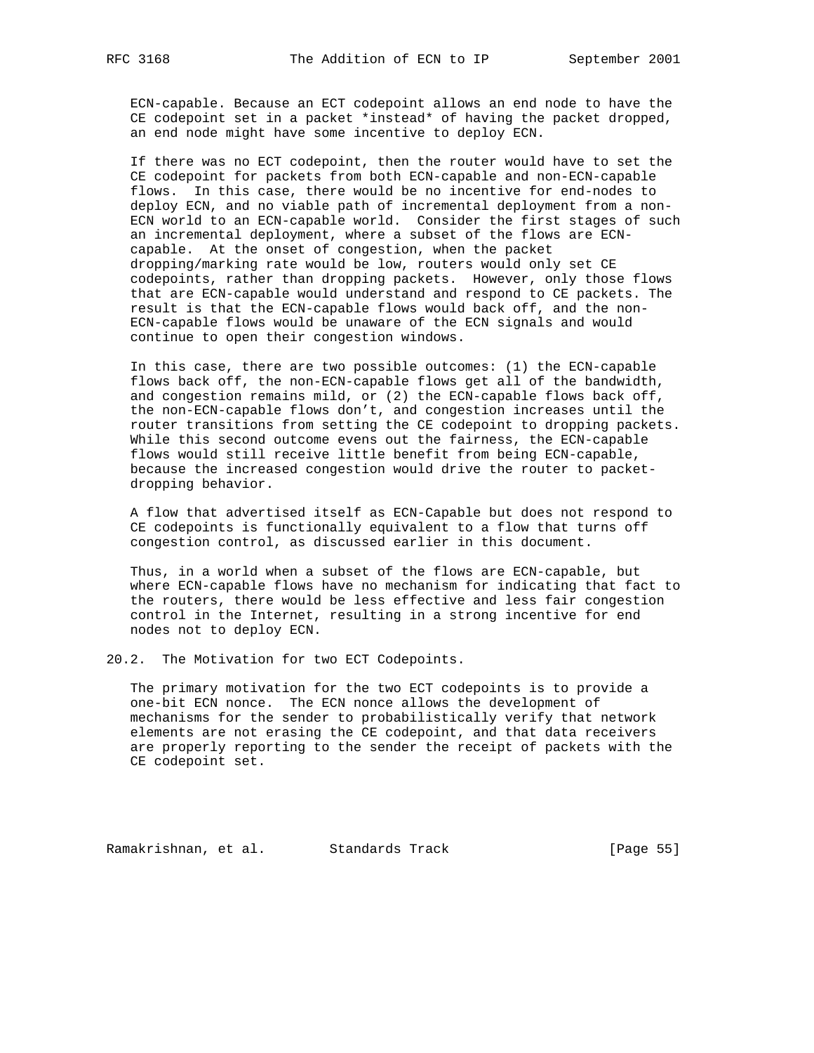ECN-capable. Because an ECT codepoint allows an end node to have the CE codepoint set in a packet \*instead\* of having the packet dropped, an end node might have some incentive to deploy ECN.

 If there was no ECT codepoint, then the router would have to set the CE codepoint for packets from both ECN-capable and non-ECN-capable flows. In this case, there would be no incentive for end-nodes to deploy ECN, and no viable path of incremental deployment from a non- ECN world to an ECN-capable world. Consider the first stages of such an incremental deployment, where a subset of the flows are ECN capable. At the onset of congestion, when the packet dropping/marking rate would be low, routers would only set CE codepoints, rather than dropping packets. However, only those flows that are ECN-capable would understand and respond to CE packets. The result is that the ECN-capable flows would back off, and the non- ECN-capable flows would be unaware of the ECN signals and would continue to open their congestion windows.

 In this case, there are two possible outcomes: (1) the ECN-capable flows back off, the non-ECN-capable flows get all of the bandwidth, and congestion remains mild, or (2) the ECN-capable flows back off, the non-ECN-capable flows don't, and congestion increases until the router transitions from setting the CE codepoint to dropping packets. While this second outcome evens out the fairness, the ECN-capable flows would still receive little benefit from being ECN-capable, because the increased congestion would drive the router to packet dropping behavior.

 A flow that advertised itself as ECN-Capable but does not respond to CE codepoints is functionally equivalent to a flow that turns off congestion control, as discussed earlier in this document.

 Thus, in a world when a subset of the flows are ECN-capable, but where ECN-capable flows have no mechanism for indicating that fact to the routers, there would be less effective and less fair congestion control in the Internet, resulting in a strong incentive for end nodes not to deploy ECN.

20.2. The Motivation for two ECT Codepoints.

 The primary motivation for the two ECT codepoints is to provide a one-bit ECN nonce. The ECN nonce allows the development of mechanisms for the sender to probabilistically verify that network elements are not erasing the CE codepoint, and that data receivers are properly reporting to the sender the receipt of packets with the CE codepoint set.

Ramakrishnan, et al. Standards Track [Page 55]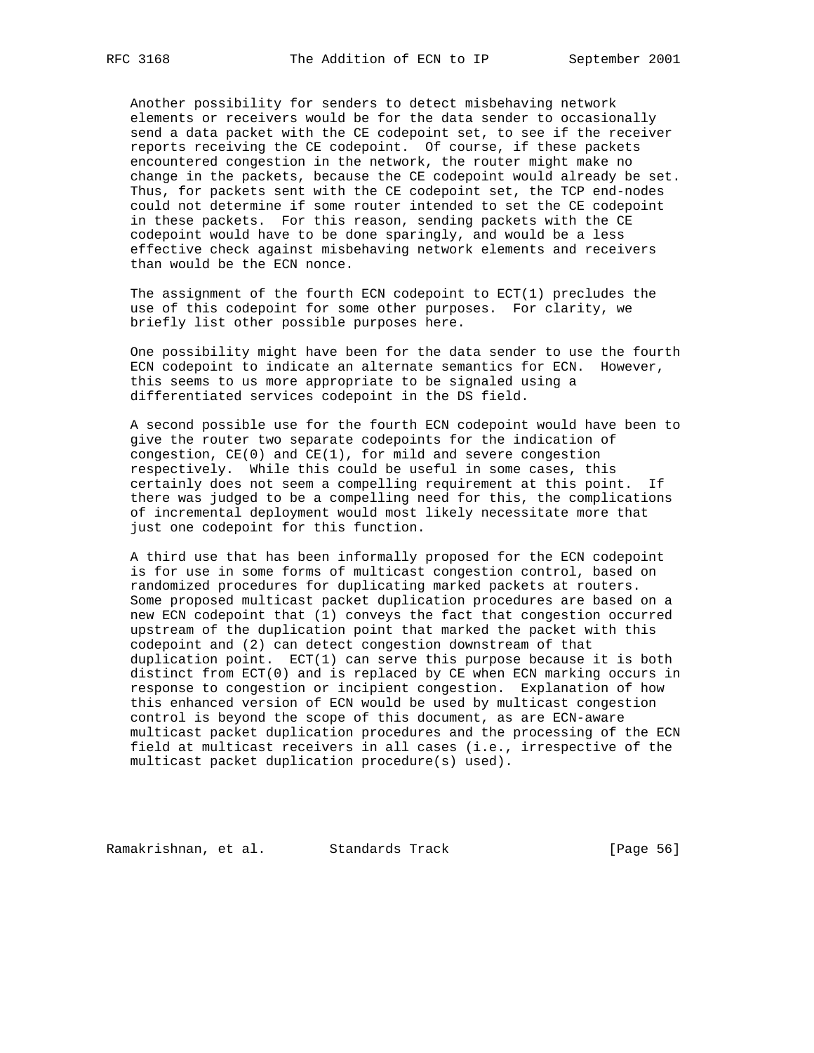Another possibility for senders to detect misbehaving network elements or receivers would be for the data sender to occasionally send a data packet with the CE codepoint set, to see if the receiver reports receiving the CE codepoint. Of course, if these packets encountered congestion in the network, the router might make no change in the packets, because the CE codepoint would already be set. Thus, for packets sent with the CE codepoint set, the TCP end-nodes could not determine if some router intended to set the CE codepoint in these packets. For this reason, sending packets with the CE codepoint would have to be done sparingly, and would be a less effective check against misbehaving network elements and receivers than would be the ECN nonce.

 The assignment of the fourth ECN codepoint to ECT(1) precludes the use of this codepoint for some other purposes. For clarity, we briefly list other possible purposes here.

 One possibility might have been for the data sender to use the fourth ECN codepoint to indicate an alternate semantics for ECN. However, this seems to us more appropriate to be signaled using a differentiated services codepoint in the DS field.

 A second possible use for the fourth ECN codepoint would have been to give the router two separate codepoints for the indication of congestion, CE(0) and CE(1), for mild and severe congestion respectively. While this could be useful in some cases, this certainly does not seem a compelling requirement at this point. If there was judged to be a compelling need for this, the complications of incremental deployment would most likely necessitate more that just one codepoint for this function.

 A third use that has been informally proposed for the ECN codepoint is for use in some forms of multicast congestion control, based on randomized procedures for duplicating marked packets at routers. Some proposed multicast packet duplication procedures are based on a new ECN codepoint that (1) conveys the fact that congestion occurred upstream of the duplication point that marked the packet with this codepoint and (2) can detect congestion downstream of that duplication point. ECT(1) can serve this purpose because it is both distinct from ECT(0) and is replaced by CE when ECN marking occurs in response to congestion or incipient congestion. Explanation of how this enhanced version of ECN would be used by multicast congestion control is beyond the scope of this document, as are ECN-aware multicast packet duplication procedures and the processing of the ECN field at multicast receivers in all cases (i.e., irrespective of the multicast packet duplication procedure(s) used).

Ramakrishnan, et al. Standards Track (Page 56)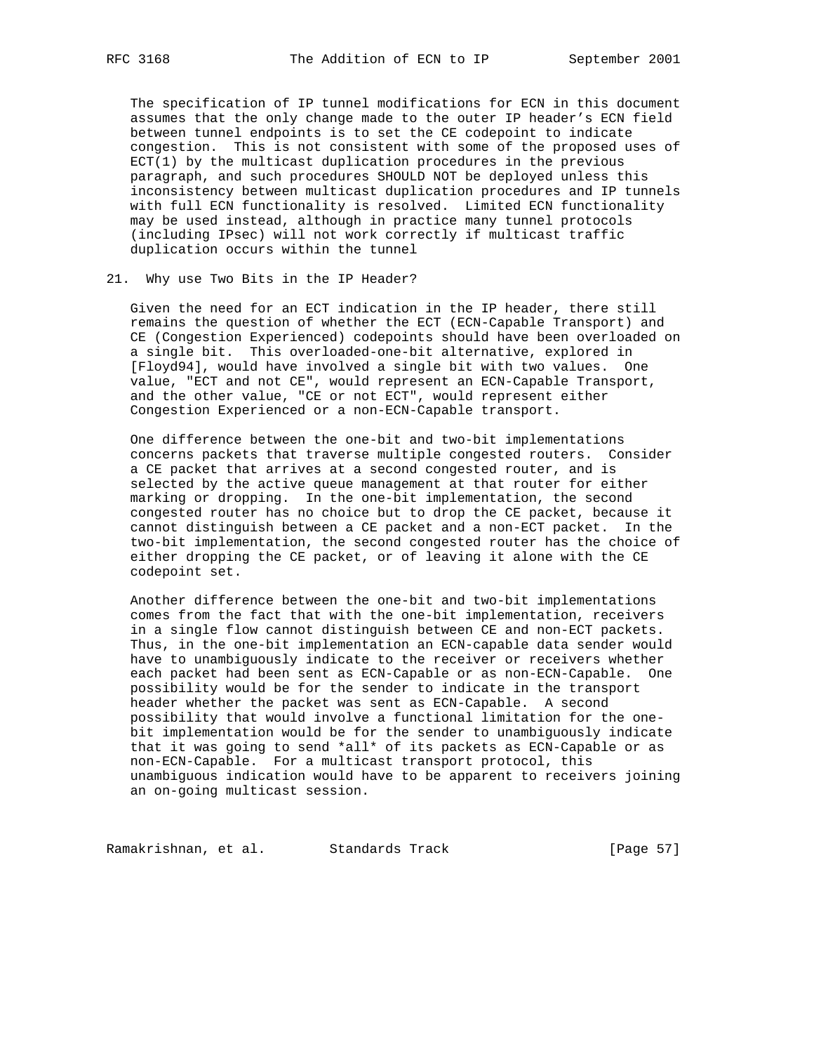The specification of IP tunnel modifications for ECN in this document assumes that the only change made to the outer IP header's ECN field between tunnel endpoints is to set the CE codepoint to indicate congestion. This is not consistent with some of the proposed uses of ECT(1) by the multicast duplication procedures in the previous paragraph, and such procedures SHOULD NOT be deployed unless this inconsistency between multicast duplication procedures and IP tunnels with full ECN functionality is resolved. Limited ECN functionality may be used instead, although in practice many tunnel protocols (including IPsec) will not work correctly if multicast traffic duplication occurs within the tunnel

## 21. Why use Two Bits in the IP Header?

 Given the need for an ECT indication in the IP header, there still remains the question of whether the ECT (ECN-Capable Transport) and CE (Congestion Experienced) codepoints should have been overloaded on a single bit. This overloaded-one-bit alternative, explored in [Floyd94], would have involved a single bit with two values. One value, "ECT and not CE", would represent an ECN-Capable Transport, and the other value, "CE or not ECT", would represent either Congestion Experienced or a non-ECN-Capable transport.

 One difference between the one-bit and two-bit implementations concerns packets that traverse multiple congested routers. Consider a CE packet that arrives at a second congested router, and is selected by the active queue management at that router for either marking or dropping. In the one-bit implementation, the second congested router has no choice but to drop the CE packet, because it cannot distinguish between a CE packet and a non-ECT packet. In the two-bit implementation, the second congested router has the choice of either dropping the CE packet, or of leaving it alone with the CE codepoint set.

 Another difference between the one-bit and two-bit implementations comes from the fact that with the one-bit implementation, receivers in a single flow cannot distinguish between CE and non-ECT packets. Thus, in the one-bit implementation an ECN-capable data sender would have to unambiguously indicate to the receiver or receivers whether each packet had been sent as ECN-Capable or as non-ECN-Capable. One possibility would be for the sender to indicate in the transport header whether the packet was sent as ECN-Capable. A second possibility that would involve a functional limitation for the one bit implementation would be for the sender to unambiguously indicate that it was going to send \*all\* of its packets as ECN-Capable or as non-ECN-Capable. For a multicast transport protocol, this unambiguous indication would have to be apparent to receivers joining an on-going multicast session.

Ramakrishnan, et al. Standards Track (Page 57)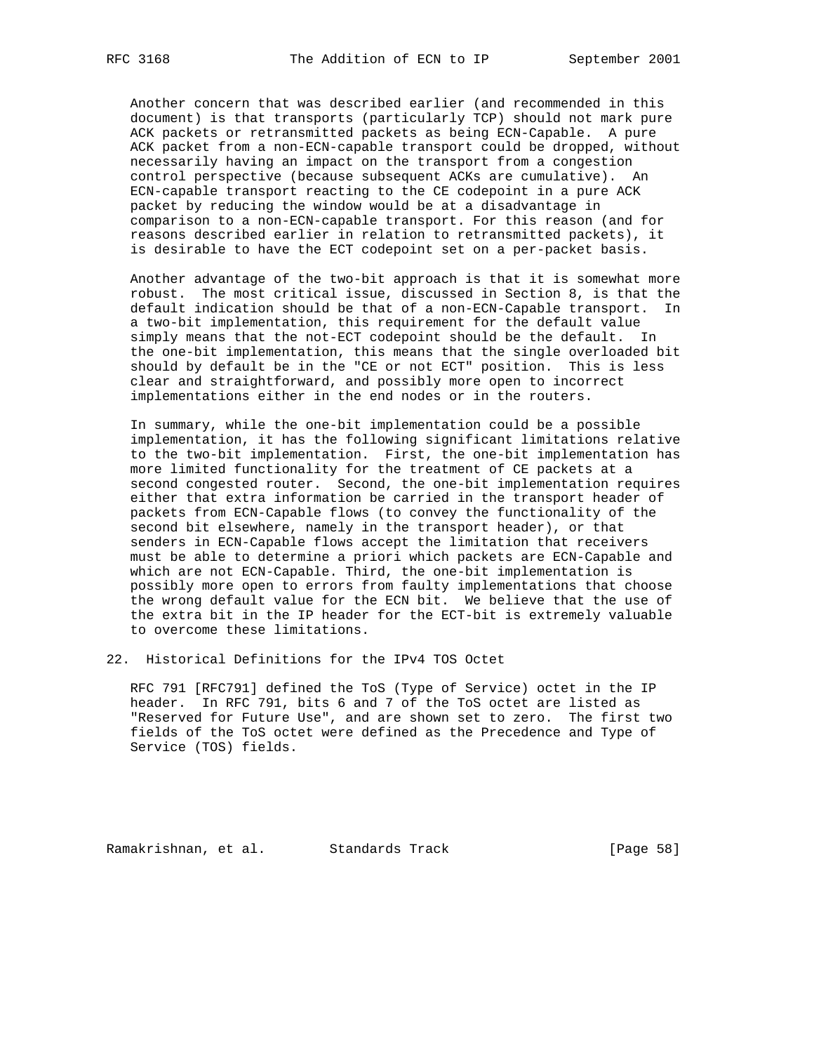Another concern that was described earlier (and recommended in this document) is that transports (particularly TCP) should not mark pure ACK packets or retransmitted packets as being ECN-Capable. A pure ACK packet from a non-ECN-capable transport could be dropped, without necessarily having an impact on the transport from a congestion control perspective (because subsequent ACKs are cumulative). An ECN-capable transport reacting to the CE codepoint in a pure ACK packet by reducing the window would be at a disadvantage in comparison to a non-ECN-capable transport. For this reason (and for reasons described earlier in relation to retransmitted packets), it is desirable to have the ECT codepoint set on a per-packet basis.

 Another advantage of the two-bit approach is that it is somewhat more robust. The most critical issue, discussed in Section 8, is that the default indication should be that of a non-ECN-Capable transport. In a two-bit implementation, this requirement for the default value simply means that the not-ECT codepoint should be the default. In the one-bit implementation, this means that the single overloaded bit should by default be in the "CE or not ECT" position. This is less clear and straightforward, and possibly more open to incorrect implementations either in the end nodes or in the routers.

 In summary, while the one-bit implementation could be a possible implementation, it has the following significant limitations relative to the two-bit implementation. First, the one-bit implementation has more limited functionality for the treatment of CE packets at a second congested router. Second, the one-bit implementation requires either that extra information be carried in the transport header of packets from ECN-Capable flows (to convey the functionality of the second bit elsewhere, namely in the transport header), or that senders in ECN-Capable flows accept the limitation that receivers must be able to determine a priori which packets are ECN-Capable and which are not ECN-Capable. Third, the one-bit implementation is possibly more open to errors from faulty implementations that choose the wrong default value for the ECN bit. We believe that the use of the extra bit in the IP header for the ECT-bit is extremely valuable to overcome these limitations.

22. Historical Definitions for the IPv4 TOS Octet

 RFC 791 [RFC791] defined the ToS (Type of Service) octet in the IP header. In RFC 791, bits 6 and 7 of the ToS octet are listed as "Reserved for Future Use", and are shown set to zero. The first two fields of the ToS octet were defined as the Precedence and Type of Service (TOS) fields.

Ramakrishnan, et al. Standards Track [Page 58]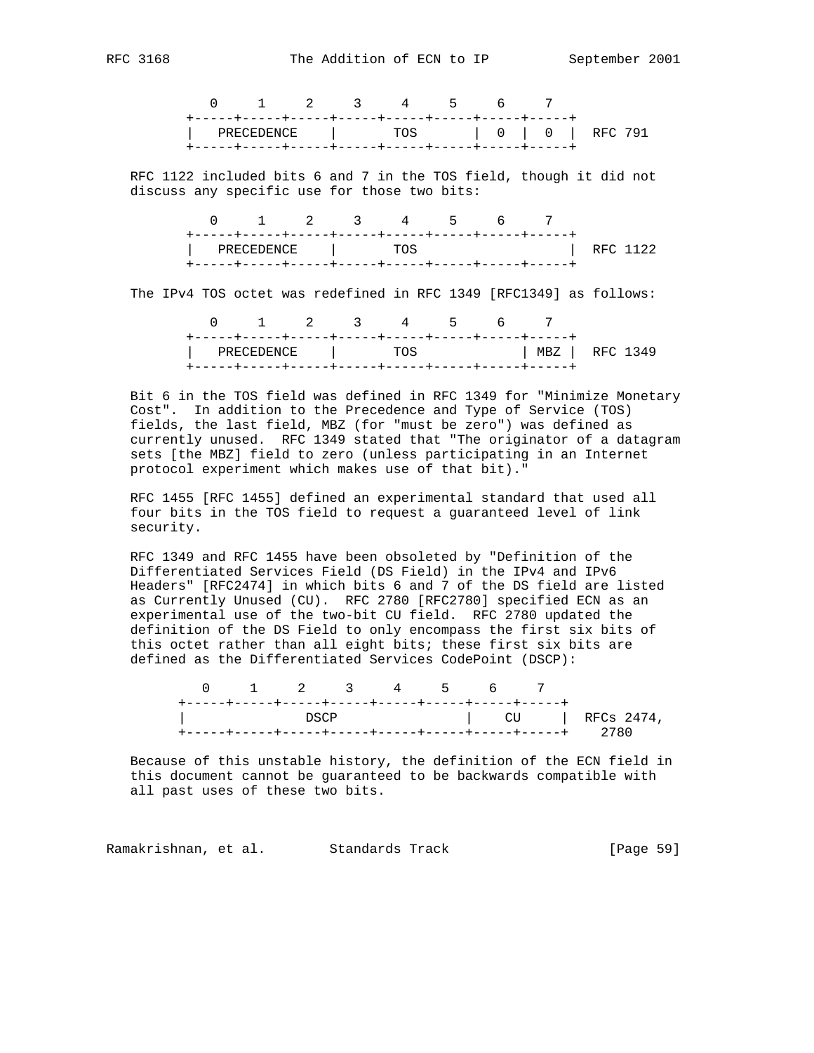|  |  | 0 1 2 3 4 5 6 7                    |  |  |  |
|--|--|------------------------------------|--|--|--|
|  |  | PRECEDENCE   TOS   0   0   RFC 791 |  |  |  |

 RFC 1122 included bits 6 and 7 in the TOS field, though it did not discuss any specific use for those two bits:

|                  |  | 0 1 2 3 4 5 6 |  |          |  |
|------------------|--|---------------|--|----------|--|
| PRECEDENCE   TOS |  |               |  | RFC 1122 |  |

The IPv4 TOS octet was redefined in RFC 1349 [RFC1349] as follows:

|                  |  | 0 1 2 3 4 5 6 7 |  |                |
|------------------|--|-----------------|--|----------------|
|                  |  |                 |  |                |
| PRECEDENCE   TOS |  |                 |  | MBZ   RFC 1349 |
|                  |  |                 |  |                |

 Bit 6 in the TOS field was defined in RFC 1349 for "Minimize Monetary Cost". In addition to the Precedence and Type of Service (TOS) fields, the last field, MBZ (for "must be zero") was defined as currently unused. RFC 1349 stated that "The originator of a datagram sets [the MBZ] field to zero (unless participating in an Internet protocol experiment which makes use of that bit)."

 RFC 1455 [RFC 1455] defined an experimental standard that used all four bits in the TOS field to request a guaranteed level of link security.

 RFC 1349 and RFC 1455 have been obsoleted by "Definition of the Differentiated Services Field (DS Field) in the IPv4 and IPv6 Headers" [RFC2474] in which bits 6 and 7 of the DS field are listed as Currently Unused (CU). RFC 2780 [RFC2780] specified ECN as an experimental use of the two-bit CU field. RFC 2780 updated the definition of the DS Field to only encompass the first six bits of this octet rather than all eight bits; these first six bits are defined as the Differentiated Services CodePoint (DSCP):

|                                     | 0 1 2 3 4 5 6 |       |  |  |                      |
|-------------------------------------|---------------|-------|--|--|----------------------|
|                                     |               |       |  |  |                      |
| The contract of the contract of the |               | D.SCP |  |  | $\sim$ CU RFCs 2474, |
|                                     |               |       |  |  |                      |

 Because of this unstable history, the definition of the ECN field in this document cannot be guaranteed to be backwards compatible with all past uses of these two bits.

Ramakrishnan, et al. Standards Track [Page 59]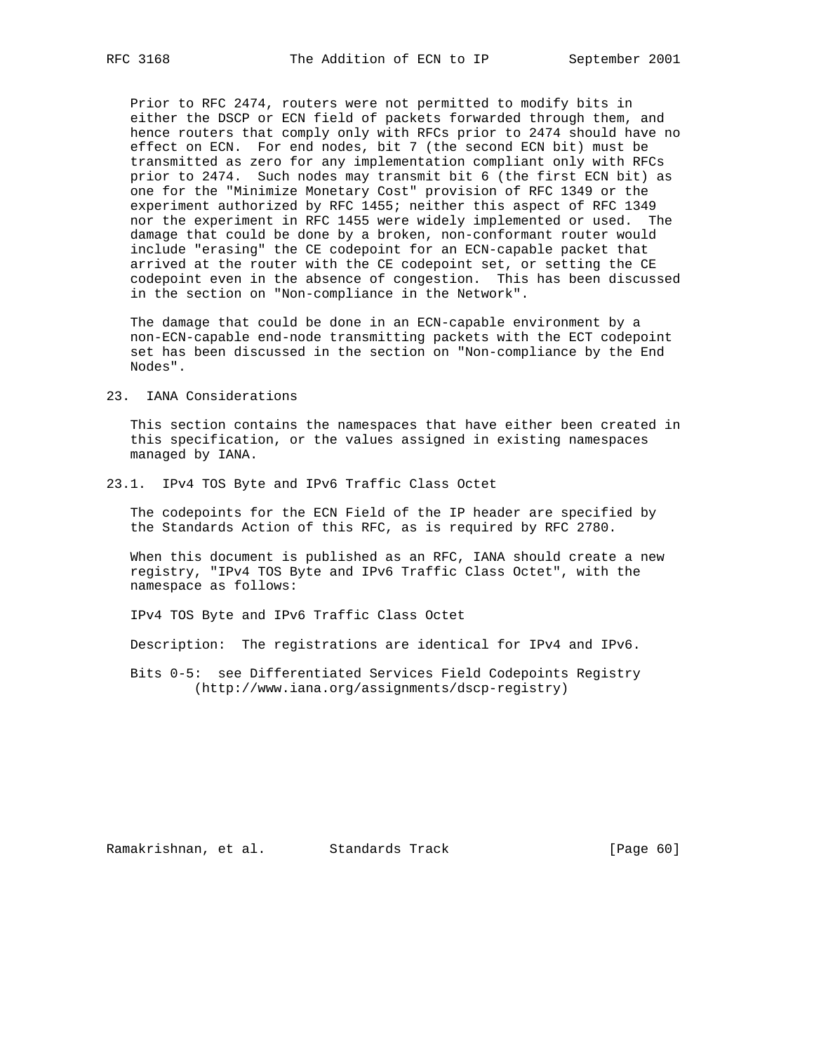Prior to RFC 2474, routers were not permitted to modify bits in either the DSCP or ECN field of packets forwarded through them, and hence routers that comply only with RFCs prior to 2474 should have no effect on ECN. For end nodes, bit 7 (the second ECN bit) must be transmitted as zero for any implementation compliant only with RFCs prior to 2474. Such nodes may transmit bit 6 (the first ECN bit) as one for the "Minimize Monetary Cost" provision of RFC 1349 or the experiment authorized by RFC 1455; neither this aspect of RFC 1349 nor the experiment in RFC 1455 were widely implemented or used. The damage that could be done by a broken, non-conformant router would include "erasing" the CE codepoint for an ECN-capable packet that arrived at the router with the CE codepoint set, or setting the CE codepoint even in the absence of congestion. This has been discussed in the section on "Non-compliance in the Network".

 The damage that could be done in an ECN-capable environment by a non-ECN-capable end-node transmitting packets with the ECT codepoint set has been discussed in the section on "Non-compliance by the End Nodes".

23. IANA Considerations

 This section contains the namespaces that have either been created in this specification, or the values assigned in existing namespaces managed by IANA.

23.1. IPv4 TOS Byte and IPv6 Traffic Class Octet

 The codepoints for the ECN Field of the IP header are specified by the Standards Action of this RFC, as is required by RFC 2780.

 When this document is published as an RFC, IANA should create a new registry, "IPv4 TOS Byte and IPv6 Traffic Class Octet", with the namespace as follows:

IPv4 TOS Byte and IPv6 Traffic Class Octet

Description: The registrations are identical for IPv4 and IPv6.

 Bits 0-5: see Differentiated Services Field Codepoints Registry (http://www.iana.org/assignments/dscp-registry)

Ramakrishnan, et al. Standards Track [Page 60]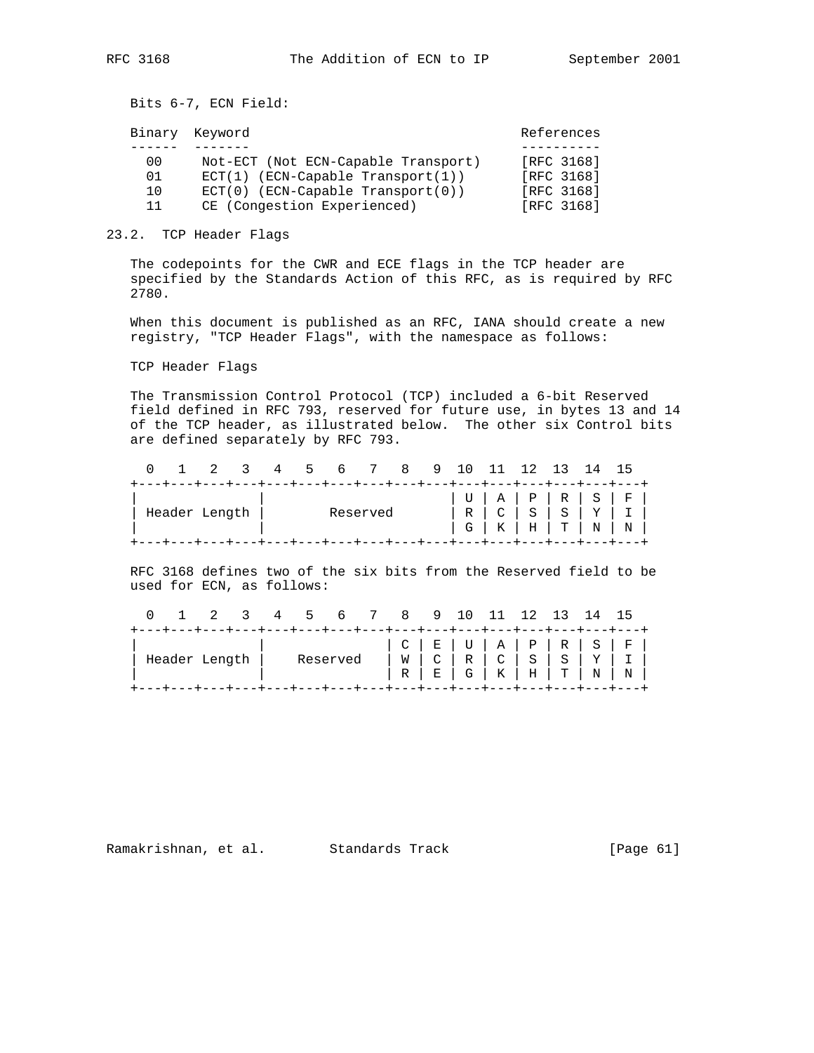Bits 6-7, ECN Field:

|    | Binary Keyword                      | References |
|----|-------------------------------------|------------|
|    |                                     |            |
| 00 | Not-ECT (Not ECN-Capable Transport) | [RFC 3168] |
| 01 | $ECT(1)$ (ECN-Capable Transport(1)) | FRFC 31681 |
| 10 | $ECT(0)$ (ECN-Capable Transport(0)) | [RFC 3168] |
| 11 | CE (Congestion Experienced)         | FRFC 31681 |

#### 23.2. TCP Header Flags

 The codepoints for the CWR and ECE flags in the TCP header are specified by the Standards Action of this RFC, as is required by RFC 2780.

 When this document is published as an RFC, IANA should create a new registry, "TCP Header Flags", with the namespace as follows:

TCP Header Flags

 The Transmission Control Protocol (TCP) included a 6-bit Reserved field defined in RFC 793, reserved for future use, in bytes 13 and 14 of the TCP header, as illustrated below. The other six Control bits are defined separately by RFC 793.

|  |               |  |                                                                                   |  | 1 2 3 4 5 6 7 8 9 10 11 12 13 14 15                                       |  |  |                         |  |  |  |
|--|---------------|--|-----------------------------------------------------------------------------------|--|---------------------------------------------------------------------------|--|--|-------------------------|--|--|--|
|  | Header Length |  | +---+---+---+---+---+---+---+---+---+---+---+---+---+---+---+---+---+<br>Reserved |  |                                                                           |  |  |                         |  |  |  |
|  |               |  |                                                                                   |  | +----+---+---+---+---+---+---+---+---+---+---+---+---+---+---+---+---+--- |  |  | $G$ $K$ $H$ $T$ $N$ $N$ |  |  |  |

 RFC 3168 defines two of the six bits from the Reserved field to be used for ECN, as follows:

|                                                                           |  |  |  |  |          |  | 1 2 3 4 5 6 7 8 9 10 11 12 13 14 15                                   |  |  |                 |  |  |
|---------------------------------------------------------------------------|--|--|--|--|----------|--|-----------------------------------------------------------------------|--|--|-----------------|--|--|
| +---+---+---+---+---+---+---+---+---+---+---+---+---+---+---+---+---+---+ |  |  |  |  |          |  |                                                                       |  |  |                 |  |  |
| Header Length                                                             |  |  |  |  | Reserved |  |                                                                       |  |  | R E G K H T N N |  |  |
|                                                                           |  |  |  |  |          |  | +---+---+---+---+---+---+---+---+---+---+---+---+---+---+---+---+---+ |  |  |                 |  |  |

Ramakrishnan, et al. Standards Track [Page 61]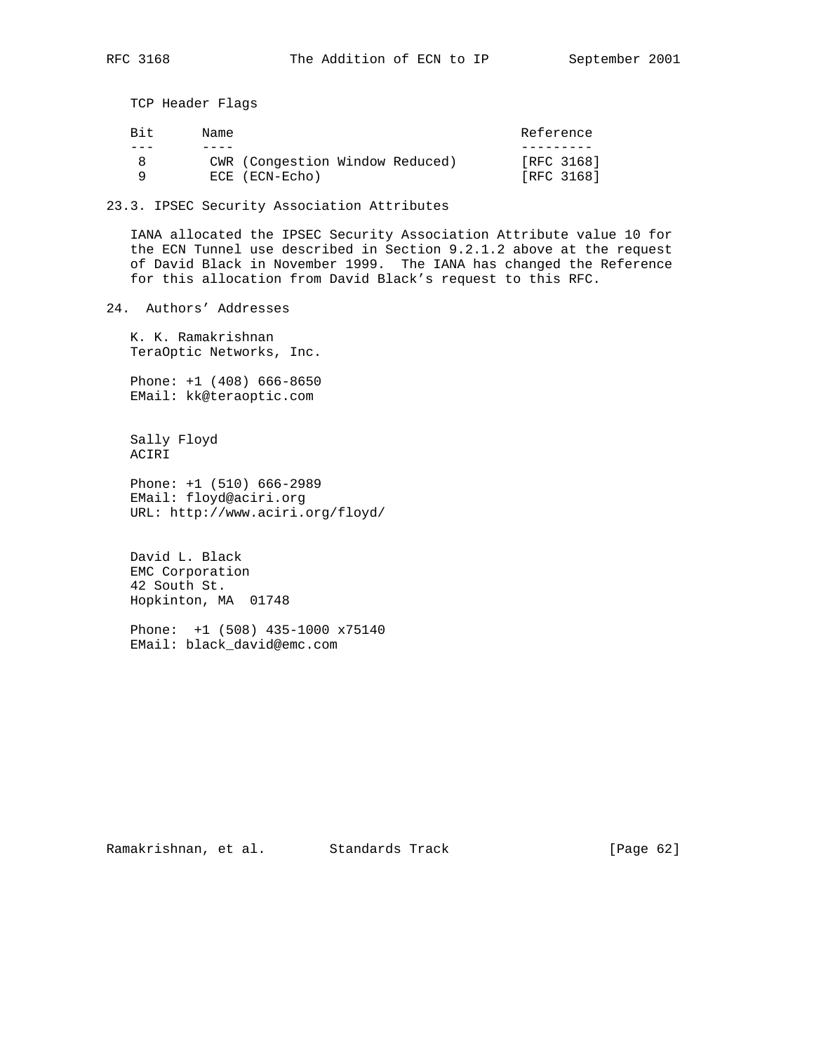TCP Header Flags

| Bit. | Name                            | Reference  |
|------|---------------------------------|------------|
|      |                                 |            |
| 8    | CWR (Congestion Window Reduced) | [RFC 3168] |
| a    | ECE (ECN-Echo)                  | [RFC 3168] |

23.3. IPSEC Security Association Attributes

 IANA allocated the IPSEC Security Association Attribute value 10 for the ECN Tunnel use described in Section 9.2.1.2 above at the request of David Black in November 1999. The IANA has changed the Reference for this allocation from David Black's request to this RFC.

24. Authors' Addresses

 K. K. Ramakrishnan TeraOptic Networks, Inc.

 Phone: +1 (408) 666-8650 EMail: kk@teraoptic.com

 Sally Floyd ACIRI

 Phone: +1 (510) 666-2989 EMail: floyd@aciri.org URL: http://www.aciri.org/floyd/

 David L. Black EMC Corporation 42 South St. Hopkinton, MA 01748

 Phone: +1 (508) 435-1000 x75140 EMail: black\_david@emc.com

Ramakrishnan, et al. Standards Track [Page 62]